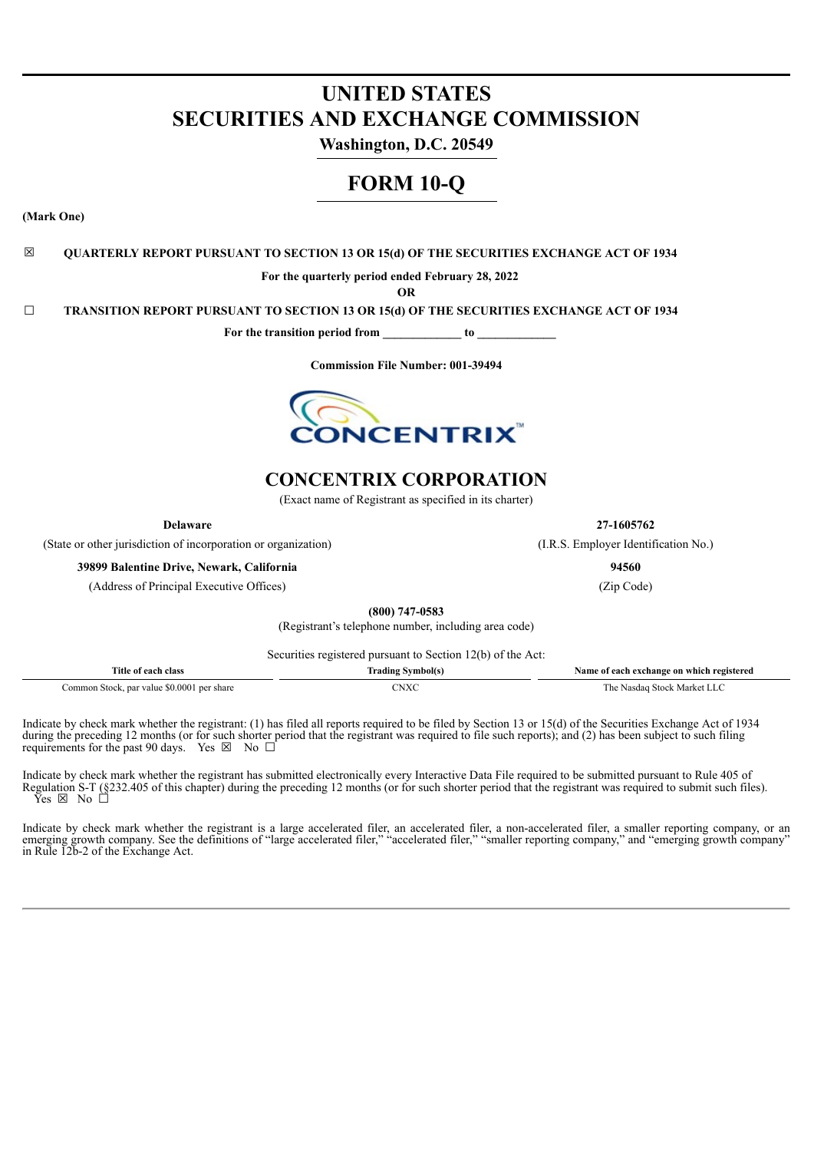# **UNITED STATES SECURITIES AND EXCHANGE COMMISSION**

**Washington, D.C. 20549**

# **FORM 10-Q**

**(Mark One)**

☒ **QUARTERLY REPORT PURSUANT TO SECTION 13 OR 15(d) OF THE SECURITIES EXCHANGE ACT OF 1934**

**For the quarterly period ended February 28, 2022**

**OR**

☐ **TRANSITION REPORT PURSUANT TO SECTION 13 OR 15(d) OF THE SECURITIES EXCHANGE ACT OF 1934**

**For the transition period from \_\_\_\_\_\_\_\_\_\_\_\_\_ to \_\_\_\_\_\_\_\_\_\_\_\_\_**

**Commission File Number: 001-39494**



# **CONCENTRIX CORPORATION**

(Exact name of Registrant as specified in its charter)

**Delaware 27-1605762**

(State or other jurisdiction of incorporation or organization) (I.R.S. Employer Identification No.)

**39899 Balentine Drive, Newark, California 94560**

(Address of Principal Executive Offices) (Zip Code)

**(800) 747-0583**

(Registrant's telephone number, including area code)

Securities registered pursuant to Section 12(b) of the Act:

| Title of each class                        | rading Symbol(s)     | e of each exchange on which registered |  |  |  |  |  |  |  |
|--------------------------------------------|----------------------|----------------------------------------|--|--|--|--|--|--|--|
| Common Stock, par value \$0.0001 per share | CNIVI<br><b>IVAC</b> | The Nasdag Stock Market LLC            |  |  |  |  |  |  |  |

Indicate by check mark whether the registrant: (1) has filed all reports required to be filed by Section 13 or 15(d) of the Securities Exchange Act of 1934 during the preceding 12 months (or for such shorter period that the registrant was required to file such reports); and (2) has been subject to such filing requirements for the past 90 days. Yes  $\boxtimes$  No  $\square$ 

Indicate by check mark whether the registrant has submitted electronically every Interactive Data File required to be submitted pursuant to Rule 405 of Regulation S-T (§232.405 of this chapter) during the preceding 12 months (or for such shorter period that the registrant was required to submit such files). Yes ☒ No ☐

Indicate by check mark whether the registrant is a large accelerated filer, an accelerated filer, a non-accelerated filer, a smaller reporting company, or an emerging growth company. See the definitions of "large accelerated filer," "accelerated filer," "smaller reporting company," and "emerging growth company" in Rule 12b-2 of the Exchange Act.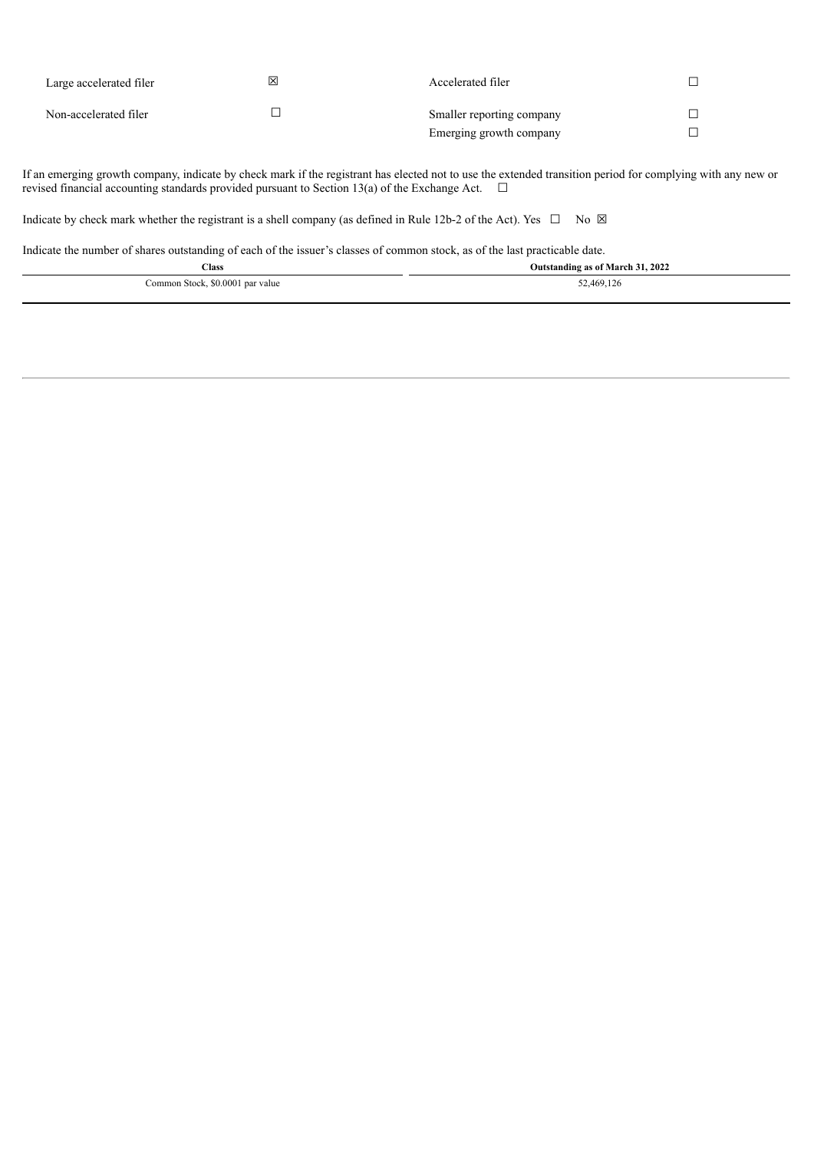| Large accelerated filer | × | Accelerated filer         |  |
|-------------------------|---|---------------------------|--|
| Non-accelerated filer   |   | Smaller reporting company |  |
|                         |   | Emerging growth company   |  |

If an emerging growth company, indicate by check mark if the registrant has elected not to use the extended transition period for complying with any new or revised financial accounting standards provided pursuant to Section 13(a) of the Exchange Act.  $\Box$ 

Indicate by check mark whether the registrant is a shell company (as defined in Rule 12b-2 of the Act). Yes  $\Box$  No  $\boxtimes$ 

Indicate the number of shares outstanding of each of the issuer's classes of common stock, as of the last practicable date.

| Class                                | Outstanding as of March 31, 2022 |
|--------------------------------------|----------------------------------|
| Common Stock, \$0.0001 par value<br> | 52,469,126                       |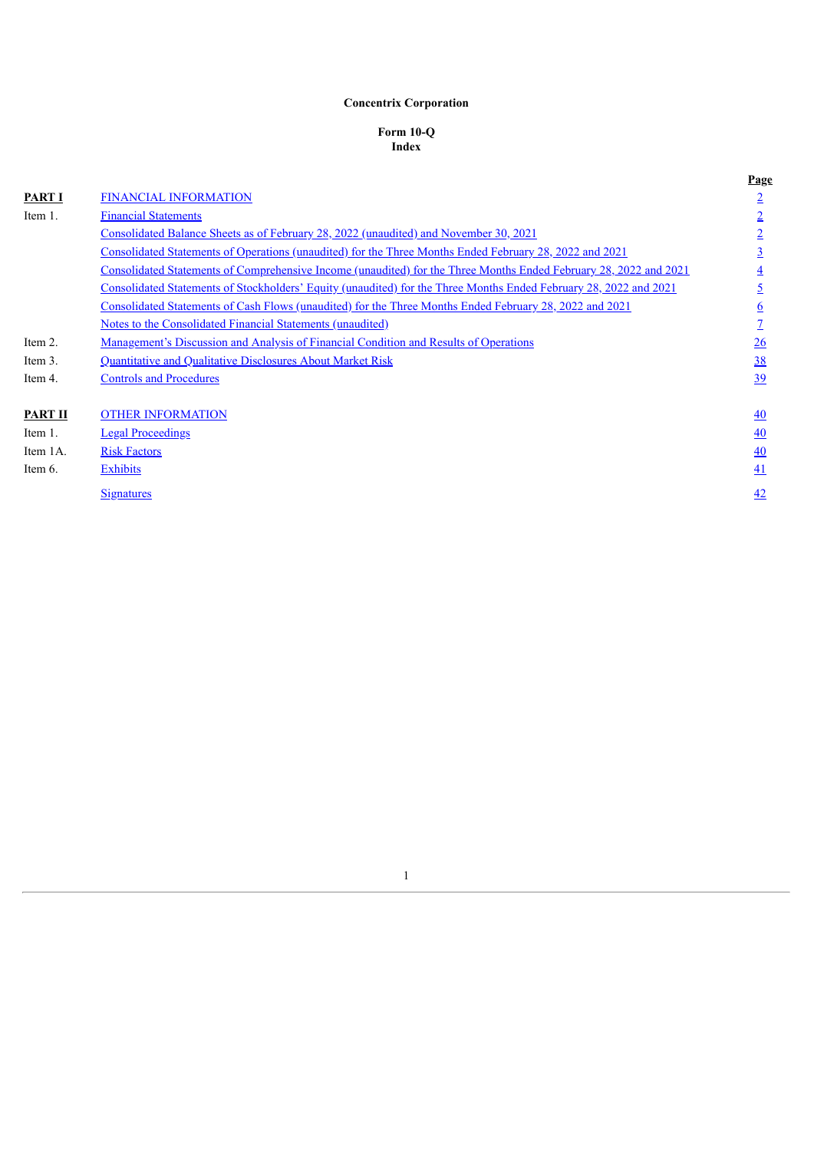# **Concentrix Corporation**

# **Form 10-Q Index**

<span id="page-2-0"></span>

|                |                                                                                                                   | Page             |
|----------------|-------------------------------------------------------------------------------------------------------------------|------------------|
| <b>PART I</b>  | <b>FINANCIAL INFORMATION</b>                                                                                      | $\overline{2}$   |
| Item 1.        | <b>Financial Statements</b>                                                                                       | $\overline{2}$   |
|                | Consolidated Balance Sheets as of February 28, 2022 (unaudited) and November 30, 2021                             |                  |
|                | Consolidated Statements of Operations (unaudited) for the Three Months Ended February 28, 2022 and 2021           | 3                |
|                | Consolidated Statements of Comprehensive Income (unaudited) for the Three Months Ended February 28, 2022 and 2021 | $\overline{4}$   |
|                | Consolidated Statements of Stockholders' Equity (unaudited) for the Three Months Ended February 28, 2022 and 2021 | <u>5</u>         |
|                | Consolidated Statements of Cash Flows (unaudited) for the Three Months Ended February 28, 2022 and 2021           | 6                |
|                | Notes to the Consolidated Financial Statements (unaudited)                                                        |                  |
| Item 2.        | <u>Management's Discussion and Analysis of Financial Condition and Results of Operations</u>                      | $\overline{26}$  |
| Item 3.        | Quantitative and Qualitative Disclosures About Market Risk                                                        | 38               |
| Item 4.        | <b>Controls and Procedures</b>                                                                                    | 39               |
|                |                                                                                                                   |                  |
| <b>PART II</b> | <b>OTHER INFORMATION</b>                                                                                          | 40               |
| Item 1.        | <b>Legal Proceedings</b>                                                                                          | $\underline{40}$ |
| Item 1A.       | <b>Risk Factors</b>                                                                                               | 40               |
| Item 6.        | <b>Exhibits</b>                                                                                                   | 41               |
|                | <b>Signatures</b>                                                                                                 | 42               |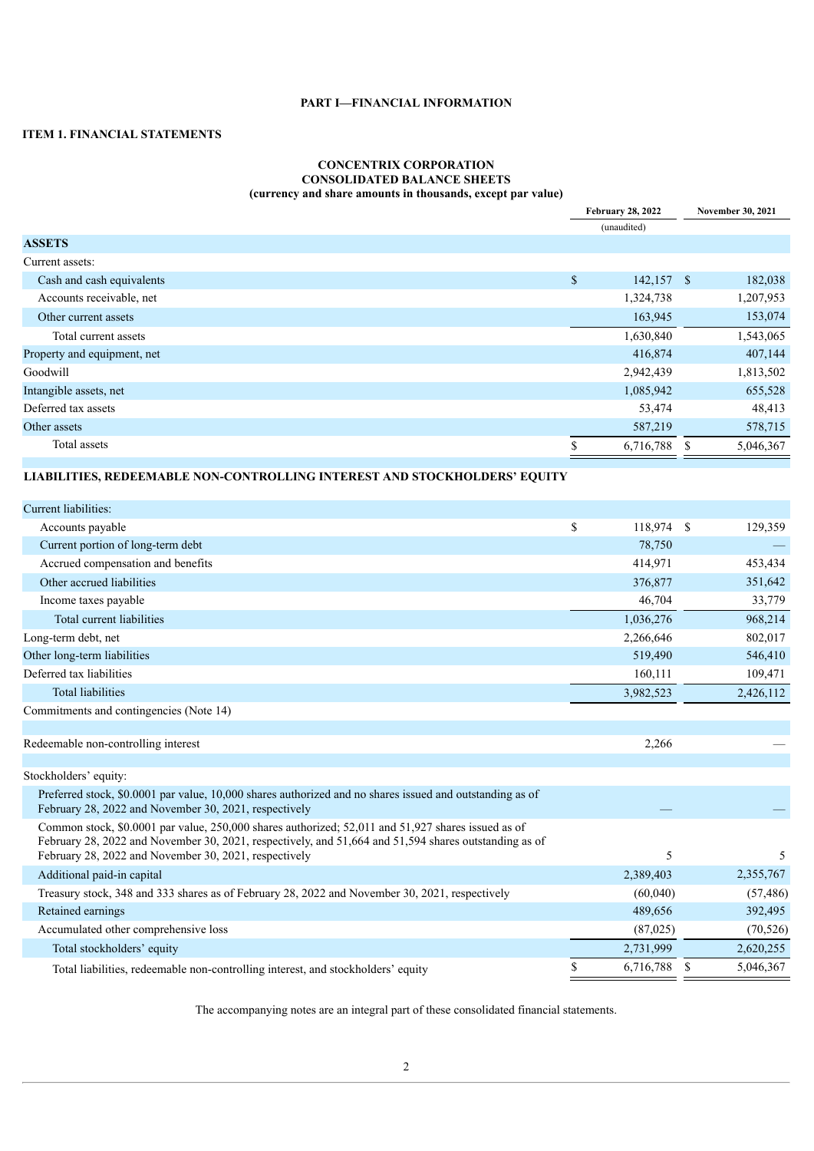# **PART I—FINANCIAL INFORMATION**

# <span id="page-3-1"></span><span id="page-3-0"></span>**ITEM 1. FINANCIAL STATEMENTS**

# **CONCENTRIX CORPORATION CONSOLIDATED BALANCE SHEETS (currency and share amounts in thousands, except par value)**

|                             | <b>February 28, 2022</b> |    | <b>November 30, 2021</b> |  |  |
|-----------------------------|--------------------------|----|--------------------------|--|--|
|                             | (unaudited)              |    |                          |  |  |
| <b>ASSETS</b>               |                          |    |                          |  |  |
| Current assets:             |                          |    |                          |  |  |
| Cash and cash equivalents   | \$<br>$142,157$ \$       |    | 182,038                  |  |  |
| Accounts receivable, net    | 1,324,738                |    | 1,207,953                |  |  |
| Other current assets        | 163,945                  |    | 153,074                  |  |  |
| Total current assets        | 1,630,840                |    | 1,543,065                |  |  |
| Property and equipment, net | 416,874                  |    | 407,144                  |  |  |
| Goodwill                    | 2,942,439                |    | 1,813,502                |  |  |
| Intangible assets, net      | 1,085,942                |    | 655,528                  |  |  |
| Deferred tax assets         | 53,474                   |    | 48,413                   |  |  |
| Other assets                | 587,219                  |    | 578,715                  |  |  |
| Total assets                | \$<br>6,716,788          | -S | 5,046,367                |  |  |

# **LIABILITIES, REDEEMABLE NON-CONTROLLING INTEREST AND STOCKHOLDERS' EQUITY**

| Current liabilities:                    |                  |           |
|-----------------------------------------|------------------|-----------|
| Accounts payable                        | \$<br>118,974 \$ | 129,359   |
| Current portion of long-term debt       | 78,750           |           |
| Accrued compensation and benefits       | 414,971          | 453,434   |
| Other accrued liabilities               | 376,877          | 351,642   |
| Income taxes payable                    | 46,704           | 33,779    |
| Total current liabilities               | 1,036,276        | 968,214   |
| Long-term debt, net                     | 2,266,646        | 802,017   |
| Other long-term liabilities             | 519,490          | 546,410   |
| Deferred tax liabilities                | 160,111          | 109,471   |
| Total liabilities                       | 3,982,523        | 2,426,112 |
| Commitments and contingencies (Note 14) |                  |           |

<span id="page-3-2"></span>

| Redeemable non-controlling interest                                                                                                                                                                                                                                  | 2,266     |           |
|----------------------------------------------------------------------------------------------------------------------------------------------------------------------------------------------------------------------------------------------------------------------|-----------|-----------|
|                                                                                                                                                                                                                                                                      |           |           |
| Stockholders' equity:                                                                                                                                                                                                                                                |           |           |
| Preferred stock, \$0.0001 par value, 10,000 shares authorized and no shares issued and outstanding as of<br>February 28, 2022 and November 30, 2021, respectively                                                                                                    |           |           |
| Common stock, \$0.0001 par value, 250,000 shares authorized; 52,011 and 51,927 shares issued as of<br>February 28, 2022 and November 30, 2021, respectively, and 51,664 and 51,594 shares outstanding as of<br>February 28, 2022 and November 30, 2021, respectively |           |           |
| Additional paid-in capital                                                                                                                                                                                                                                           | 2,389,403 | 2,355,767 |
| Treasury stock, 348 and 333 shares as of February 28, 2022 and November 30, 2021, respectively                                                                                                                                                                       | (60,040)  | (57, 486) |
| Retained earnings                                                                                                                                                                                                                                                    | 489,656   | 392,495   |
| Accumulated other comprehensive loss                                                                                                                                                                                                                                 | (87,025)  | (70, 526) |
| Total stockholders' equity                                                                                                                                                                                                                                           | 2,731,999 | 2,620,255 |
| Total liabilities, redeemable non-controlling interest, and stockholders' equity                                                                                                                                                                                     | 6,716,788 | 5,046,367 |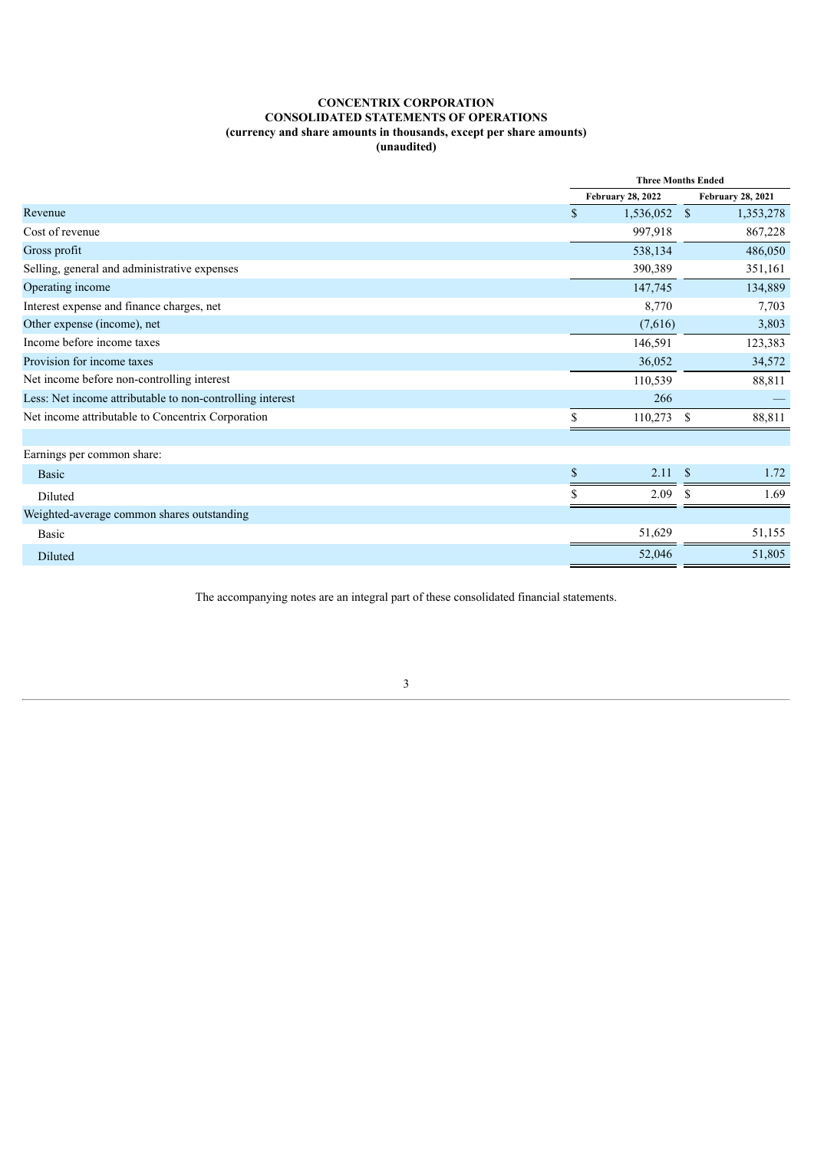# **CONCENTRIX CORPORATION CONSOLIDATED STATEMENTS OF OPERATIONS (currency and share amounts in thousands, except per share amounts) (unaudited)**

|                                                           | <b>Three Months Ended</b> |                          |               |                          |  |
|-----------------------------------------------------------|---------------------------|--------------------------|---------------|--------------------------|--|
|                                                           |                           | <b>February 28, 2022</b> |               | <b>February 28, 2021</b> |  |
| Revenue                                                   | \$                        | 1,536,052 \$             |               | 1,353,278                |  |
| Cost of revenue                                           |                           | 997,918                  |               | 867,228                  |  |
| Gross profit                                              |                           | 538,134                  |               | 486,050                  |  |
| Selling, general and administrative expenses              |                           | 390,389                  |               | 351,161                  |  |
| Operating income                                          |                           | 147,745                  |               | 134,889                  |  |
| Interest expense and finance charges, net                 |                           | 8,770                    |               | 7,703                    |  |
| Other expense (income), net                               |                           | (7,616)                  |               | 3,803                    |  |
| Income before income taxes                                |                           | 146,591                  |               | 123,383                  |  |
| Provision for income taxes                                |                           | 36,052                   |               | 34,572                   |  |
| Net income before non-controlling interest                |                           | 110,539                  |               | 88,811                   |  |
| Less: Net income attributable to non-controlling interest |                           | 266                      |               |                          |  |
| Net income attributable to Concentrix Corporation         | S.                        | 110,273                  | <sup>\$</sup> | 88,811                   |  |
| Earnings per common share:                                |                           |                          |               |                          |  |
| <b>Basic</b>                                              | $\mathbf{\hat{S}}$        | 2.11                     | -S            | 1.72                     |  |
| Diluted                                                   |                           | 2.09                     |               | 1.69                     |  |
| Weighted-average common shares outstanding                |                           |                          |               |                          |  |
| <b>Basic</b>                                              |                           | 51,629                   |               | 51,155                   |  |
| Diluted                                                   |                           | 52,046                   |               | 51,805                   |  |

<span id="page-4-0"></span>The accompanying notes are an integral part of these consolidated financial statements.

3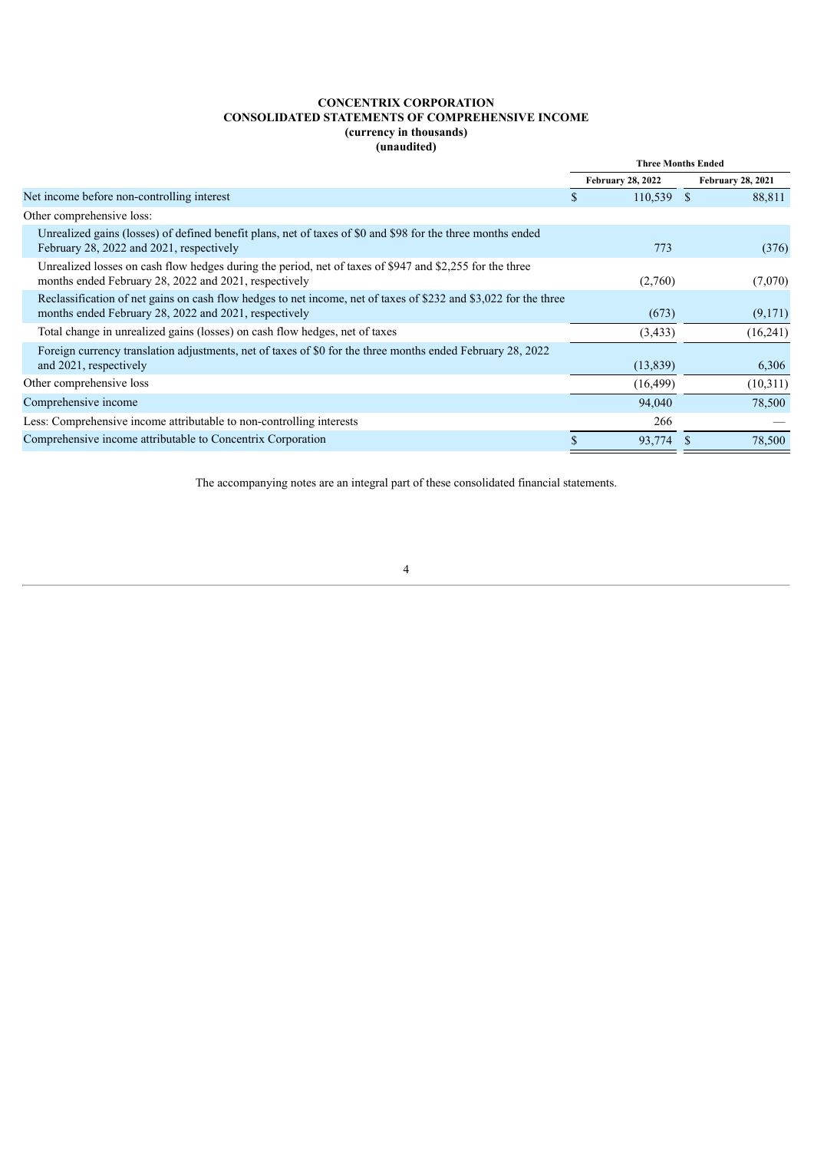# **CONCENTRIX CORPORATION CONSOLIDATED STATEMENTS OF COMPREHENSIVE INCOME (currency in thousands) (unaudited)**

<span id="page-5-0"></span>

|                                                                                                                                                                           | <b>Three Months Ended</b> |                          |  |                          |
|---------------------------------------------------------------------------------------------------------------------------------------------------------------------------|---------------------------|--------------------------|--|--------------------------|
|                                                                                                                                                                           |                           | <b>February 28, 2022</b> |  | <b>February 28, 2021</b> |
| Net income before non-controlling interest                                                                                                                                |                           | $110,539$ \$             |  | 88,811                   |
| Other comprehensive loss:                                                                                                                                                 |                           |                          |  |                          |
| Unrealized gains (losses) of defined benefit plans, net of taxes of \$0 and \$98 for the three months ended<br>February 28, 2022 and 2021, respectively                   |                           | 773                      |  | (376)                    |
| Unrealized losses on cash flow hedges during the period, net of taxes of \$947 and \$2,255 for the three<br>months ended February 28, 2022 and 2021, respectively         |                           | (2,760)                  |  | (7,070)                  |
| Reclassification of net gains on cash flow hedges to net income, net of taxes of \$232 and \$3,022 for the three<br>months ended February 28, 2022 and 2021, respectively |                           | (673)                    |  | (9,171)                  |
| Total change in unrealized gains (losses) on cash flow hedges, net of taxes                                                                                               |                           | (3, 433)                 |  | (16,241)                 |
| Foreign currency translation adjustments, net of taxes of \$0 for the three months ended February 28, 2022<br>and 2021, respectively                                      |                           | (13, 839)                |  | 6,306                    |
| Other comprehensive loss                                                                                                                                                  |                           | (16, 499)                |  | (10,311)                 |
| Comprehensive income                                                                                                                                                      |                           | 94,040                   |  | 78,500                   |
| Less: Comprehensive income attributable to non-controlling interests                                                                                                      |                           | 266                      |  |                          |
| Comprehensive income attributable to Concentrix Corporation                                                                                                               |                           | 93,774 \$                |  | 78,500                   |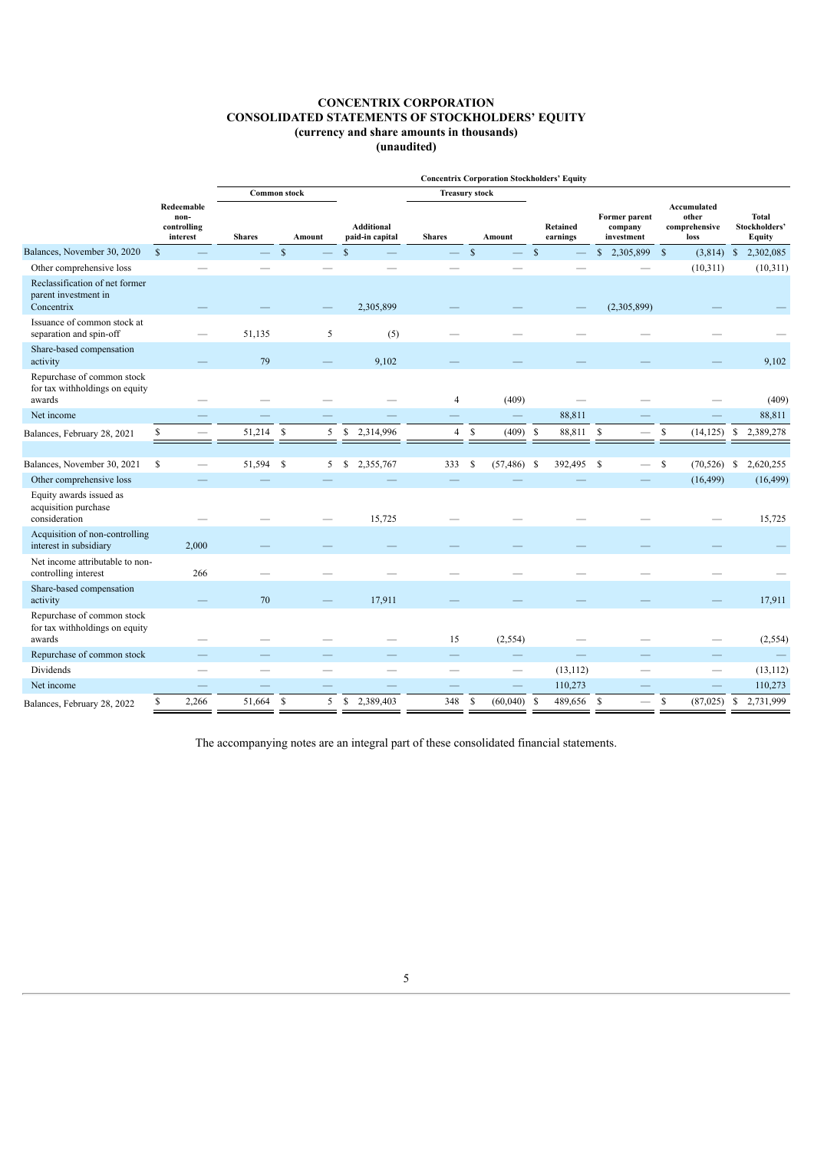# **CONCENTRIX CORPORATION CONSOLIDATED STATEMENTS OF STOCKHOLDERS' EQUITY (currency and share amounts in thousands) (unaudited)**

<span id="page-6-0"></span>

|                                                                        |                                               |                     |               |        |               |                                      |                                |               | <b>Concentrix Corporation Stockholders' Equity</b> |             |                      |               |                                        |              |                                               |                                  |
|------------------------------------------------------------------------|-----------------------------------------------|---------------------|---------------|--------|---------------|--------------------------------------|--------------------------------|---------------|----------------------------------------------------|-------------|----------------------|---------------|----------------------------------------|--------------|-----------------------------------------------|----------------------------------|
|                                                                        |                                               | <b>Common stock</b> |               |        |               |                                      | <b>Treasury stock</b>          |               |                                                    |             |                      |               |                                        |              |                                               |                                  |
|                                                                        | Redeemable<br>non-<br>controlling<br>interest | <b>Shares</b>       |               | Amount |               | <b>Additional</b><br>paid-in capital | <b>Shares</b>                  |               | Amount                                             |             | Retained<br>earnings |               | Former parent<br>company<br>investment |              | Accumulated<br>other<br>comprehensive<br>loss | Total<br>Stockholders'<br>Equity |
| Balances, November 30, 2020                                            | $\mathbb{S}$                                  | $\equiv$            | $\mathbf S$   |        | $\mathcal{S}$ |                                      |                                | $\mathsf{\$}$ |                                                    | $\mathbf S$ |                      | $\mathbb{S}$  | 2,305,899                              | $\mathbb{S}$ | $(3,814)$ \$                                  | 2,302,085                        |
| Other comprehensive loss                                               |                                               |                     |               |        |               |                                      |                                |               |                                                    |             |                      |               |                                        |              | (10,311)                                      | (10,311)                         |
| Reclassification of net former<br>parent investment in<br>Concentrix   |                                               |                     |               |        |               | 2,305,899                            |                                |               |                                                    |             |                      |               | (2,305,899)                            |              |                                               |                                  |
| Issuance of common stock at<br>separation and spin-off                 |                                               | 51,135              |               | 5      |               | (5)                                  |                                |               |                                                    |             |                      |               |                                        |              |                                               |                                  |
| Share-based compensation<br>activity                                   |                                               | 79                  |               |        |               | 9,102                                |                                |               |                                                    |             |                      |               |                                        |              |                                               | 9,102                            |
| Repurchase of common stock<br>for tax withholdings on equity<br>awards |                                               |                     |               |        |               |                                      | 4                              |               | (409)                                              |             |                      |               |                                        |              |                                               | (409)                            |
| Net income                                                             |                                               |                     |               |        |               |                                      |                                |               |                                                    |             | 88,811               |               |                                        |              |                                               | 88,811                           |
| Balances, February 28, 2021                                            | \$<br>$\equiv$                                | 51,214 \$           |               |        |               | 5 \$ 2,314,996                       |                                | 4S            | $(409)$ \$                                         |             | 88,811 \$            |               | $\frac{1}{2}$                          | $\mathbb{S}$ |                                               | $(14,125)$ \$ 2,389,278          |
|                                                                        |                                               |                     |               |        |               |                                      |                                |               |                                                    |             |                      |               |                                        |              |                                               |                                  |
| Balances, November 30, 2021                                            | \$                                            | 51,594              | <sup>\$</sup> | 5      | \$            | 2,355,767                            | 333                            | <sup>\$</sup> | $(57, 486)$ \$                                     |             | 392,495              | \$            |                                        | \$           | $(70,526)$ \$                                 | 2,620,255                        |
| Other comprehensive loss                                               |                                               |                     |               |        |               |                                      |                                |               |                                                    |             |                      |               |                                        |              | (16, 499)                                     | (16, 499)                        |
| Equity awards issued as<br>acquisition purchase<br>consideration       |                                               |                     |               |        |               | 15,725                               |                                |               |                                                    |             |                      |               |                                        |              |                                               | 15,725                           |
| Acquisition of non-controlling<br>interest in subsidiary               | 2,000                                         |                     |               |        |               |                                      |                                |               |                                                    |             |                      |               |                                        |              |                                               |                                  |
| Net income attributable to non-<br>controlling interest                | 266                                           |                     |               |        |               |                                      |                                |               |                                                    |             |                      |               |                                        |              |                                               |                                  |
| Share-based compensation<br>activity                                   |                                               | 70                  |               |        |               | 17,911                               |                                |               |                                                    |             |                      |               |                                        |              |                                               | 17,911                           |
| Repurchase of common stock<br>for tax withholdings on equity<br>awards |                                               |                     |               |        |               |                                      | 15                             |               | (2, 554)                                           |             |                      |               |                                        |              | —                                             | (2, 554)                         |
| Repurchase of common stock                                             |                                               |                     |               |        |               |                                      | -                              |               | $\qquad \qquad \longleftarrow$                     |             |                      |               |                                        |              | $\overline{\phantom{0}}$                      |                                  |
| Dividends                                                              |                                               |                     |               |        |               | $\overline{\phantom{0}}$             | $\qquad \qquad \longleftarrow$ |               |                                                    |             | (13, 112)            |               | $\overline{\phantom{0}}$               |              | $\overline{\phantom{0}}$                      | (13, 112)                        |
| Net income                                                             |                                               |                     |               |        |               |                                      |                                |               | $\overline{\phantom{a}}$                           |             | 110,273              |               |                                        |              | -                                             | 110,273                          |
| Balances, February 28, 2022                                            | \$<br>2,266                                   | 51,664              | <sup>S</sup>  | 5      | \$            | 2,389,403                            | 348                            | \$            | (60,040)                                           | -S          | 489,656              | <sup>\$</sup> | $\qquad \qquad -$                      | $\mathbb{S}$ | $(87,025)$ \$                                 | 2,731,999                        |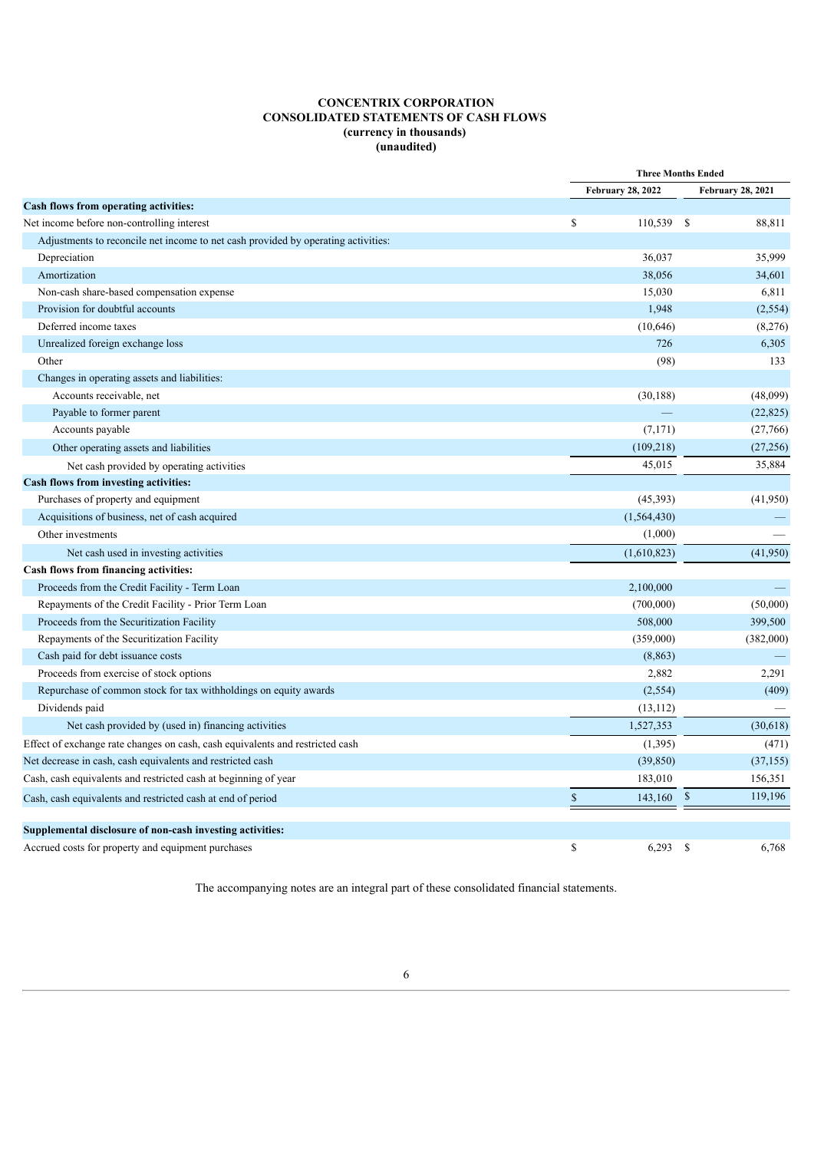# **CONCENTRIX CORPORATION CONSOLIDATED STATEMENTS OF CASH FLOWS (currency in thousands) (unaudited)**

<span id="page-7-0"></span>

|                                                                                   |                          | <b>Three Months Ended</b> |                          |  |  |  |
|-----------------------------------------------------------------------------------|--------------------------|---------------------------|--------------------------|--|--|--|
|                                                                                   | <b>February 28, 2022</b> |                           | <b>February 28, 2021</b> |  |  |  |
| Cash flows from operating activities:                                             |                          |                           |                          |  |  |  |
| Net income before non-controlling interest                                        | \$<br>110,539            | - \$                      | 88,811                   |  |  |  |
| Adjustments to reconcile net income to net cash provided by operating activities: |                          |                           |                          |  |  |  |
| Depreciation                                                                      | 36,037                   |                           | 35,999                   |  |  |  |
| Amortization                                                                      | 38,056                   |                           | 34,601                   |  |  |  |
| Non-cash share-based compensation expense                                         | 15,030                   |                           | 6,811                    |  |  |  |
| Provision for doubtful accounts                                                   | 1,948                    |                           | (2, 554)                 |  |  |  |
| Deferred income taxes                                                             | (10,646)                 |                           | (8,276)                  |  |  |  |
| Unrealized foreign exchange loss                                                  | 726                      |                           | 6,305                    |  |  |  |
| Other                                                                             | (98)                     |                           | 133                      |  |  |  |
| Changes in operating assets and liabilities:                                      |                          |                           |                          |  |  |  |
| Accounts receivable, net                                                          | (30, 188)                |                           | (48,099)                 |  |  |  |
| Payable to former parent                                                          |                          |                           | (22, 825)                |  |  |  |
| Accounts payable                                                                  | (7,171)                  |                           | (27,766)                 |  |  |  |
| Other operating assets and liabilities                                            | (109, 218)               |                           | (27, 256)                |  |  |  |
| Net cash provided by operating activities                                         | 45,015                   |                           | 35,884                   |  |  |  |
| Cash flows from investing activities:                                             |                          |                           |                          |  |  |  |
| Purchases of property and equipment                                               | (45,393)                 |                           | (41,950)                 |  |  |  |
| Acquisitions of business, net of cash acquired                                    | (1, 564, 430)            |                           |                          |  |  |  |
| Other investments                                                                 | (1,000)                  |                           |                          |  |  |  |
| Net cash used in investing activities                                             | (1,610,823)              |                           | (41,950)                 |  |  |  |
| Cash flows from financing activities:                                             |                          |                           |                          |  |  |  |
| Proceeds from the Credit Facility - Term Loan                                     | 2,100,000                |                           |                          |  |  |  |
| Repayments of the Credit Facility - Prior Term Loan                               | (700,000)                |                           | (50,000)                 |  |  |  |
| Proceeds from the Securitization Facility                                         | 508,000                  |                           | 399,500                  |  |  |  |
| Repayments of the Securitization Facility                                         | (359,000)                |                           | (382,000)                |  |  |  |
| Cash paid for debt issuance costs                                                 | (8, 863)                 |                           |                          |  |  |  |
| Proceeds from exercise of stock options                                           | 2,882                    |                           | 2,291                    |  |  |  |
| Repurchase of common stock for tax withholdings on equity awards                  | (2, 554)                 |                           | (409)                    |  |  |  |
| Dividends paid                                                                    | (13, 112)                |                           |                          |  |  |  |
| Net cash provided by (used in) financing activities                               | 1,527,353                |                           | (30,618)                 |  |  |  |
| Effect of exchange rate changes on cash, cash equivalents and restricted cash     | (1,395)                  |                           | (471)                    |  |  |  |
| Net decrease in cash, cash equivalents and restricted cash                        | (39, 850)                |                           | (37, 155)                |  |  |  |
| Cash, cash equivalents and restricted cash at beginning of year                   | 183,010                  |                           | 156,351                  |  |  |  |
| Cash, cash equivalents and restricted cash at end of period                       | $\mathbb S$<br>143,160   | $\mathbb{S}$              | 119,196                  |  |  |  |
|                                                                                   |                          |                           |                          |  |  |  |
| Supplemental disclosure of non-cash investing activities:                         |                          |                           |                          |  |  |  |
| Accrued costs for property and equipment purchases                                | \$<br>6,293              | \$                        | 6,768                    |  |  |  |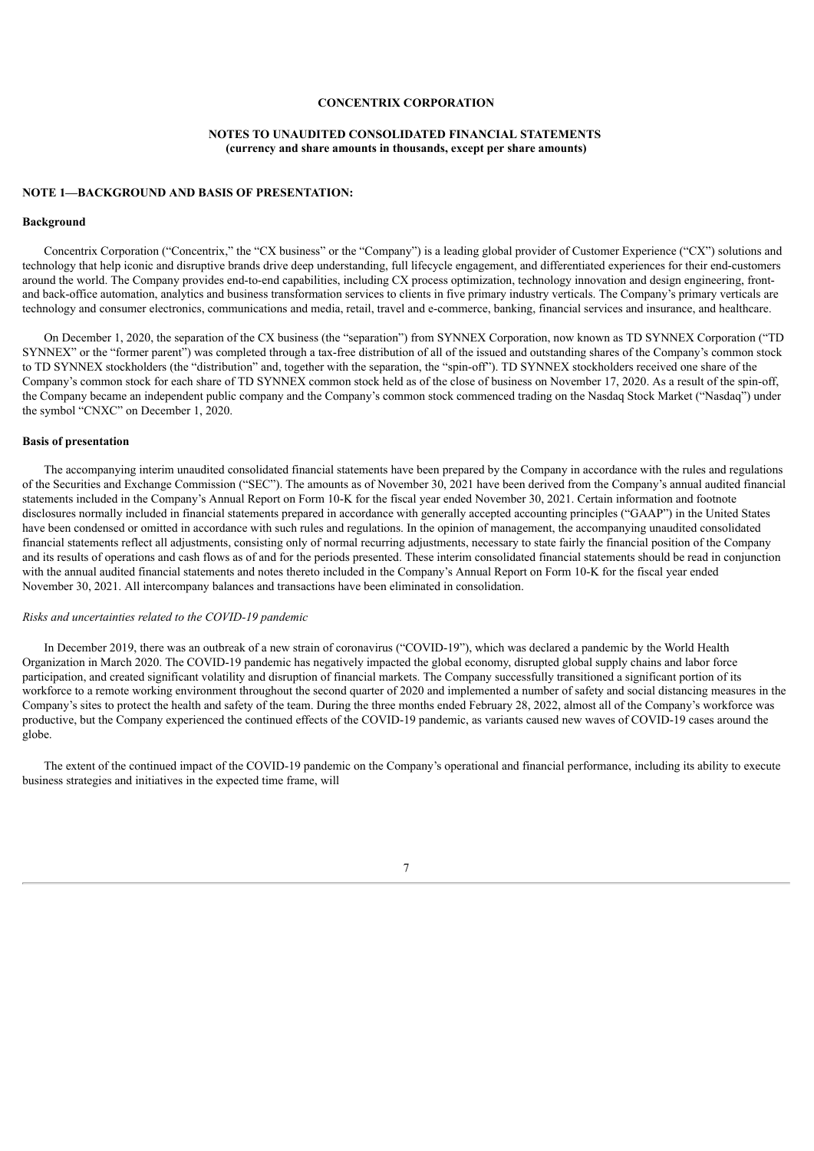## **CONCENTRIX CORPORATION**

## **NOTES TO UNAUDITED CONSOLIDATED FINANCIAL STATEMENTS (currency and share amounts in thousands, except per share amounts)**

## **NOTE 1—BACKGROUND AND BASIS OF PRESENTATION:**

#### **Background**

Concentrix Corporation ("Concentrix," the "CX business" or the "Company") is a leading global provider of Customer Experience ("CX") solutions and technology that help iconic and disruptive brands drive deep understanding, full lifecycle engagement, and differentiated experiences for their end-customers around the world. The Company provides end-to-end capabilities, including CX process optimization, technology innovation and design engineering, frontand back-office automation, analytics and business transformation services to clients in five primary industry verticals. The Company's primary verticals are technology and consumer electronics, communications and media, retail, travel and e-commerce, banking, financial services and insurance, and healthcare.

On December 1, 2020, the separation of the CX business (the "separation") from SYNNEX Corporation, now known as TD SYNNEX Corporation ("TD SYNNEX" or the "former parent") was completed through a tax-free distribution of all of the issued and outstanding shares of the Company's common stock to TD SYNNEX stockholders (the "distribution" and, together with the separation, the "spin-off"). TD SYNNEX stockholders received one share of the Company's common stock for each share of TD SYNNEX common stock held as of the close of business on November 17, 2020. As a result of the spin-off, the Company became an independent public company and the Company's common stock commenced trading on the Nasdaq Stock Market ("Nasdaq") under the symbol "CNXC" on December 1, 2020.

## **Basis of presentation**

The accompanying interim unaudited consolidated financial statements have been prepared by the Company in accordance with the rules and regulations of the Securities and Exchange Commission ("SEC"). The amounts as of November 30, 2021 have been derived from the Company's annual audited financial statements included in the Company's Annual Report on Form 10-K for the fiscal year ended November 30, 2021. Certain information and footnote disclosures normally included in financial statements prepared in accordance with generally accepted accounting principles ("GAAP") in the United States have been condensed or omitted in accordance with such rules and regulations. In the opinion of management, the accompanying unaudited consolidated financial statements reflect all adjustments, consisting only of normal recurring adjustments, necessary to state fairly the financial position of the Company and its results of operations and cash flows as of and for the periods presented. These interim consolidated financial statements should be read in conjunction with the annual audited financial statements and notes thereto included in the Company's Annual Report on Form 10-K for the fiscal year ended November 30, 2021. All intercompany balances and transactions have been eliminated in consolidation.

#### *Risks and uncertainties related to the COVID-19 pandemic*

In December 2019, there was an outbreak of a new strain of coronavirus ("COVID-19"), which was declared a pandemic by the World Health Organization in March 2020. The COVID-19 pandemic has negatively impacted the global economy, disrupted global supply chains and labor force participation, and created significant volatility and disruption of financial markets. The Company successfully transitioned a significant portion of its workforce to a remote working environment throughout the second quarter of 2020 and implemented a number of safety and social distancing measures in the Company's sites to protect the health and safety of the team. During the three months ended February 28, 2022, almost all of the Company's workforce was productive, but the Company experienced the continued effects of the COVID-19 pandemic, as variants caused new waves of COVID-19 cases around the globe.

The extent of the continued impact of the COVID-19 pandemic on the Company's operational and financial performance, including its ability to execute business strategies and initiatives in the expected time frame, will

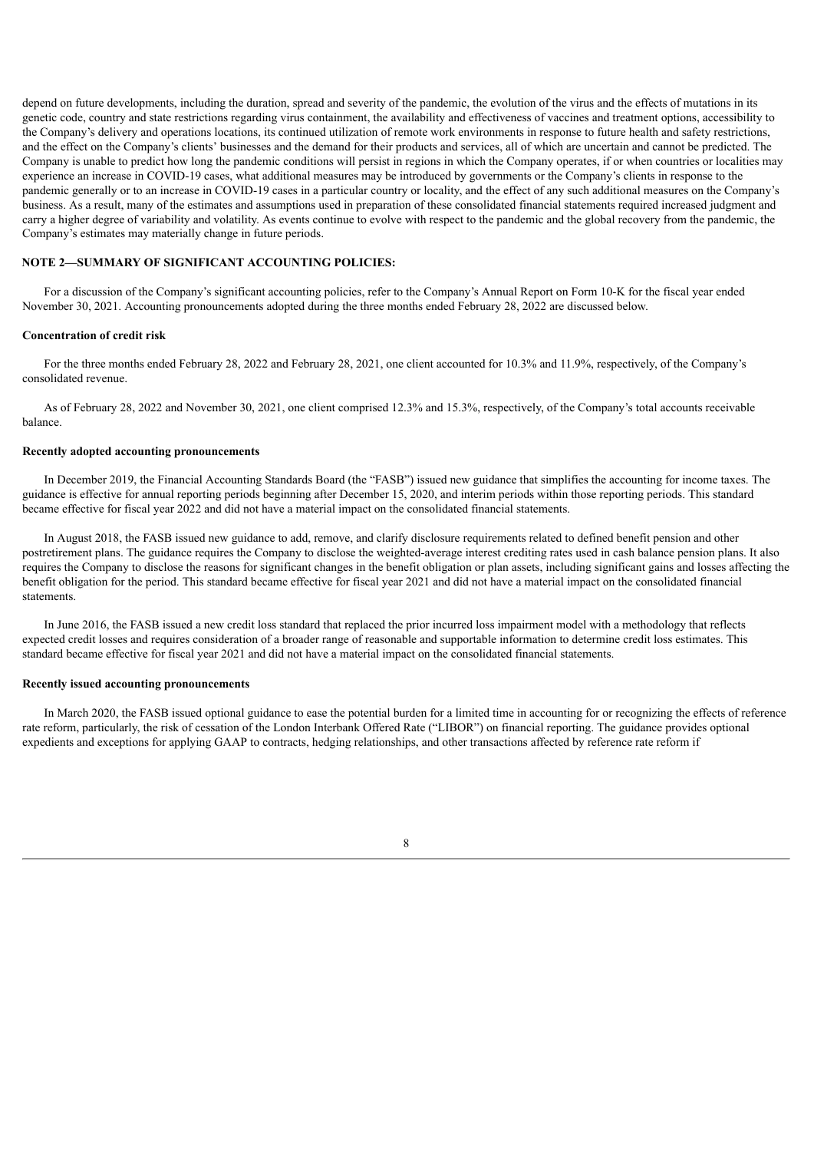depend on future developments, including the duration, spread and severity of the pandemic, the evolution of the virus and the effects of mutations in its genetic code, country and state restrictions regarding virus containment, the availability and effectiveness of vaccines and treatment options, accessibility to the Company's delivery and operations locations, its continued utilization of remote work environments in response to future health and safety restrictions, and the effect on the Company's clients' businesses and the demand for their products and services, all of which are uncertain and cannot be predicted. The Company is unable to predict how long the pandemic conditions will persist in regions in which the Company operates, if or when countries or localities may experience an increase in COVID-19 cases, what additional measures may be introduced by governments or the Company's clients in response to the pandemic generally or to an increase in COVID-19 cases in a particular country or locality, and the effect of any such additional measures on the Company's business. As a result, many of the estimates and assumptions used in preparation of these consolidated financial statements required increased judgment and carry a higher degree of variability and volatility. As events continue to evolve with respect to the pandemic and the global recovery from the pandemic, the Company's estimates may materially change in future periods.

# **NOTE 2—SUMMARY OF SIGNIFICANT ACCOUNTING POLICIES:**

For a discussion of the Company's significant accounting policies, refer to the Company's Annual Report on Form 10-K for the fiscal year ended November 30, 2021. Accounting pronouncements adopted during the three months ended February 28, 2022 are discussed below.

### **Concentration of credit risk**

For the three months ended February 28, 2022 and February 28, 2021, one client accounted for 10.3% and 11.9%, respectively, of the Company's consolidated revenue.

As of February 28, 2022 and November 30, 2021, one client comprised 12.3% and 15.3%, respectively, of the Company's total accounts receivable balance.

#### **Recently adopted accounting pronouncements**

In December 2019, the Financial Accounting Standards Board (the "FASB") issued new guidance that simplifies the accounting for income taxes. The guidance is effective for annual reporting periods beginning after December 15, 2020, and interim periods within those reporting periods. This standard became effective for fiscal year 2022 and did not have a material impact on the consolidated financial statements.

In August 2018, the FASB issued new guidance to add, remove, and clarify disclosure requirements related to defined benefit pension and other postretirement plans. The guidance requires the Company to disclose the weighted-average interest crediting rates used in cash balance pension plans. It also requires the Company to disclose the reasons for significant changes in the benefit obligation or plan assets, including significant gains and losses affecting the benefit obligation for the period. This standard became effective for fiscal year 2021 and did not have a material impact on the consolidated financial statements.

In June 2016, the FASB issued a new credit loss standard that replaced the prior incurred loss impairment model with a methodology that reflects expected credit losses and requires consideration of a broader range of reasonable and supportable information to determine credit loss estimates. This standard became effective for fiscal year 2021 and did not have a material impact on the consolidated financial statements.

## **Recently issued accounting pronouncements**

In March 2020, the FASB issued optional guidance to ease the potential burden for a limited time in accounting for or recognizing the effects of reference rate reform, particularly, the risk of cessation of the London Interbank Offered Rate ("LIBOR") on financial reporting. The guidance provides optional expedients and exceptions for applying GAAP to contracts, hedging relationships, and other transactions affected by reference rate reform if

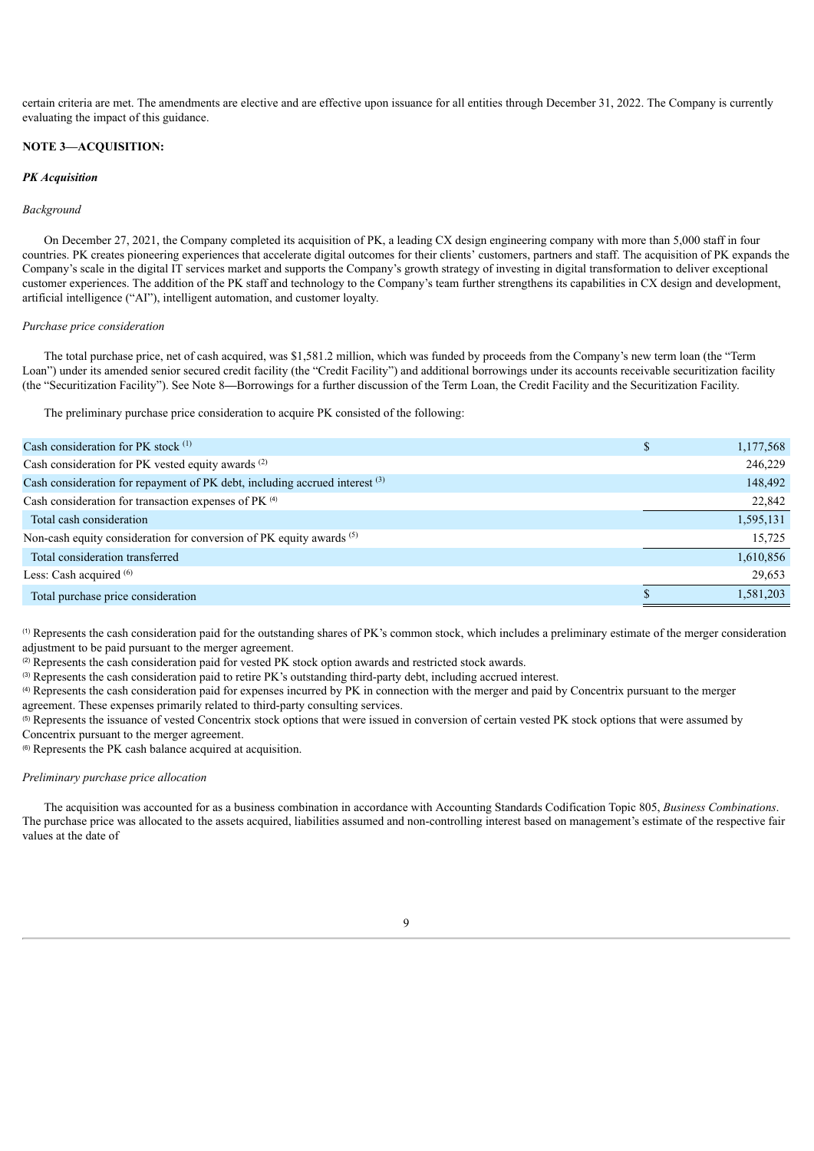certain criteria are met. The amendments are elective and are effective upon issuance for all entities through December 31, 2022. The Company is currently evaluating the impact of this guidance.

## **NOTE 3—ACQUISITION:**

#### *PK Acquisition*

#### *Background*

On December 27, 2021, the Company completed its acquisition of PK, a leading CX design engineering company with more than 5,000 staff in four countries. PK creates pioneering experiences that accelerate digital outcomes for their clients' customers, partners and staff. The acquisition of PK expands the Company's scale in the digital IT services market and supports the Company's growth strategy of investing in digital transformation to deliver exceptional customer experiences. The addition of the PK staff and technology to the Company's team further strengthens its capabilities in CX design and development, artificial intelligence ("AI"), intelligent automation, and customer loyalty.

## *Purchase price consideration*

The total purchase price, net of cash acquired, was \$1,581.2 million, which was funded by proceeds from the Company's new term loan (the "Term Loan") under its amended senior secured credit facility (the "Credit Facility") and additional borrowings under its accounts receivable securitization facility (the "Securitization Facility"). See Note 8**—**Borrowings for a further discussion of the Term Loan, the Credit Facility and the Securitization Facility.

The preliminary purchase price consideration to acquire PK consisted of the following:

| Cash consideration for PK stock $(1)$                                           | 1,177,568 |
|---------------------------------------------------------------------------------|-----------|
| Cash consideration for PK vested equity awards <sup>(2)</sup>                   | 246,229   |
| Cash consideration for repayment of PK debt, including accrued interest (3)     | 148,492   |
| Cash consideration for transaction expenses of PK <sup>(4)</sup>                | 22,842    |
| Total cash consideration                                                        | 1,595,131 |
| Non-cash equity consideration for conversion of PK equity awards <sup>(5)</sup> | 15,725    |
| Total consideration transferred                                                 | 1,610,856 |
| Less: Cash acquired (6)                                                         | 29,653    |
| Total purchase price consideration                                              | 1,581,203 |
|                                                                                 |           |

Represents the cash consideration paid for the outstanding shares of PK's common stock, which includes a preliminary estimate of the merger consideration (1) adjustment to be paid pursuant to the merger agreement.

 $(2)$  Represents the cash consideration paid for vested PK stock option awards and restricted stock awards.

(3) Represents the cash consideration paid to retire PK's outstanding third-party debt, including accrued interest.

Represents the cash consideration paid for expenses incurred by PK in connection with the merger and paid by Concentrix pursuant to the merger (4) agreement. These expenses primarily related to third-party consulting services.

Represents the issuance of vested Concentrix stock options that were issued in conversion of certain vested PK stock options that were assumed by (5) Concentrix pursuant to the merger agreement.

Represents the PK cash balance acquired at acquisition. (6)

#### *Preliminary purchase price allocation*

The acquisition was accounted for as a business combination in accordance with Accounting Standards Codification Topic 805, *Business Combinations*. The purchase price was allocated to the assets acquired, liabilities assumed and non-controlling interest based on management's estimate of the respective fair values at the date of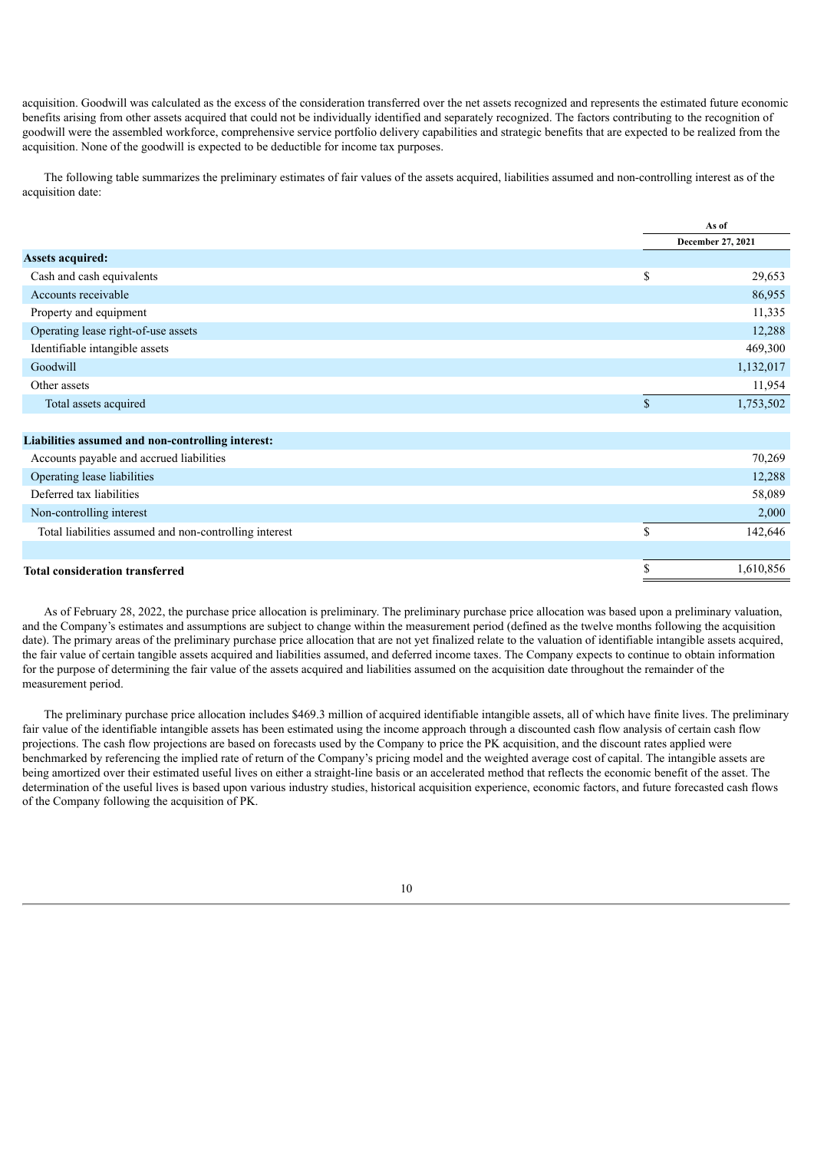acquisition. Goodwill was calculated as the excess of the consideration transferred over the net assets recognized and represents the estimated future economic benefits arising from other assets acquired that could not be individually identified and separately recognized. The factors contributing to the recognition of goodwill were the assembled workforce, comprehensive service portfolio delivery capabilities and strategic benefits that are expected to be realized from the acquisition. None of the goodwill is expected to be deductible for income tax purposes.

The following table summarizes the preliminary estimates of fair values of the assets acquired, liabilities assumed and non-controlling interest as of the acquisition date:

| As of       |                   |  |  |  |  |
|-------------|-------------------|--|--|--|--|
|             | December 27, 2021 |  |  |  |  |
|             |                   |  |  |  |  |
| \$          | 29,653            |  |  |  |  |
|             | 86,955            |  |  |  |  |
|             | 11,335            |  |  |  |  |
|             | 12,288            |  |  |  |  |
|             | 469,300           |  |  |  |  |
|             | 1,132,017         |  |  |  |  |
|             | 11,954            |  |  |  |  |
| \$          | 1,753,502         |  |  |  |  |
|             |                   |  |  |  |  |
|             |                   |  |  |  |  |
|             | 70,269            |  |  |  |  |
|             | 12,288            |  |  |  |  |
|             | 58,089            |  |  |  |  |
|             | 2,000             |  |  |  |  |
| $\mathbf S$ | 142,646           |  |  |  |  |
|             |                   |  |  |  |  |
|             | 1,610,856         |  |  |  |  |
|             |                   |  |  |  |  |

As of February 28, 2022, the purchase price allocation is preliminary. The preliminary purchase price allocation was based upon a preliminary valuation, and the Company's estimates and assumptions are subject to change within the measurement period (defined as the twelve months following the acquisition date). The primary areas of the preliminary purchase price allocation that are not yet finalized relate to the valuation of identifiable intangible assets acquired, the fair value of certain tangible assets acquired and liabilities assumed, and deferred income taxes. The Company expects to continue to obtain information for the purpose of determining the fair value of the assets acquired and liabilities assumed on the acquisition date throughout the remainder of the measurement period.

The preliminary purchase price allocation includes \$469.3 million of acquired identifiable intangible assets, all of which have finite lives. The preliminary fair value of the identifiable intangible assets has been estimated using the income approach through a discounted cash flow analysis of certain cash flow projections. The cash flow projections are based on forecasts used by the Company to price the PK acquisition, and the discount rates applied were benchmarked by referencing the implied rate of return of the Company's pricing model and the weighted average cost of capital. The intangible assets are being amortized over their estimated useful lives on either a straight-line basis or an accelerated method that reflects the economic benefit of the asset. The determination of the useful lives is based upon various industry studies, historical acquisition experience, economic factors, and future forecasted cash flows of the Company following the acquisition of PK.

10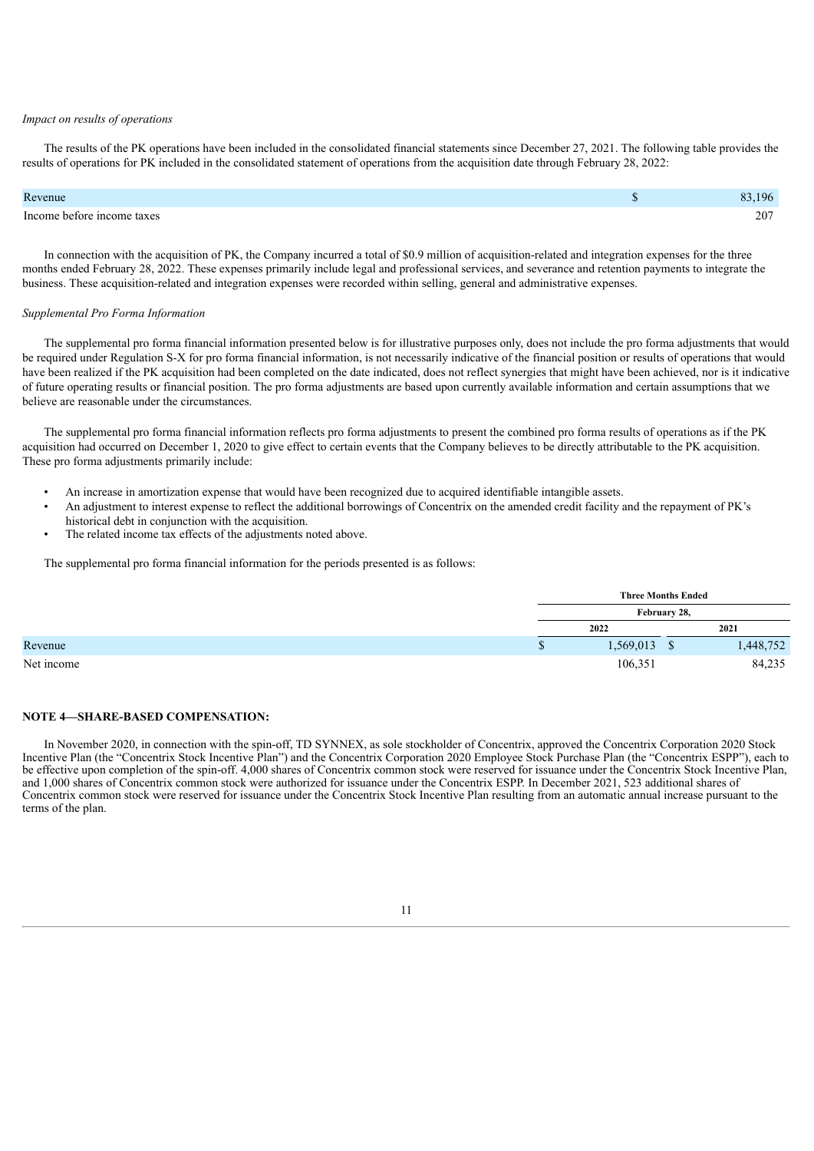#### *Impact on results of operations*

The results of the PK operations have been included in the consolidated financial statements since December 27, 2021. The following table provides the results of operations for PK included in the consolidated statement of operations from the acquisition date through February 28, 2022:

| Revenue                    | 83,196 |
|----------------------------|--------|
| Income before income taxes | 207    |

In connection with the acquisition of PK, the Company incurred a total of \$0.9 million of acquisition-related and integration expenses for the three months ended February 28, 2022. These expenses primarily include legal and professional services, and severance and retention payments to integrate the business. These acquisition-related and integration expenses were recorded within selling, general and administrative expenses.

#### *Supplemental Pro Forma Information*

The supplemental pro forma financial information presented below is for illustrative purposes only, does not include the pro forma adjustments that would be required under Regulation S-X for pro forma financial information, is not necessarily indicative of the financial position or results of operations that would have been realized if the PK acquisition had been completed on the date indicated, does not reflect synergies that might have been achieved, nor is it indicative of future operating results or financial position. The pro forma adjustments are based upon currently available information and certain assumptions that we believe are reasonable under the circumstances.

The supplemental pro forma financial information reflects pro forma adjustments to present the combined pro forma results of operations as if the PK acquisition had occurred on December 1, 2020 to give effect to certain events that the Company believes to be directly attributable to the PK acquisition. These pro forma adjustments primarily include:

- An increase in amortization expense that would have been recognized due to acquired identifiable intangible assets.
- An adjustment to interest expense to reflect the additional borrowings of Concentrix on the amended credit facility and the repayment of PK's historical debt in conjunction with the acquisition.
- The related income tax effects of the adjustments noted above.

The supplemental pro forma financial information for the periods presented is as follows:

| <b>Three Months Ended</b> |           |  |  |  |
|---------------------------|-----------|--|--|--|
| February 28,              |           |  |  |  |
| 2021                      | 2022      |  |  |  |
| 1,448,752<br>S            | 1,569,013 |  |  |  |
| 84,235                    | 106,351   |  |  |  |

## **NOTE 4—SHARE-BASED COMPENSATION:**

In November 2020, in connection with the spin-off, TD SYNNEX, as sole stockholder of Concentrix, approved the Concentrix Corporation 2020 Stock Incentive Plan (the "Concentrix Stock Incentive Plan") and the Concentrix Corporation 2020 Employee Stock Purchase Plan (the "Concentrix ESPP"), each to be effective upon completion of the spin-off. 4,000 shares of Concentrix common stock were reserved for issuance under the Concentrix Stock Incentive Plan, and 1,000 shares of Concentrix common stock were authorized for issuance under the Concentrix ESPP. In December 2021, 523 additional shares of Concentrix common stock were reserved for issuance under the Concentrix Stock Incentive Plan resulting from an automatic annual increase pursuant to the terms of the plan.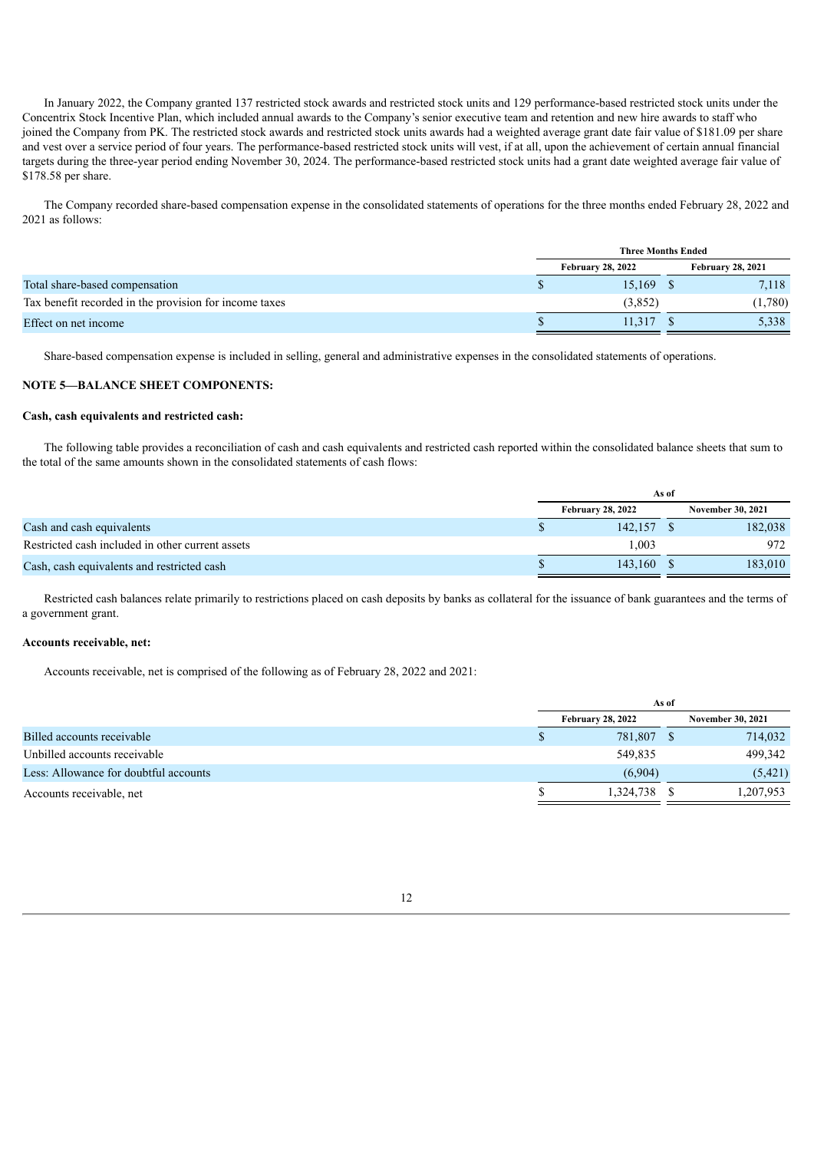In January 2022, the Company granted 137 restricted stock awards and restricted stock units and 129 performance-based restricted stock units under the Concentrix Stock Incentive Plan, which included annual awards to the Company's senior executive team and retention and new hire awards to staff who joined the Company from PK. The restricted stock awards and restricted stock units awards had a weighted average grant date fair value of \$181.09 per share and vest over a service period of four years. The performance-based restricted stock units will vest, if at all, upon the achievement of certain annual financial targets during the three-year period ending November 30, 2024. The performance-based restricted stock units had a grant date weighted average fair value of \$178.58 per share.

The Company recorded share-based compensation expense in the consolidated statements of operations for the three months ended February 28, 2022 and 2021 as follows:

|                                                        | <b>Three Months Ended</b> |  |                          |  |  |  |
|--------------------------------------------------------|---------------------------|--|--------------------------|--|--|--|
|                                                        | <b>February 28, 2022</b>  |  | <b>February 28, 2021</b> |  |  |  |
| Total share-based compensation                         | 15.169                    |  | 7,118                    |  |  |  |
| Tax benefit recorded in the provision for income taxes | (3,852)                   |  | (1,780)                  |  |  |  |
| Effect on net income                                   | 11.317                    |  | 5,338                    |  |  |  |

Share-based compensation expense is included in selling, general and administrative expenses in the consolidated statements of operations.

# **NOTE 5—BALANCE SHEET COMPONENTS:**

#### **Cash, cash equivalents and restricted cash:**

The following table provides a reconciliation of cash and cash equivalents and restricted cash reported within the consolidated balance sheets that sum to the total of the same amounts shown in the consolidated statements of cash flows:

|                                                  |                          | As of   |                          |         |  |  |
|--------------------------------------------------|--------------------------|---------|--------------------------|---------|--|--|
|                                                  | <b>February 28, 2022</b> |         | <b>November 30, 2021</b> |         |  |  |
| Cash and cash equivalents                        |                          | 142.157 |                          | 182,038 |  |  |
| Restricted cash included in other current assets |                          | 1.003   |                          | 972     |  |  |
| Cash, cash equivalents and restricted cash       |                          | 143.160 |                          | 183,010 |  |  |

Restricted cash balances relate primarily to restrictions placed on cash deposits by banks as collateral for the issuance of bank guarantees and the terms of a government grant.

#### **Accounts receivable, net:**

Accounts receivable, net is comprised of the following as of February 28, 2022 and 2021:

|                                       | As of                    |  |                          |  |  |
|---------------------------------------|--------------------------|--|--------------------------|--|--|
|                                       | <b>February 28, 2022</b> |  | <b>November 30, 2021</b> |  |  |
| Billed accounts receivable            | 781.807                  |  | 714,032                  |  |  |
| Unbilled accounts receivable          | 549,835                  |  | 499,342                  |  |  |
| Less: Allowance for doubtful accounts | (6.904)                  |  | (5, 421)                 |  |  |
| Accounts receivable, net              | 1.324.738                |  | .207,953                 |  |  |

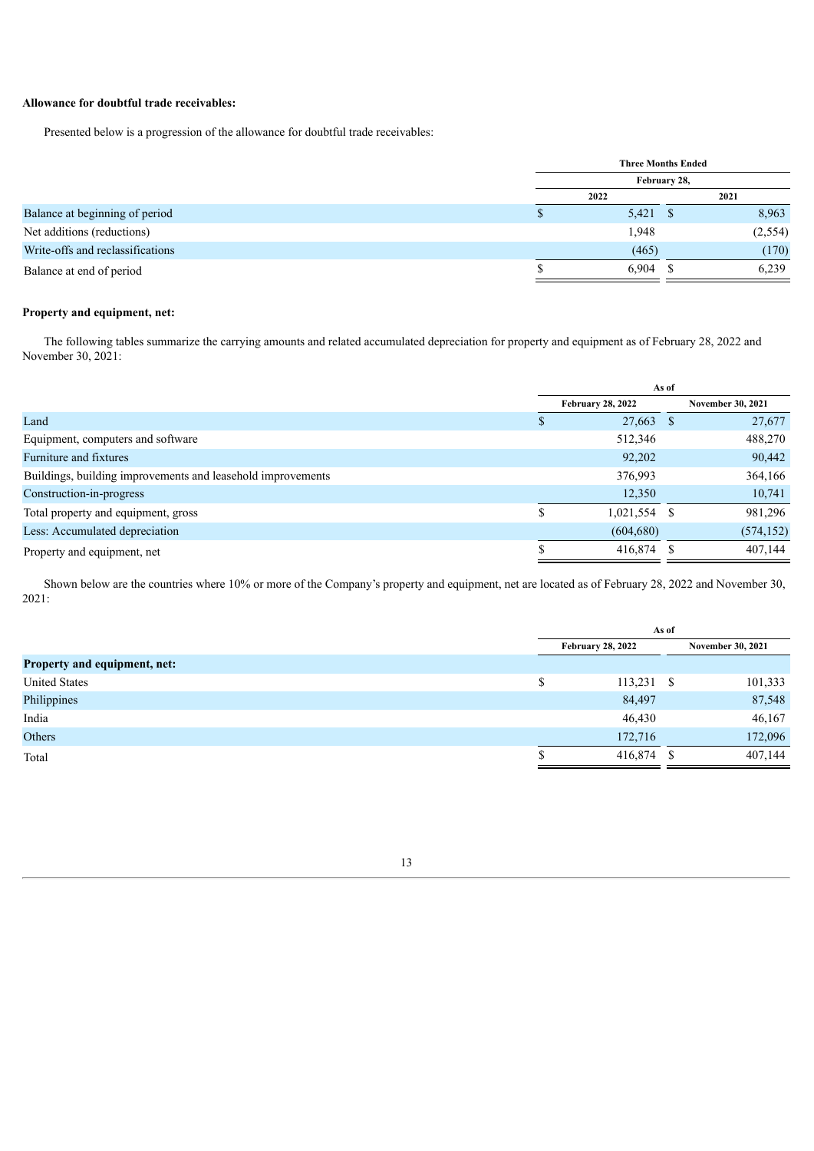# **Allowance for doubtful trade receivables:**

Presented below is a progression of the allowance for doubtful trade receivables:

|                                  |    | <b>Three Months Ended</b> |              |          |  |  |  |
|----------------------------------|----|---------------------------|--------------|----------|--|--|--|
|                                  |    |                           | February 28, |          |  |  |  |
|                                  |    | 2022                      |              | 2021     |  |  |  |
| Balance at beginning of period   | ۰D | 5,421                     |              | 8,963    |  |  |  |
| Net additions (reductions)       |    | 1,948                     |              | (2, 554) |  |  |  |
| Write-offs and reclassifications |    | (465)                     |              | (170)    |  |  |  |
| Balance at end of period         |    | 6,904                     |              | 6,239    |  |  |  |

# **Property and equipment, net:**

The following tables summarize the carrying amounts and related accumulated depreciation for property and equipment as of February 28, 2022 and November 30, 2021:

|                                                             | As of   |                          |    |                          |  |  |
|-------------------------------------------------------------|---------|--------------------------|----|--------------------------|--|--|
|                                                             |         | <b>February 28, 2022</b> |    | <b>November 30, 2021</b> |  |  |
| Land                                                        |         | 27,663                   | -S | 27,677                   |  |  |
| Equipment, computers and software                           |         | 512,346                  |    | 488,270                  |  |  |
| Furniture and fixtures                                      | 92,202  |                          |    |                          |  |  |
| Buildings, building improvements and leasehold improvements | 376,993 |                          |    |                          |  |  |
| Construction-in-progress                                    |         | 12,350                   |    | 10,741                   |  |  |
| Total property and equipment, gross                         |         | 1,021,554                | -S | 981,296                  |  |  |
| Less: Accumulated depreciation                              |         | (604, 680)               |    | (574, 152)               |  |  |
| Property and equipment, net                                 |         | 416,874                  |    | 407,144                  |  |  |

Shown below are the countries where 10% or more of the Company's property and equipment, net are located as of February 28, 2022 and November 30, 2021:

|                              | As of |                          |  |                          |  |
|------------------------------|-------|--------------------------|--|--------------------------|--|
|                              |       | <b>February 28, 2022</b> |  | <b>November 30, 2021</b> |  |
| Property and equipment, net: |       |                          |  |                          |  |
| <b>United States</b>         |       | $113,231$ \$             |  | 101,333                  |  |
| Philippines                  |       | 84,497                   |  | 87,548                   |  |
| India                        |       | 46,430                   |  | 46,167                   |  |
| Others                       |       | 172,716                  |  | 172,096                  |  |
| Total                        |       | 416,874                  |  | 407,144                  |  |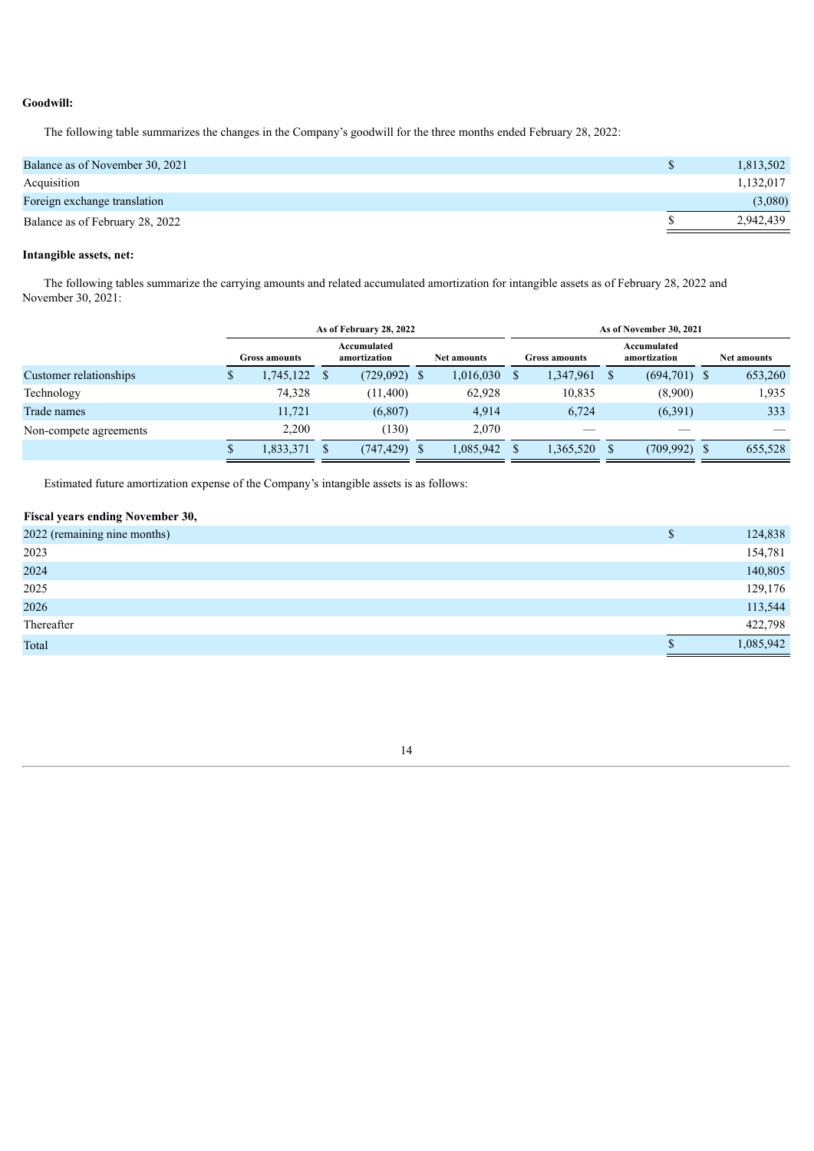# **Goodwill:**

The following table summarizes the changes in the Company's goodwill for the three months ended February 28, 2022:

| Balance as of November 30, 2021 | 1,813,502 |
|---------------------------------|-----------|
| Acquisition                     | 1,132,017 |
| Foreign exchange translation    | (3,080)   |
| Balance as of February 28, 2022 | 2,942,439 |

# **Intangible assets, net:**

The following tables summarize the carrying amounts and related accumulated amortization for intangible assets as of February 28, 2022 and November 30, 2021:

|                        |                      |           | As of February 28, 2022     |             |           |              | As of November 30, 2021 |  |                    |  |         |  |
|------------------------|----------------------|-----------|-----------------------------|-------------|-----------|--------------|-------------------------|--|--------------------|--|---------|--|
|                        | <b>Gross amounts</b> |           | Accumulated<br>amortization | Net amounts |           |              | <b>Gross amounts</b>    |  | <b>Net amounts</b> |  |         |  |
| Customer relationships | P                    | 1,745,122 | $(729,092)$ \$              |             | 1,016,030 | $\mathbb{S}$ | 1,347,961               |  | $(694,701)$ \$     |  | 653,260 |  |
| Technology             |                      | 74,328    | (11, 400)                   |             | 62,928    |              | 10,835                  |  | (8,900)            |  | 1,935   |  |
| Trade names            |                      | 11,721    | (6,807)                     |             | 4,914     |              | 6,724                   |  | (6,391)            |  | 333     |  |
| Non-compete agreements |                      | 2,200     | (130)                       |             | 2,070     |              |                         |  |                    |  |         |  |
|                        |                      | 1,833,371 | $(747, 429)$ \$             |             | 1,085,942 |              | 1,365,520               |  | $(709.992)$ \$     |  | 655,528 |  |

Estimated future amortization expense of the Company's intangible assets is as follows:

# **Fiscal years ending November 30,**

| 2022 (remaining nine months) | $\Phi$<br>D | 124,838   |
|------------------------------|-------------|-----------|
| 2023                         |             | 154,781   |
| 2024                         |             | 140,805   |
| 2025                         |             | 129,176   |
| 2026                         |             | 113,544   |
| Thereafter                   |             | 422,798   |
| Total                        |             | 1,085,942 |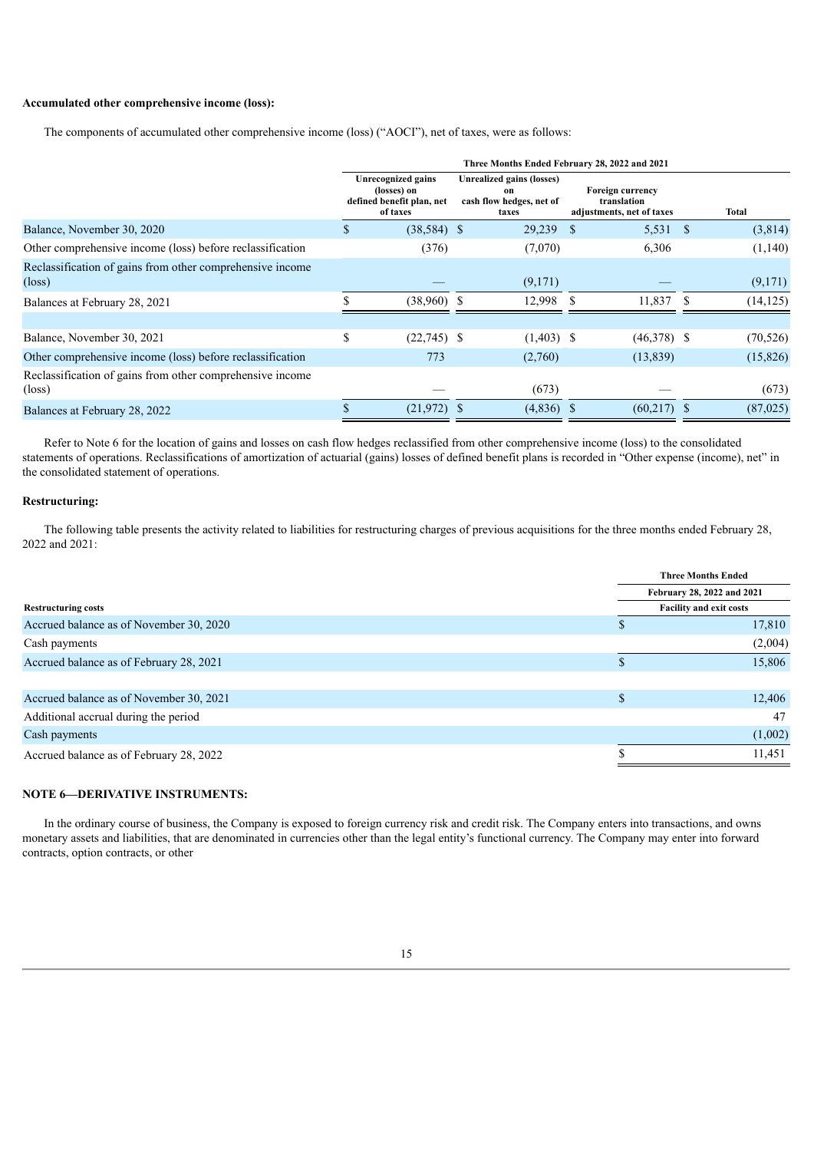# **Accumulated other comprehensive income (loss):**

The components of accumulated other comprehensive income (loss) ("AOCI"), net of taxes, were as follows:

|                                                                              | Three Months Ended February 28, 2022 and 2021 |                                                                                   |  |                                                                             |    |                                                                     |          |           |  |  |
|------------------------------------------------------------------------------|-----------------------------------------------|-----------------------------------------------------------------------------------|--|-----------------------------------------------------------------------------|----|---------------------------------------------------------------------|----------|-----------|--|--|
|                                                                              |                                               | <b>Unrecognized gains</b><br>(losses) on<br>defined benefit plan, net<br>of taxes |  | <b>Unrealized gains (losses)</b><br>on<br>cash flow hedges, net of<br>taxes |    | <b>Foreign currency</b><br>translation<br>adjustments, net of taxes |          | Total     |  |  |
| Balance, November 30, 2020                                                   | S                                             | $(38,584)$ \$                                                                     |  | 29,239                                                                      | -S | 5,531                                                               | $\sim$ S | (3,814)   |  |  |
| Other comprehensive income (loss) before reclassification                    |                                               | (376)                                                                             |  | (7,070)                                                                     |    | 6,306                                                               |          | (1,140)   |  |  |
| Reclassification of gains from other comprehensive income<br>$(\text{loss})$ |                                               |                                                                                   |  | (9,171)                                                                     |    |                                                                     |          | (9,171)   |  |  |
| Balances at February 28, 2021                                                |                                               | $(38,960)$ \$                                                                     |  | 12,998                                                                      |    | 11,837                                                              |          | (14, 125) |  |  |
|                                                                              |                                               |                                                                                   |  |                                                                             |    |                                                                     |          |           |  |  |
| Balance, November 30, 2021                                                   | \$                                            | $(22,745)$ \$                                                                     |  | $(1,403)$ \$                                                                |    | $(46,378)$ \$                                                       |          | (70, 526) |  |  |
| Other comprehensive income (loss) before reclassification                    |                                               | 773                                                                               |  | (2,760)                                                                     |    | (13,839)                                                            |          | (15, 826) |  |  |
| Reclassification of gains from other comprehensive income<br>$(\text{loss})$ |                                               |                                                                                   |  | (673)                                                                       |    |                                                                     |          | (673)     |  |  |
| Balances at February 28, 2022                                                |                                               | $(21,972)$ \$                                                                     |  | $(4,836)$ \$                                                                |    | $(60,217)$ \$                                                       |          | (87, 025) |  |  |

Refer to Note 6 for the location of gains and losses on cash flow hedges reclassified from other comprehensive income (loss) to the consolidated statements of operations. Reclassifications of amortization of actuarial (gains) losses of defined benefit plans is recorded in "Other expense (income), net" in the consolidated statement of operations.

## **Restructuring:**

The following table presents the activity related to liabilities for restructuring charges of previous acquisitions for the three months ended February 28, 2022 and 2021:

|                                         | <b>Three Months Ended</b>      |
|-----------------------------------------|--------------------------------|
|                                         | February 28, 2022 and 2021     |
| <b>Restructuring costs</b>              | <b>Facility and exit costs</b> |
| Accrued balance as of November 30, 2020 | 17,810                         |
| Cash payments                           | (2,004)                        |
| Accrued balance as of February 28, 2021 | 15,806                         |
|                                         |                                |
| Accrued balance as of November 30, 2021 | \$<br>12,406                   |
| Additional accrual during the period    | 47                             |
| Cash payments                           | (1,002)                        |
| Accrued balance as of February 28, 2022 | 11,451                         |
|                                         |                                |

## **NOTE 6—DERIVATIVE INSTRUMENTS:**

In the ordinary course of business, the Company is exposed to foreign currency risk and credit risk. The Company enters into transactions, and owns monetary assets and liabilities, that are denominated in currencies other than the legal entity's functional currency. The Company may enter into forward contracts, option contracts, or other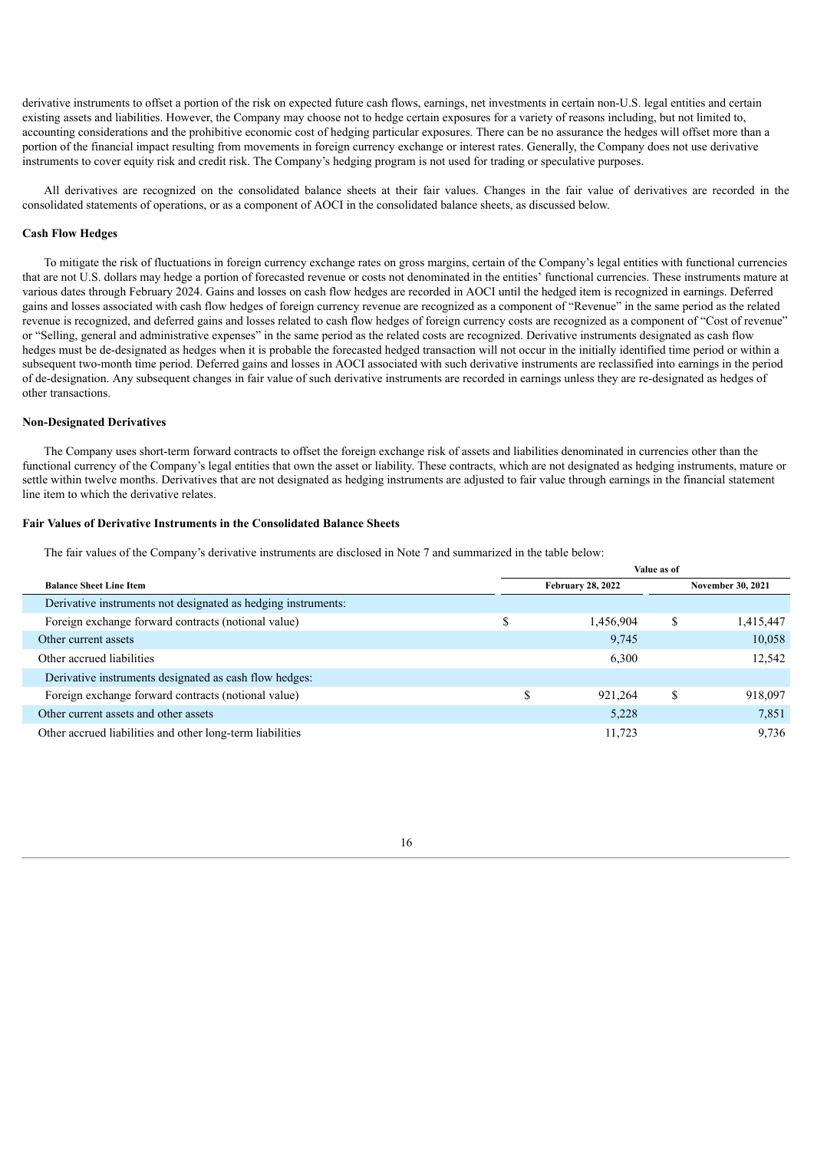derivative instruments to offset a portion of the risk on expected future cash flows, earnings, net investments in certain non-U.S. legal entities and certain existing assets and liabilities. However, the Company may choose not to hedge certain exposures for a variety of reasons including, but not limited to, accounting considerations and the prohibitive economic cost of hedging particular exposures. There can be no assurance the hedges will offset more than a portion of the financial impact resulting from movements in foreign currency exchange or interest rates. Generally, the Company does not use derivative instruments to cover equity risk and credit risk. The Company's hedging program is not used for trading or speculative purposes.

All derivatives are recognized on the consolidated balance sheets at their fair values. Changes in the fair value of derivatives are recorded in the consolidated statements of operations, or as a component of AOCI in the consolidated balance sheets, as discussed below.

# **Cash Flow Hedges**

To mitigate the risk of fluctuations in foreign currency exchange rates on gross margins, certain of the Company's legal entities with functional currencies that are not U.S. dollars may hedge a portion of forecasted revenue or costs not denominated in the entities' functional currencies. These instruments mature at various dates through February 2024. Gains and losses on cash flow hedges are recorded in AOCI until the hedged item is recognized in earnings. Deferred gains and losses associated with cash flow hedges of foreign currency revenue are recognized as a component of "Revenue" in the same period as the related revenue is recognized, and deferred gains and losses related to cash flow hedges of foreign currency costs are recognized as a component of "Cost of revenue" or "Selling, general and administrative expenses" in the same period as the related costs are recognized. Derivative instruments designated as cash flow hedges must be de-designated as hedges when it is probable the forecasted hedged transaction will not occur in the initially identified time period or within a subsequent two-month time period. Deferred gains and losses in AOCI associated with such derivative instruments are reclassified into earnings in the period of de-designation. Any subsequent changes in fair value of such derivative instruments are recorded in earnings unless they are re-designated as hedges of other transactions.

#### **Non-Designated Derivatives**

The Company uses short-term forward contracts to offset the foreign exchange risk of assets and liabilities denominated in currencies other than the functional currency of the Company's legal entities that own the asset or liability. These contracts, which are not designated as hedging instruments, mature or settle within twelve months. Derivatives that are not designated as hedging instruments are adjusted to fair value through earnings in the financial statement line item to which the derivative relates.

#### **Fair Values of Derivative Instruments in the Consolidated Balance Sheets**

The fair values of the Company's derivative instruments are disclosed in Note 7 and summarized in the table below:

|                                                               |                          | Value as of |                          |
|---------------------------------------------------------------|--------------------------|-------------|--------------------------|
| <b>Balance Sheet Line Item</b>                                | <b>February 28, 2022</b> |             | <b>November 30, 2021</b> |
| Derivative instruments not designated as hedging instruments: |                          |             |                          |
| Foreign exchange forward contracts (notional value)           | 1,456,904                | S           | 1,415,447                |
| Other current assets                                          | 9,745                    |             | 10,058                   |
| Other accrued liabilities                                     | 6.300                    |             | 12,542                   |
| Derivative instruments designated as cash flow hedges:        |                          |             |                          |
| Foreign exchange forward contracts (notional value)           | 921,264                  | \$          | 918,097                  |
| Other current assets and other assets                         | 5,228                    |             | 7,851                    |
| Other accrued liabilities and other long-term liabilities     | 11.723                   |             | 9.736                    |

16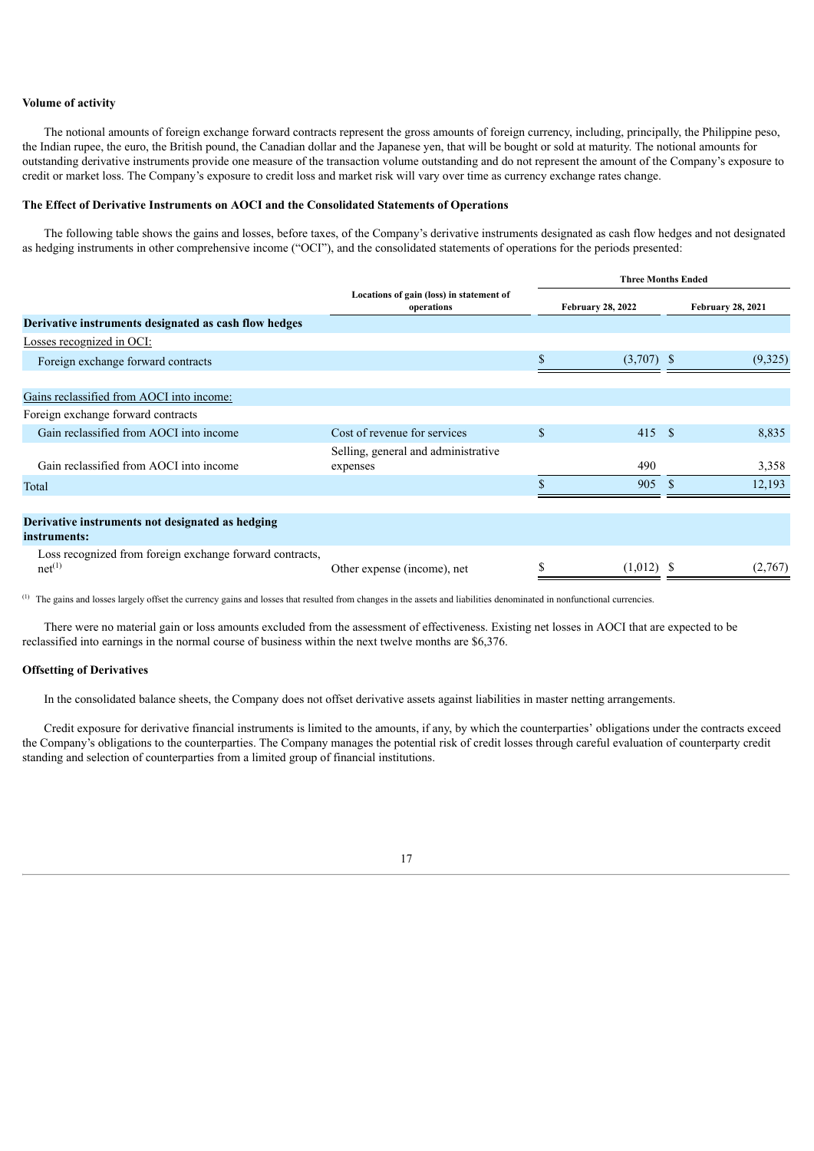# **Volume of activity**

The notional amounts of foreign exchange forward contracts represent the gross amounts of foreign currency, including, principally, the Philippine peso, the Indian rupee, the euro, the British pound, the Canadian dollar and the Japanese yen, that will be bought or sold at maturity. The notional amounts for outstanding derivative instruments provide one measure of the transaction volume outstanding and do not represent the amount of the Company's exposure to credit or market loss. The Company's exposure to credit loss and market risk will vary over time as currency exchange rates change.

# **The Effect of Derivative Instruments on AOCI and the Consolidated Statements of Operations**

The following table shows the gains and losses, before taxes, of the Company's derivative instruments designated as cash flow hedges and not designated as hedging instruments in other comprehensive income ("OCI"), and the consolidated statements of operations for the periods presented:

|                                                                                |                                                        | <b>Three Months Ended</b> |  |                          |  |
|--------------------------------------------------------------------------------|--------------------------------------------------------|---------------------------|--|--------------------------|--|
|                                                                                | Locations of gain (loss) in statement of<br>operations | <b>February 28, 2022</b>  |  | <b>February 28, 2021</b> |  |
| Derivative instruments designated as cash flow hedges                          |                                                        |                           |  |                          |  |
| Losses recognized in OCI:                                                      |                                                        |                           |  |                          |  |
| Foreign exchange forward contracts                                             |                                                        | $(3,707)$ \$              |  | (9,325)                  |  |
|                                                                                |                                                        |                           |  |                          |  |
| Gains reclassified from AOCI into income:                                      |                                                        |                           |  |                          |  |
| Foreign exchange forward contracts                                             |                                                        |                           |  |                          |  |
| Gain reclassified from AOCI into income                                        | Cost of revenue for services                           | \$<br>415S                |  | 8,835                    |  |
| Gain reclassified from AOCI into income                                        | Selling, general and administrative<br>expenses        | 490                       |  | 3,358                    |  |
| Total                                                                          |                                                        | 905                       |  | 12,193                   |  |
| Derivative instruments not designated as hedging<br>instruments:               |                                                        |                           |  |                          |  |
| Loss recognized from foreign exchange forward contracts,<br>net <sup>(1)</sup> | Other expense (income), net                            | $(1,012)$ \$              |  | (2,767)                  |  |

 $<sup>(1)</sup>$  The gains and losses largely offset the currency gains and losses that resulted from changes in the assets and liabilities denominated in nonfunctional currencies.</sup>

There were no material gain or loss amounts excluded from the assessment of effectiveness. Existing net losses in AOCI that are expected to be reclassified into earnings in the normal course of business within the next twelve months are \$6,376.

#### **Offsetting of Derivatives**

In the consolidated balance sheets, the Company does not offset derivative assets against liabilities in master netting arrangements.

Credit exposure for derivative financial instruments is limited to the amounts, if any, by which the counterparties' obligations under the contracts exceed the Company's obligations to the counterparties. The Company manages the potential risk of credit losses through careful evaluation of counterparty credit standing and selection of counterparties from a limited group of financial institutions.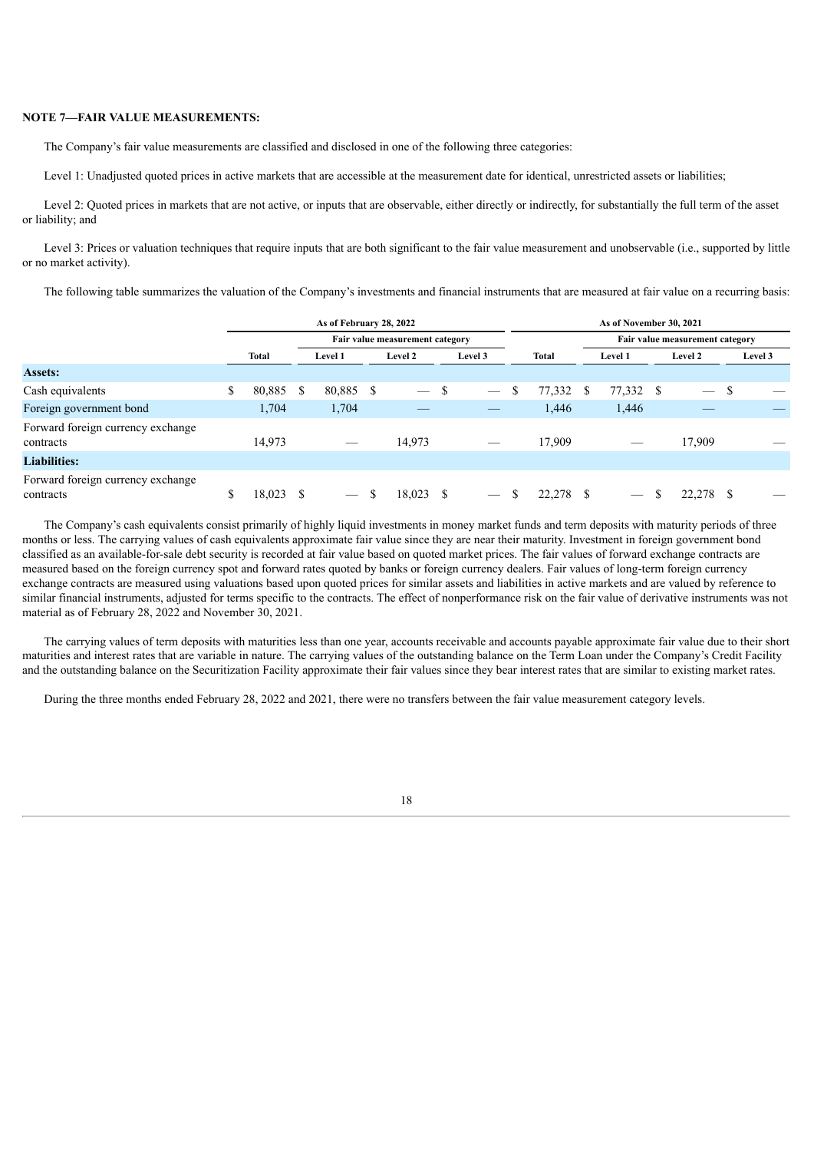#### **NOTE 7—FAIR VALUE MEASUREMENTS:**

The Company's fair value measurements are classified and disclosed in one of the following three categories:

Level 1: Unadjusted quoted prices in active markets that are accessible at the measurement date for identical, unrestricted assets or liabilities;

Level 2: Quoted prices in markets that are not active, or inputs that are observable, either directly or indirectly, for substantially the full term of the asset or liability; and

Level 3: Prices or valuation techniques that require inputs that are both significant to the fair value measurement and unobservable (i.e., supported by little or no market activity).

The following table summarizes the valuation of the Company's investments and financial instruments that are measured at fair value on a recurring basis:

|                                                |              |               | As of February 28, 2022 |                                 |   |         | As of November 30, 2021         |              |     |           |  |                          |  |         |  |
|------------------------------------------------|--------------|---------------|-------------------------|---------------------------------|---|---------|---------------------------------|--------------|-----|-----------|--|--------------------------|--|---------|--|
|                                                |              |               |                         | Fair value measurement category |   |         | Fair value measurement category |              |     |           |  |                          |  |         |  |
|                                                | <b>Total</b> |               | Level 1                 | Level 2                         |   | Level 3 |                                 | <b>Total</b> |     | Level 1   |  | Level 2                  |  | Level 3 |  |
| <b>Assets:</b>                                 |              |               |                         |                                 |   |         |                                 |              |     |           |  |                          |  |         |  |
| Cash equivalents                               | \$<br>80,885 | <sup>\$</sup> | 80,885 \$               |                                 | ъ |         | S                               | 77,332       | - S | 77,332 \$ |  | $\overline{\phantom{m}}$ |  |         |  |
| Foreign government bond                        | 1,704        |               | 1,704                   |                                 |   |         |                                 | 1,446        |     | 1,446     |  |                          |  |         |  |
| Forward foreign currency exchange<br>contracts | 14,973       |               |                         | 14,973                          |   |         |                                 | 17,909       |     |           |  | 17,909                   |  |         |  |
| <b>Liabilities:</b>                            |              |               |                         |                                 |   |         |                                 |              |     |           |  |                          |  |         |  |
| Forward foreign currency exchange<br>contracts | \$<br>18,023 |               |                         | 18.023                          | S |         |                                 | 22,278       |     |           |  | 22.278                   |  |         |  |

The Company's cash equivalents consist primarily of highly liquid investments in money market funds and term deposits with maturity periods of three months or less. The carrying values of cash equivalents approximate fair value since they are near their maturity. Investment in foreign government bond classified as an available-for-sale debt security is recorded at fair value based on quoted market prices. The fair values of forward exchange contracts are measured based on the foreign currency spot and forward rates quoted by banks or foreign currency dealers. Fair values of long-term foreign currency exchange contracts are measured using valuations based upon quoted prices for similar assets and liabilities in active markets and are valued by reference to similar financial instruments, adjusted for terms specific to the contracts. The effect of nonperformance risk on the fair value of derivative instruments was not material as of February 28, 2022 and November 30, 2021.

The carrying values of term deposits with maturities less than one year, accounts receivable and accounts payable approximate fair value due to their short maturities and interest rates that are variable in nature. The carrying values of the outstanding balance on the Term Loan under the Company's Credit Facility and the outstanding balance on the Securitization Facility approximate their fair values since they bear interest rates that are similar to existing market rates.

During the three months ended February 28, 2022 and 2021, there were no transfers between the fair value measurement category levels.

18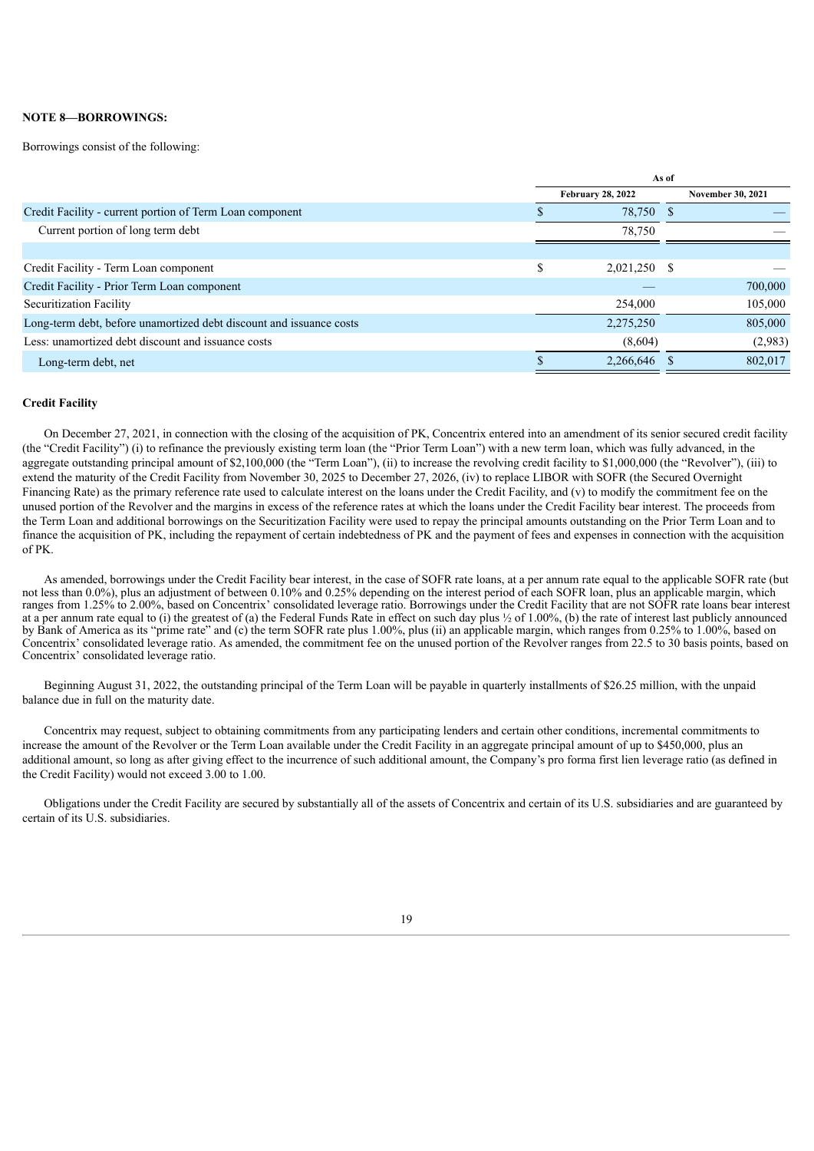# **NOTE 8—BORROWINGS:**

Borrowings consist of the following:

|                                                                     | As of |                          |    |                          |  |
|---------------------------------------------------------------------|-------|--------------------------|----|--------------------------|--|
|                                                                     |       | <b>February 28, 2022</b> |    | <b>November 30, 2021</b> |  |
| Credit Facility - current portion of Term Loan component            |       | 78,750 \$                |    |                          |  |
| Current portion of long term debt                                   |       | 78,750                   |    |                          |  |
|                                                                     |       |                          |    |                          |  |
| Credit Facility - Term Loan component                               | S     | 2,021,250                | -S |                          |  |
| Credit Facility - Prior Term Loan component                         |       |                          |    | 700,000                  |  |
| Securitization Facility                                             |       | 254,000                  |    | 105,000                  |  |
| Long-term debt, before unamortized debt discount and issuance costs |       | 2,275,250                |    | 805,000                  |  |
| Less: unamortized debt discount and issuance costs                  |       | (8,604)                  |    | (2,983)                  |  |
| Long-term debt, net                                                 |       | 2,266,646                |    | 802,017                  |  |

#### **Credit Facility**

On December 27, 2021, in connection with the closing of the acquisition of PK, Concentrix entered into an amendment of its senior secured credit facility (the "Credit Facility") (i) to refinance the previously existing term loan (the "Prior Term Loan") with a new term loan, which was fully advanced, in the aggregate outstanding principal amount of \$2,100,000 (the "Term Loan"), (ii) to increase the revolving credit facility to \$1,000,000 (the "Revolver"), (iii) to extend the maturity of the Credit Facility from November 30, 2025 to December 27, 2026, (iv) to replace LIBOR with SOFR (the Secured Overnight Financing Rate) as the primary reference rate used to calculate interest on the loans under the Credit Facility, and  $(v)$  to modify the commitment fee on the unused portion of the Revolver and the margins in excess of the reference rates at which the loans under the Credit Facility bear interest. The proceeds from the Term Loan and additional borrowings on the Securitization Facility were used to repay the principal amounts outstanding on the Prior Term Loan and to finance the acquisition of PK, including the repayment of certain indebtedness of PK and the payment of fees and expenses in connection with the acquisition of PK.

As amended, borrowings under the Credit Facility bear interest, in the case of SOFR rate loans, at a per annum rate equal to the applicable SOFR rate (but not less than 0.0%), plus an adjustment of between 0.10% and 0.25% depending on the interest period of each SOFR loan, plus an applicable margin, which ranges from 1.25% to 2.00%, based on Concentrix' consolidated leverage ratio. Borrowings under the Credit Facility that are not SOFR rate loans bear interest at a per annum rate equal to (i) the greatest of (a) the Federal Funds Rate in effect on such day plus  $\frac{1}{2}$  of 1.00%, (b) the rate of interest last publicly announced by Bank of America as its "prime rate" and (c) the term SOFR rate plus 1.00%, plus (ii) an applicable margin, which ranges from 0.25% to 1.00%, based on Concentrix' consolidated leverage ratio. As amended, the commitment fee on the unused portion of the Revolver ranges from 22.5 to 30 basis points, based on Concentrix' consolidated leverage ratio.

Beginning August 31, 2022, the outstanding principal of the Term Loan will be payable in quarterly installments of \$26.25 million, with the unpaid balance due in full on the maturity date.

Concentrix may request, subject to obtaining commitments from any participating lenders and certain other conditions, incremental commitments to increase the amount of the Revolver or the Term Loan available under the Credit Facility in an aggregate principal amount of up to \$450,000, plus an additional amount, so long as after giving effect to the incurrence of such additional amount, the Company's pro forma first lien leverage ratio (as defined in the Credit Facility) would not exceed 3.00 to 1.00.

Obligations under the Credit Facility are secured by substantially all of the assets of Concentrix and certain of its U.S. subsidiaries and are guaranteed by certain of its U.S. subsidiaries.

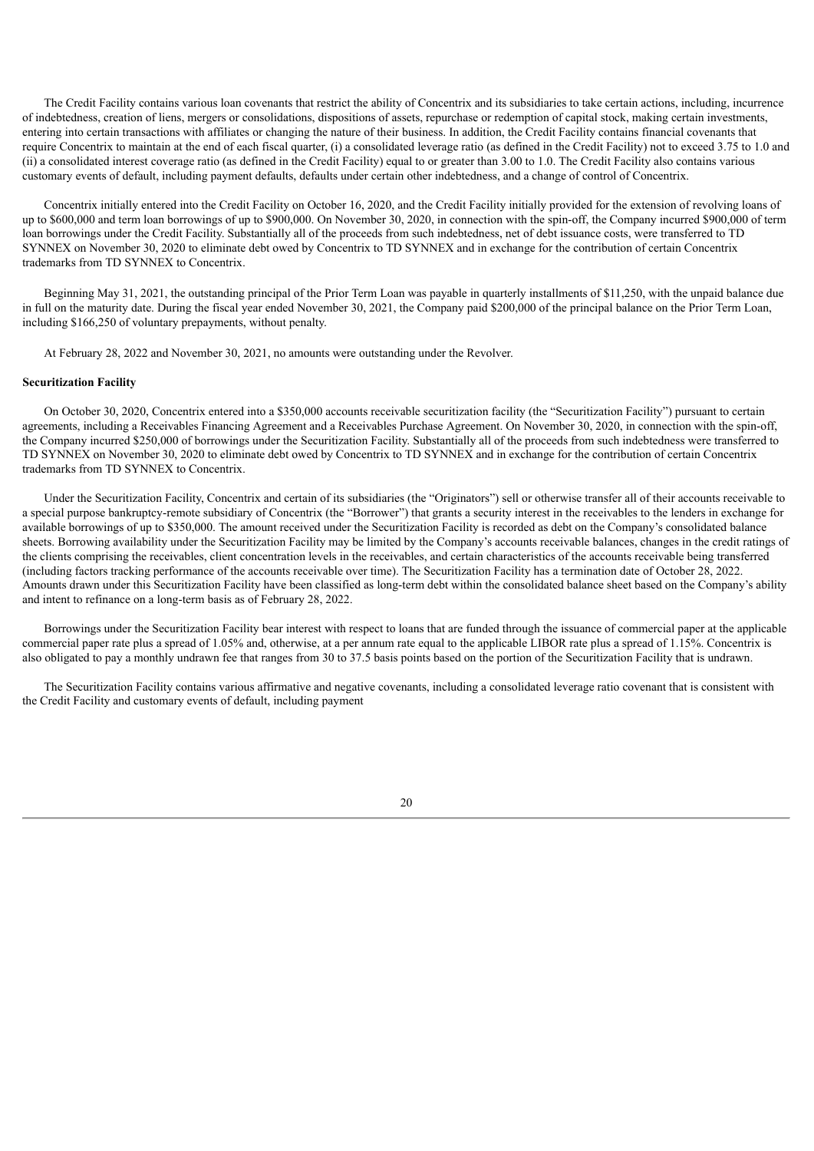The Credit Facility contains various loan covenants that restrict the ability of Concentrix and its subsidiaries to take certain actions, including, incurrence of indebtedness, creation of liens, mergers or consolidations, dispositions of assets, repurchase or redemption of capital stock, making certain investments, entering into certain transactions with affiliates or changing the nature of their business. In addition, the Credit Facility contains financial covenants that require Concentrix to maintain at the end of each fiscal quarter, (i) a consolidated leverage ratio (as defined in the Credit Facility) not to exceed 3.75 to 1.0 and (ii) a consolidated interest coverage ratio (as defined in the Credit Facility) equal to or greater than 3.00 to 1.0. The Credit Facility also contains various customary events of default, including payment defaults, defaults under certain other indebtedness, and a change of control of Concentrix.

Concentrix initially entered into the Credit Facility on October 16, 2020, and the Credit Facility initially provided for the extension of revolving loans of up to \$600,000 and term loan borrowings of up to \$900,000. On November 30, 2020, in connection with the spin-off, the Company incurred \$900,000 of term loan borrowings under the Credit Facility. Substantially all of the proceeds from such indebtedness, net of debt issuance costs, were transferred to TD SYNNEX on November 30, 2020 to eliminate debt owed by Concentrix to TD SYNNEX and in exchange for the contribution of certain Concentrix trademarks from TD SYNNEX to Concentrix.

Beginning May 31, 2021, the outstanding principal of the Prior Term Loan was payable in quarterly installments of \$11,250, with the unpaid balance due in full on the maturity date. During the fiscal year ended November 30, 2021, the Company paid \$200,000 of the principal balance on the Prior Term Loan, including \$166,250 of voluntary prepayments, without penalty.

At February 28, 2022 and November 30, 2021, no amounts were outstanding under the Revolver.

#### **Securitization Facility**

On October 30, 2020, Concentrix entered into a \$350,000 accounts receivable securitization facility (the "Securitization Facility") pursuant to certain agreements, including a Receivables Financing Agreement and a Receivables Purchase Agreement. On November 30, 2020, in connection with the spin-off, the Company incurred \$250,000 of borrowings under the Securitization Facility. Substantially all of the proceeds from such indebtedness were transferred to TD SYNNEX on November 30, 2020 to eliminate debt owed by Concentrix to TD SYNNEX and in exchange for the contribution of certain Concentrix trademarks from TD SYNNEX to Concentrix.

Under the Securitization Facility, Concentrix and certain of its subsidiaries (the "Originators") sell or otherwise transfer all of their accounts receivable to a special purpose bankruptcy-remote subsidiary of Concentrix (the "Borrower") that grants a security interest in the receivables to the lenders in exchange for available borrowings of up to \$350,000. The amount received under the Securitization Facility is recorded as debt on the Company's consolidated balance sheets. Borrowing availability under the Securitization Facility may be limited by the Company's accounts receivable balances, changes in the credit ratings of the clients comprising the receivables, client concentration levels in the receivables, and certain characteristics of the accounts receivable being transferred (including factors tracking performance of the accounts receivable over time). The Securitization Facility has a termination date of October 28, 2022. Amounts drawn under this Securitization Facility have been classified as long-term debt within the consolidated balance sheet based on the Company's ability and intent to refinance on a long-term basis as of February 28, 2022.

Borrowings under the Securitization Facility bear interest with respect to loans that are funded through the issuance of commercial paper at the applicable commercial paper rate plus a spread of 1.05% and, otherwise, at a per annum rate equal to the applicable LIBOR rate plus a spread of 1.15%. Concentrix is also obligated to pay a monthly undrawn fee that ranges from 30 to 37.5 basis points based on the portion of the Securitization Facility that is undrawn.

The Securitization Facility contains various affirmative and negative covenants, including a consolidated leverage ratio covenant that is consistent with the Credit Facility and customary events of default, including payment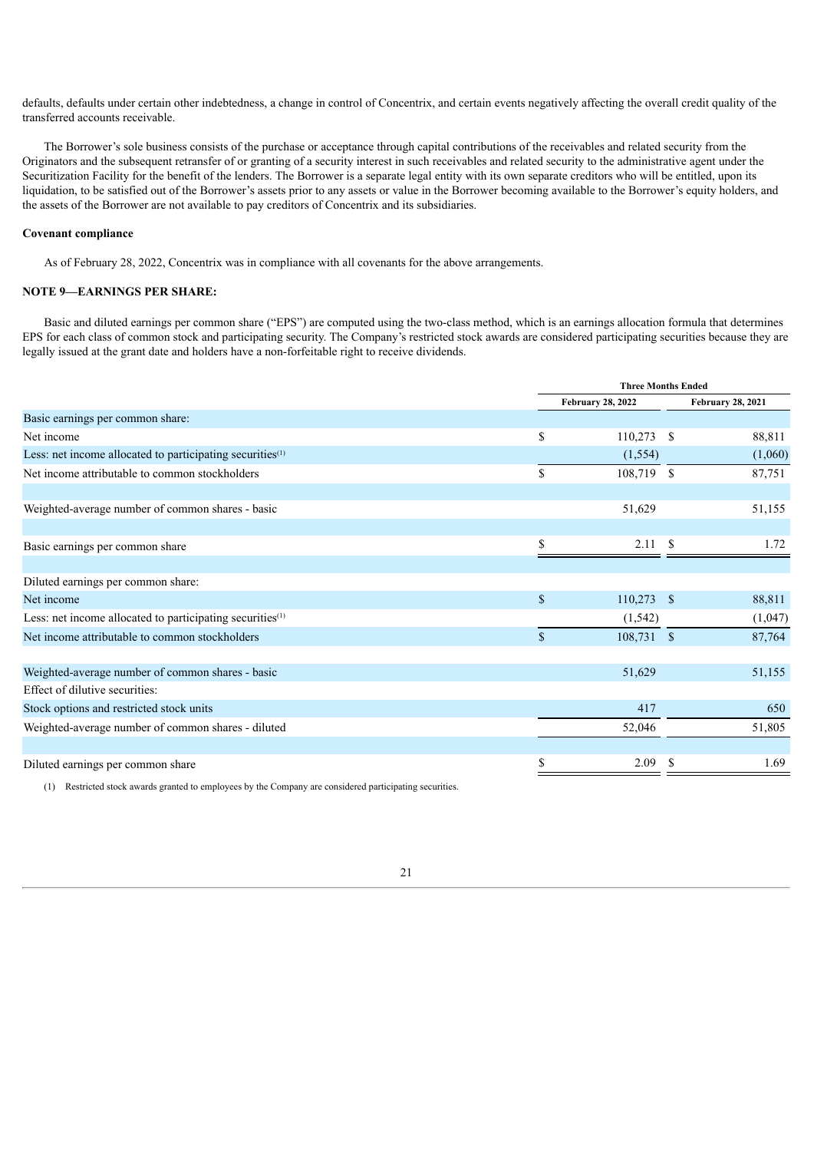defaults, defaults under certain other indebtedness, a change in control of Concentrix, and certain events negatively affecting the overall credit quality of the transferred accounts receivable.

The Borrower's sole business consists of the purchase or acceptance through capital contributions of the receivables and related security from the Originators and the subsequent retransfer of or granting of a security interest in such receivables and related security to the administrative agent under the Securitization Facility for the benefit of the lenders. The Borrower is a separate legal entity with its own separate creditors who will be entitled, upon its liquidation, to be satisfied out of the Borrower's assets prior to any assets or value in the Borrower becoming available to the Borrower's equity holders, and the assets of the Borrower are not available to pay creditors of Concentrix and its subsidiaries.

## **Covenant compliance**

As of February 28, 2022, Concentrix was in compliance with all covenants for the above arrangements.

# **NOTE 9—EARNINGS PER SHARE:**

Basic and diluted earnings per common share ("EPS") are computed using the two-class method, which is an earnings allocation formula that determines EPS for each class of common stock and participating security. The Company's restricted stock awards are considered participating securities because they are legally issued at the grant date and holders have a non-forfeitable right to receive dividends.

|                                                                       |               | <b>Three Months Ended</b> |    |                          |  |
|-----------------------------------------------------------------------|---------------|---------------------------|----|--------------------------|--|
|                                                                       |               | <b>February 28, 2022</b>  |    | <b>February 28, 2021</b> |  |
| Basic earnings per common share:                                      |               |                           |    |                          |  |
| Net income                                                            | \$            | $110,273$ \$              |    | 88,811                   |  |
| Less: net income allocated to participating securities <sup>(1)</sup> |               | (1, 554)                  |    | (1,060)                  |  |
| Net income attributable to common stockholders                        | \$            | 108,719 \$                |    | 87,751                   |  |
| Weighted-average number of common shares - basic                      |               | 51,629                    |    | 51,155                   |  |
| Basic earnings per common share                                       | S             | 2.11                      | -S | 1.72                     |  |
| Diluted earnings per common share:                                    |               |                           |    |                          |  |
| Net income                                                            | $\mathbb{S}$  | $110,273$ \$              |    | 88,811                   |  |
| Less: net income allocated to participating securities <sup>(1)</sup> |               | (1, 542)                  |    | (1,047)                  |  |
| Net income attributable to common stockholders                        | $\mathsf{\$}$ | 108,731 \$                |    | 87,764                   |  |
| Weighted-average number of common shares - basic                      |               | 51,629                    |    | 51,155                   |  |
| Effect of dilutive securities:                                        |               |                           |    |                          |  |
| Stock options and restricted stock units                              |               | 417                       |    | 650                      |  |
| Weighted-average number of common shares - diluted                    |               | 52,046                    |    | 51,805                   |  |
| Diluted earnings per common share                                     |               | 2.09                      |    | 1.69                     |  |
|                                                                       |               |                           |    |                          |  |

(1) Restricted stock awards granted to employees by the Company are considered participating securities.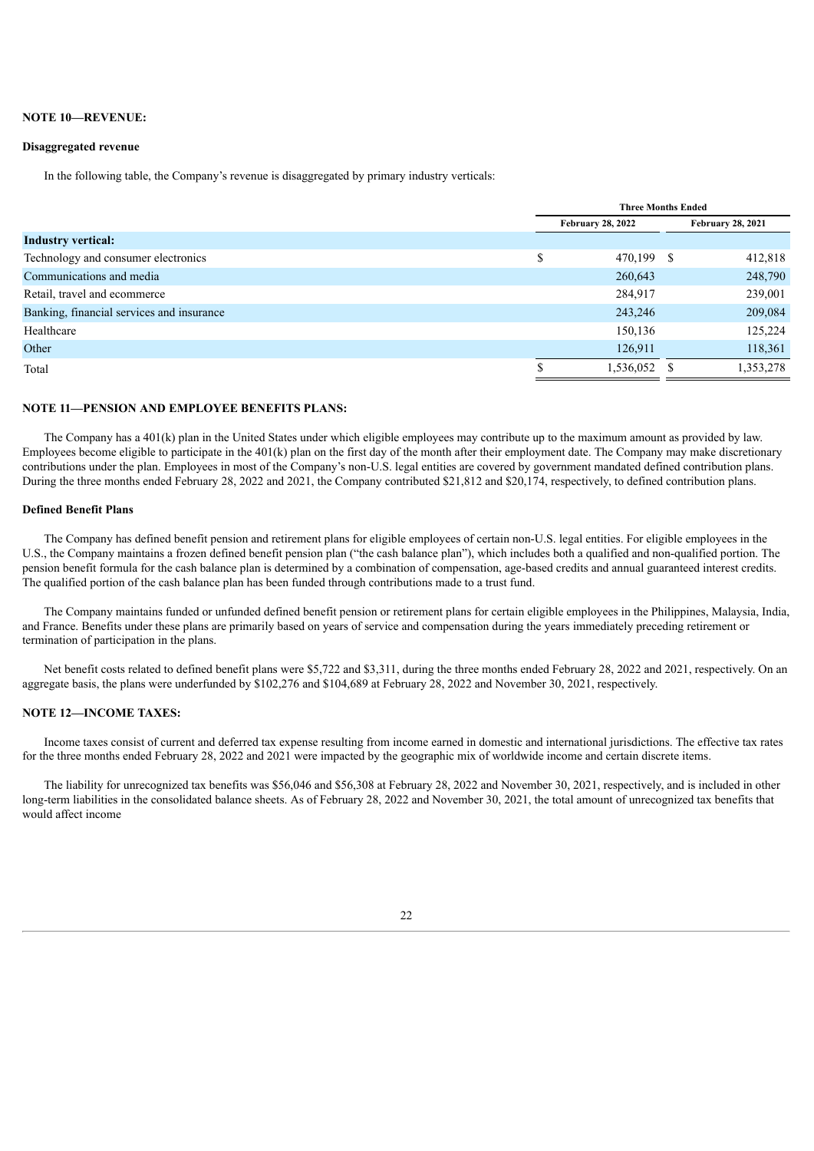# **NOTE 10—REVENUE:**

#### **Disaggregated revenue**

In the following table, the Company's revenue is disaggregated by primary industry verticals:

|                                           | <b>Three Months Ended</b> |  |                          |  |
|-------------------------------------------|---------------------------|--|--------------------------|--|
|                                           | <b>February 28, 2022</b>  |  | <b>February 28, 2021</b> |  |
| <b>Industry vertical:</b>                 |                           |  |                          |  |
| Technology and consumer electronics       | \$<br>470,199 \$          |  | 412,818                  |  |
| Communications and media                  | 260,643                   |  | 248,790                  |  |
| Retail, travel and ecommerce              | 284,917                   |  | 239,001                  |  |
| Banking, financial services and insurance | 243,246                   |  | 209,084                  |  |
| Healthcare                                | 150,136                   |  | 125,224                  |  |
| Other                                     | 126,911                   |  | 118,361                  |  |
| Total                                     | 1,536,052                 |  | 1,353,278                |  |

#### **NOTE 11—PENSION AND EMPLOYEE BENEFITS PLANS:**

The Company has a 401(k) plan in the United States under which eligible employees may contribute up to the maximum amount as provided by law. Employees become eligible to participate in the 401(k) plan on the first day of the month after their employment date. The Company may make discretionary contributions under the plan. Employees in most of the Company's non-U.S. legal entities are covered by government mandated defined contribution plans. During the three months ended February 28, 2022 and 2021, the Company contributed \$21,812 and \$20,174, respectively, to defined contribution plans.

#### **Defined Benefit Plans**

The Company has defined benefit pension and retirement plans for eligible employees of certain non-U.S. legal entities. For eligible employees in the U.S., the Company maintains a frozen defined benefit pension plan ("the cash balance plan"), which includes both a qualified and non-qualified portion. The pension benefit formula for the cash balance plan is determined by a combination of compensation, age-based credits and annual guaranteed interest credits. The qualified portion of the cash balance plan has been funded through contributions made to a trust fund.

The Company maintains funded or unfunded defined benefit pension or retirement plans for certain eligible employees in the Philippines, Malaysia, India, and France. Benefits under these plans are primarily based on years of service and compensation during the years immediately preceding retirement or termination of participation in the plans.

Net benefit costs related to defined benefit plans were \$5,722 and \$3,311, during the three months ended February 28, 2022 and 2021, respectively. On an aggregate basis, the plans were underfunded by \$102,276 and \$104,689 at February 28, 2022 and November 30, 2021, respectively.

# **NOTE 12—INCOME TAXES:**

Income taxes consist of current and deferred tax expense resulting from income earned in domestic and international jurisdictions. The effective tax rates for the three months ended February 28, 2022 and 2021 were impacted by the geographic mix of worldwide income and certain discrete items.

The liability for unrecognized tax benefits was \$56,046 and \$56,308 at February 28, 2022 and November 30, 2021, respectively, and is included in other long-term liabilities in the consolidated balance sheets. As of February 28, 2022 and November 30, 2021, the total amount of unrecognized tax benefits that would affect income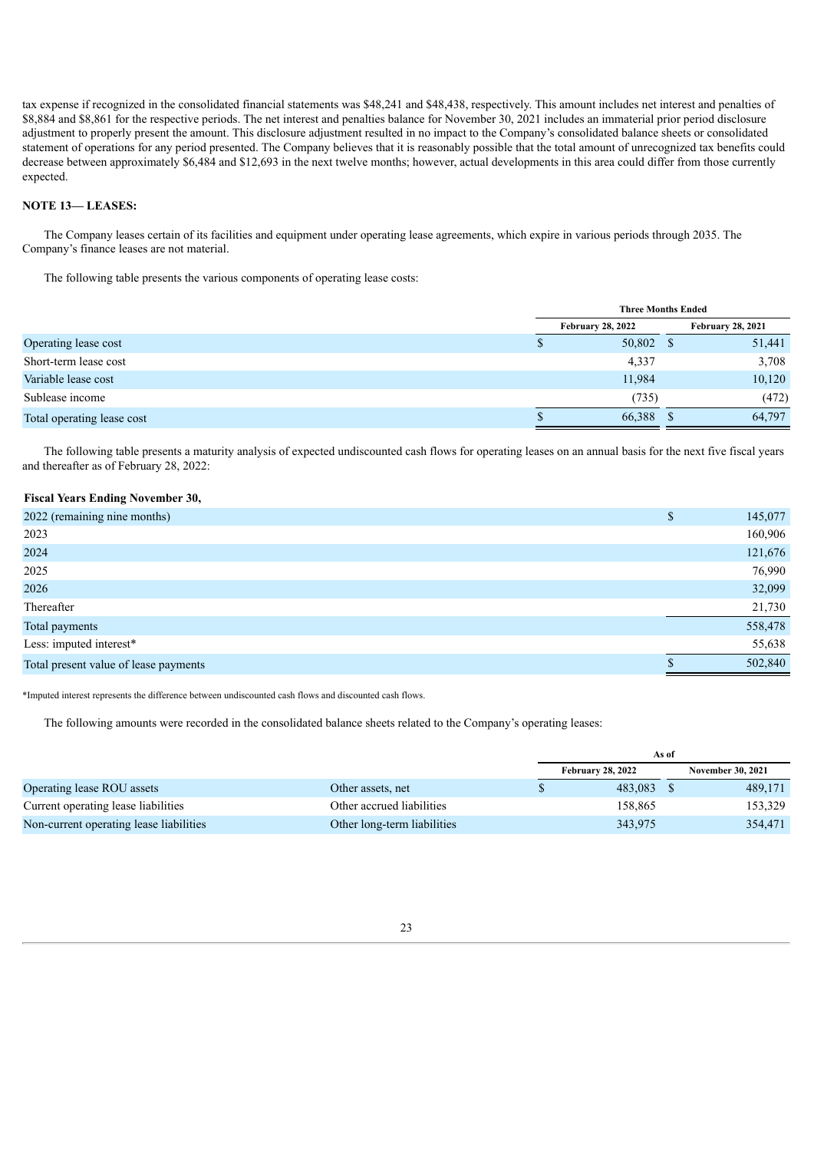tax expense if recognized in the consolidated financial statements was \$48,241 and \$48,438, respectively. This amount includes net interest and penalties of \$8,884 and \$8,861 for the respective periods. The net interest and penalties balance for November 30, 2021 includes an immaterial prior period disclosure adjustment to properly present the amount. This disclosure adjustment resulted in no impact to the Company's consolidated balance sheets or consolidated statement of operations for any period presented. The Company believes that it is reasonably possible that the total amount of unrecognized tax benefits could decrease between approximately \$6,484 and \$12,693 in the next twelve months; however, actual developments in this area could differ from those currently expected.

#### **NOTE 13— LEASES:**

The Company leases certain of its facilities and equipment under operating lease agreements, which expire in various periods through 2035. The Company's finance leases are not material.

The following table presents the various components of operating lease costs:

|                            | <b>Three Months Ended</b> |  |                          |  |  |  |
|----------------------------|---------------------------|--|--------------------------|--|--|--|
|                            | <b>February 28, 2022</b>  |  | <b>February 28, 2021</b> |  |  |  |
| Operating lease cost       | 50,802                    |  | 51,441                   |  |  |  |
| Short-term lease cost      | 4,337                     |  | 3,708                    |  |  |  |
| Variable lease cost        | 11,984                    |  | 10,120                   |  |  |  |
| Sublease income            | (735)                     |  | (472)                    |  |  |  |
| Total operating lease cost | 66,388                    |  | 64,797                   |  |  |  |

The following table presents a maturity analysis of expected undiscounted cash flows for operating leases on an annual basis for the next five fiscal years and thereafter as of February 28, 2022:

#### **Fiscal Years Ending November 30,**

| 2022 (remaining nine months)          | 145,077 |
|---------------------------------------|---------|
| 2023                                  | 160,906 |
| 2024                                  | 121,676 |
| 2025                                  | 76,990  |
| 2026                                  | 32,099  |
| Thereafter                            | 21,730  |
| Total payments                        | 558,478 |
| Less: imputed interest*               | 55,638  |
| Total present value of lease payments | 502,840 |

\*Imputed interest represents the difference between undiscounted cash flows and discounted cash flows.

The following amounts were recorded in the consolidated balance sheets related to the Company's operating leases:

|                                         |                             | As of                    |  |                          |  |
|-----------------------------------------|-----------------------------|--------------------------|--|--------------------------|--|
|                                         |                             | <b>February 28, 2022</b> |  | <b>November 30, 2021</b> |  |
| Operating lease ROU assets              | Other assets, net           | 483.083                  |  | 489,171                  |  |
| Current operating lease liabilities     | Other accrued liabilities   | 158,865                  |  | 153,329                  |  |
| Non-current operating lease liabilities | Other long-term liabilities | 343.975                  |  | 354,471                  |  |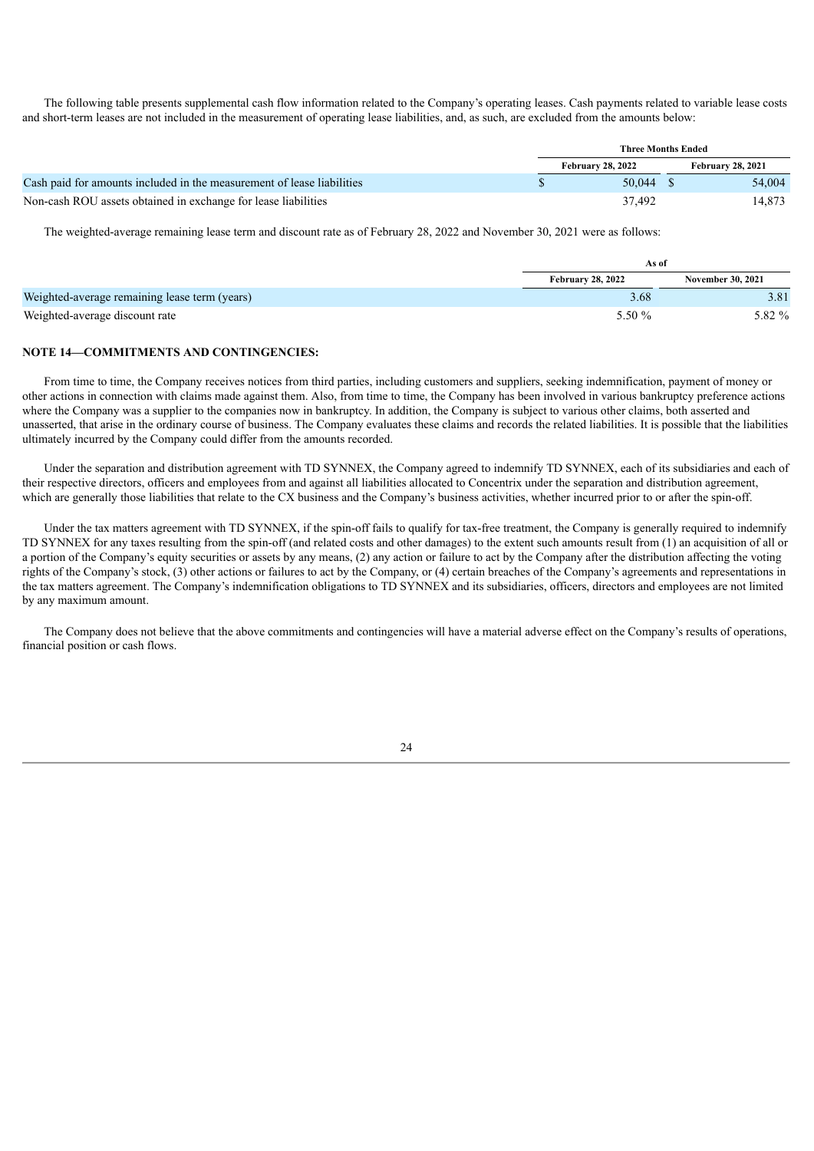The following table presents supplemental cash flow information related to the Company's operating leases. Cash payments related to variable lease costs and short-term leases are not included in the measurement of operating lease liabilities, and, as such, are excluded from the amounts below:

|                                                                        | <b>Three Months Ended</b> |  |                          |  |
|------------------------------------------------------------------------|---------------------------|--|--------------------------|--|
|                                                                        | <b>February 28, 2022</b>  |  | <b>February 28, 2021</b> |  |
| Cash paid for amounts included in the measurement of lease liabilities | 50.044                    |  | 54.004                   |  |
| Non-cash ROU assets obtained in exchange for lease liabilities         | 37.492                    |  | 14.873                   |  |

The weighted-average remaining lease term and discount rate as of February 28, 2022 and November 30, 2021 were as follows:

|                                               | As of                    |                          |  |  |  |
|-----------------------------------------------|--------------------------|--------------------------|--|--|--|
|                                               | <b>February 28, 2022</b> | <b>November 30, 2021</b> |  |  |  |
| Weighted-average remaining lease term (years) | 3.68                     | 3.81                     |  |  |  |
| Weighted-average discount rate                | 5.50 %                   | 5.82 %                   |  |  |  |

## **NOTE 14—COMMITMENTS AND CONTINGENCIES:**

From time to time, the Company receives notices from third parties, including customers and suppliers, seeking indemnification, payment of money or other actions in connection with claims made against them. Also, from time to time, the Company has been involved in various bankruptcy preference actions where the Company was a supplier to the companies now in bankruptcy. In addition, the Company is subject to various other claims, both asserted and unasserted, that arise in the ordinary course of business. The Company evaluates these claims and records the related liabilities. It is possible that the liabilities ultimately incurred by the Company could differ from the amounts recorded.

Under the separation and distribution agreement with TD SYNNEX, the Company agreed to indemnify TD SYNNEX, each of its subsidiaries and each of their respective directors, officers and employees from and against all liabilities allocated to Concentrix under the separation and distribution agreement, which are generally those liabilities that relate to the CX business and the Company's business activities, whether incurred prior to or after the spin-off.

Under the tax matters agreement with TD SYNNEX, if the spin-off fails to qualify for tax-free treatment, the Company is generally required to indemnify TD SYNNEX for any taxes resulting from the spin-off (and related costs and other damages) to the extent such amounts result from (1) an acquisition of all or a portion of the Company's equity securities or assets by any means, (2) any action or failure to act by the Company after the distribution affecting the voting rights of the Company's stock, (3) other actions or failures to act by the Company, or (4) certain breaches of the Company's agreements and representations in the tax matters agreement. The Company's indemnification obligations to TD SYNNEX and its subsidiaries, officers, directors and employees are not limited by any maximum amount.

The Company does not believe that the above commitments and contingencies will have a material adverse effect on the Company's results of operations, financial position or cash flows.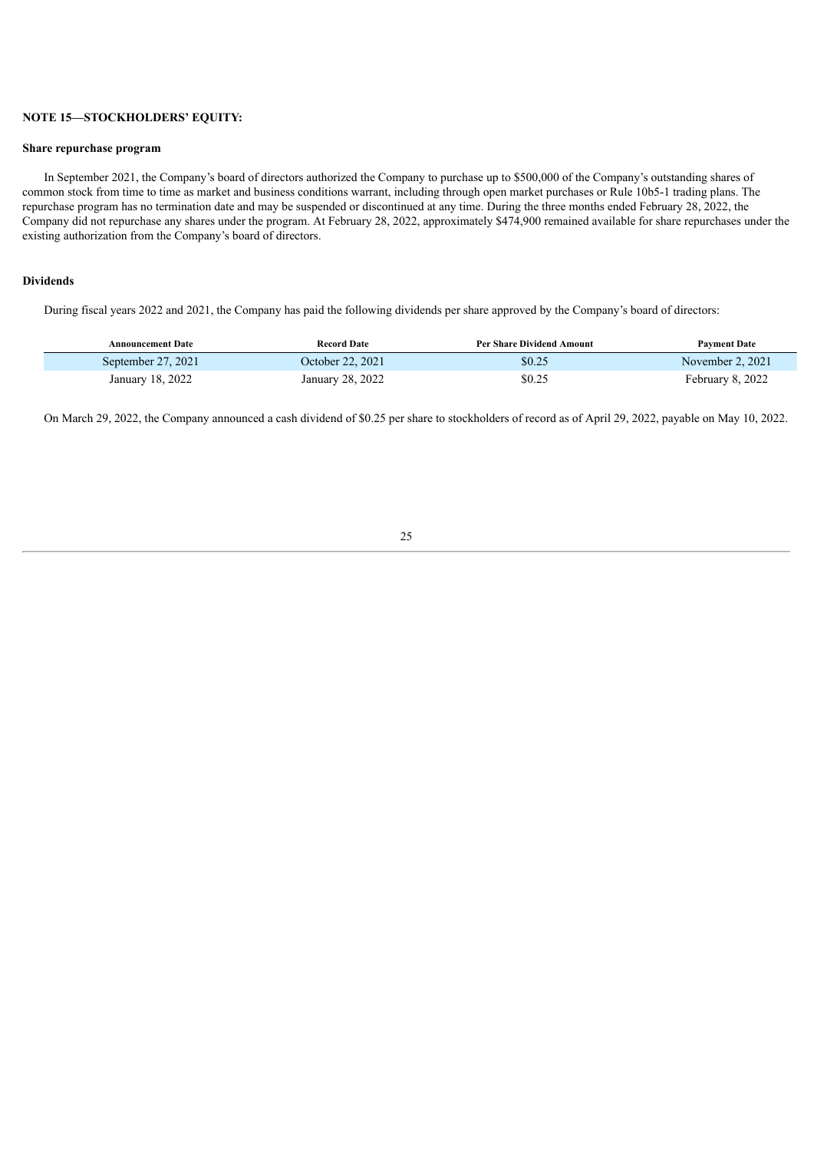# **NOTE 15—STOCKHOLDERS' EQUITY:**

#### **Share repurchase program**

In September 2021, the Company's board of directors authorized the Company to purchase up to \$500,000 of the Company's outstanding shares of common stock from time to time as market and business conditions warrant, including through open market purchases or Rule 10b5-1 trading plans. The repurchase program has no termination date and may be suspended or discontinued at any time. During the three months ended February 28, 2022, the Company did not repurchase any shares under the program. At February 28, 2022, approximately \$474,900 remained available for share repurchases under the existing authorization from the Company's board of directors.

# **Dividends**

During fiscal years 2022 and 2021, the Company has paid the following dividends per share approved by the Company's board of directors:

| Announcement Date  | Record Date      | Per Share Dividend Amount | <b>Payment Date</b> |
|--------------------|------------------|---------------------------|---------------------|
| September 27, 2021 | October 22, 2021 | \$0.25                    | November $2, 2021$  |
| January 18, 2022   | January 28, 2022 | \$0.25                    | February 8, 2022    |

<span id="page-26-0"></span>On March 29, 2022, the Company announced a cash dividend of \$0.25 per share to stockholders of record as of April 29, 2022, payable on May 10, 2022.

## 25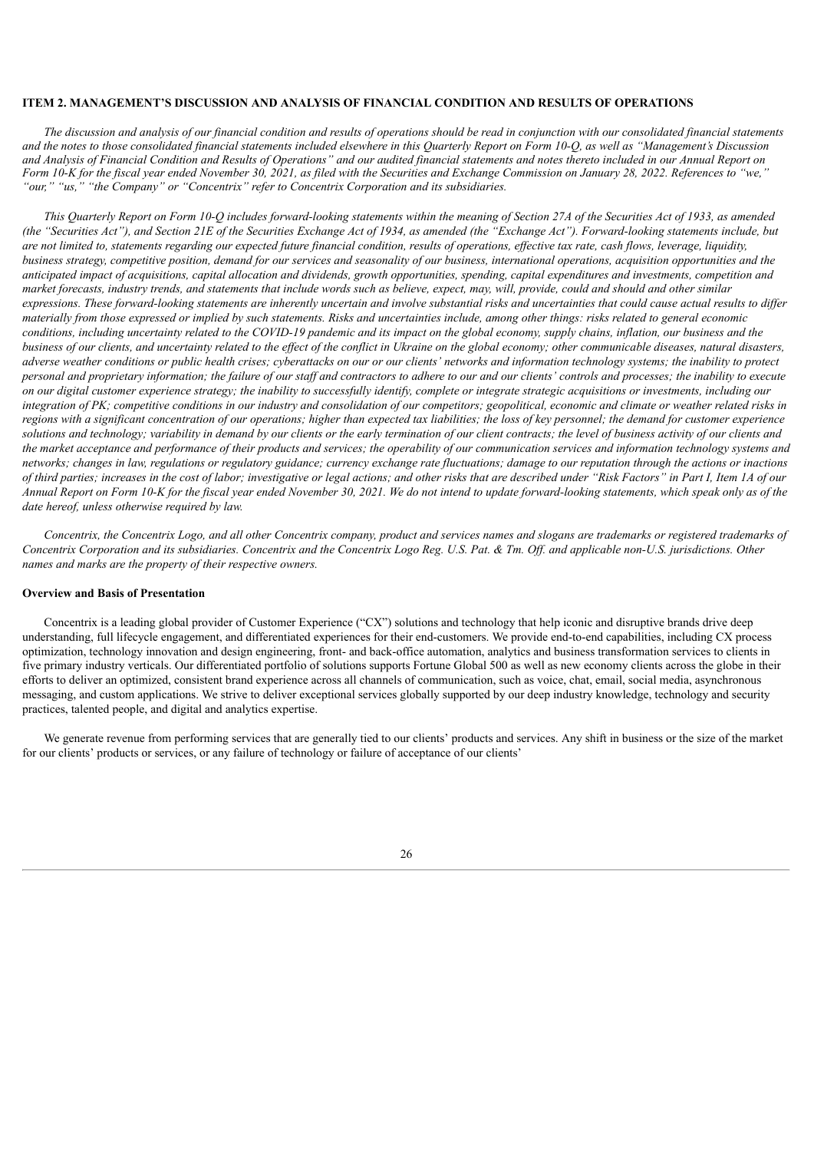## **ITEM 2. MANAGEMENT'S DISCUSSION AND ANALYSIS OF FINANCIAL CONDITION AND RESULTS OF OPERATIONS**

The discussion and analysis of our financial condition and results of operations should be read in conjunction with our consolidated financial statements and the notes to those consolidated financial statements included elsewhere in this Quarterly Report on Form 10-O, as well as "Management's Discussion and Analysis of Financial Condition and Results of Operations" and our audited financial statements and notes thereto included in our Annual Report on Form 10-K for the fiscal year ended November 30, 2021, as filed with the Securities and Exchange Commission on January 28, 2022. References to "we," *"our," "us," "the Company" or "Concentrix" refer to Concentrix Corporation and its subsidiaries.*

This Quarterly Report on Form 10-Q includes forward-looking statements within the meaning of Section 27A of the Securities Act of 1933, as amended (the "Securities Act"), and Section 2IE of the Securities Exchange Act of 1934, as amended (the "Exchange Act"). Forward-looking statements include, but are not limited to, statements regarding our expected future financial condition, results of operations, effective tax rate, cash flows, leverage, liquidity, business strategy, competitive position, demand for our services and seasonality of our business, international operations, acquisition opportunities and the anticipated impact of acquisitions, capital allocation and dividends, growth opportunities, spending, capital expenditures and investments, competition and market forecasts, industry trends, and statements that include words such as believe, expect, may, will, provide, could and should and other similar expressions. These forward-looking statements are inherently uncertain and involve substantial risks and uncertainties that could cause actual results to differ materially from those expressed or implied by such statements. Risks and uncertainties include, among other things: risks related to general economic conditions, including uncertainty related to the COVID-19 pandemic and its impact on the global economy, supply chains, inflation, our business and the business of our clients, and uncertainty related to the effect of the conflict in Ukraine on the global economy; other communicable diseases, natural disasters, adverse weather conditions or public health crises; cyberattacks on our or our clients' networks and information technology systems; the inability to protect personal and proprietary information; the failure of our staff and contractors to adhere to our and our clients' controls and processes; the inability to execute on our digital customer experience strategy; the inability to successfully identify, complete or integrate strategic acquisitions or investments, including our integration of PK; competitive conditions in our industry and consolidation of our competitors; geopolitical, economic and climate or weather related risks in regions with a significant concentration of our operations; higher than expected tax liabilities; the loss of key personnel; the demand for customer experience solutions and technology; variability in demand by our clients or the early termination of our client contracts; the level of business activity of our clients and the market acceptance and performance of their products and services; the operability of our communication services and information technology systems and networks; changes in law, regulations or regulatory guidance; currency exchange rate fluctuations; damage to our reputation through the actions or inactions of third parties; increases in the cost of labor; investigative or legal actions; and other risks that are described under "Risk Factors" in Part I, Item 1A of our Annual Report on Form 10-K for the fiscal year ended November 30, 2021. We do not intend to update forward-looking statements, which speak only as of the *date hereof, unless otherwise required by law.*

Concentrix, the Concentrix Logo, and all other Concentrix company, product and services names and slogans are trademarks or registered trademarks of Concentrix Corporation and its subsidiaries. Concentrix and the Concentrix Logo Reg. U.S. Pat. & Tm. Off. and applicable non-U.S. jurisdictions. Other *names and marks are the property of their respective owners.*

## **Overview and Basis of Presentation**

Concentrix is a leading global provider of Customer Experience ("CX") solutions and technology that help iconic and disruptive brands drive deep understanding, full lifecycle engagement, and differentiated experiences for their end-customers. We provide end-to-end capabilities, including CX process optimization, technology innovation and design engineering, front- and back-office automation, analytics and business transformation services to clients in five primary industry verticals. Our differentiated portfolio of solutions supports Fortune Global 500 as well as new economy clients across the globe in their efforts to deliver an optimized, consistent brand experience across all channels of communication, such as voice, chat, email, social media, asynchronous messaging, and custom applications. We strive to deliver exceptional services globally supported by our deep industry knowledge, technology and security practices, talented people, and digital and analytics expertise.

We generate revenue from performing services that are generally tied to our clients' products and services. Any shift in business or the size of the market for our clients' products or services, or any failure of technology or failure of acceptance of our clients'

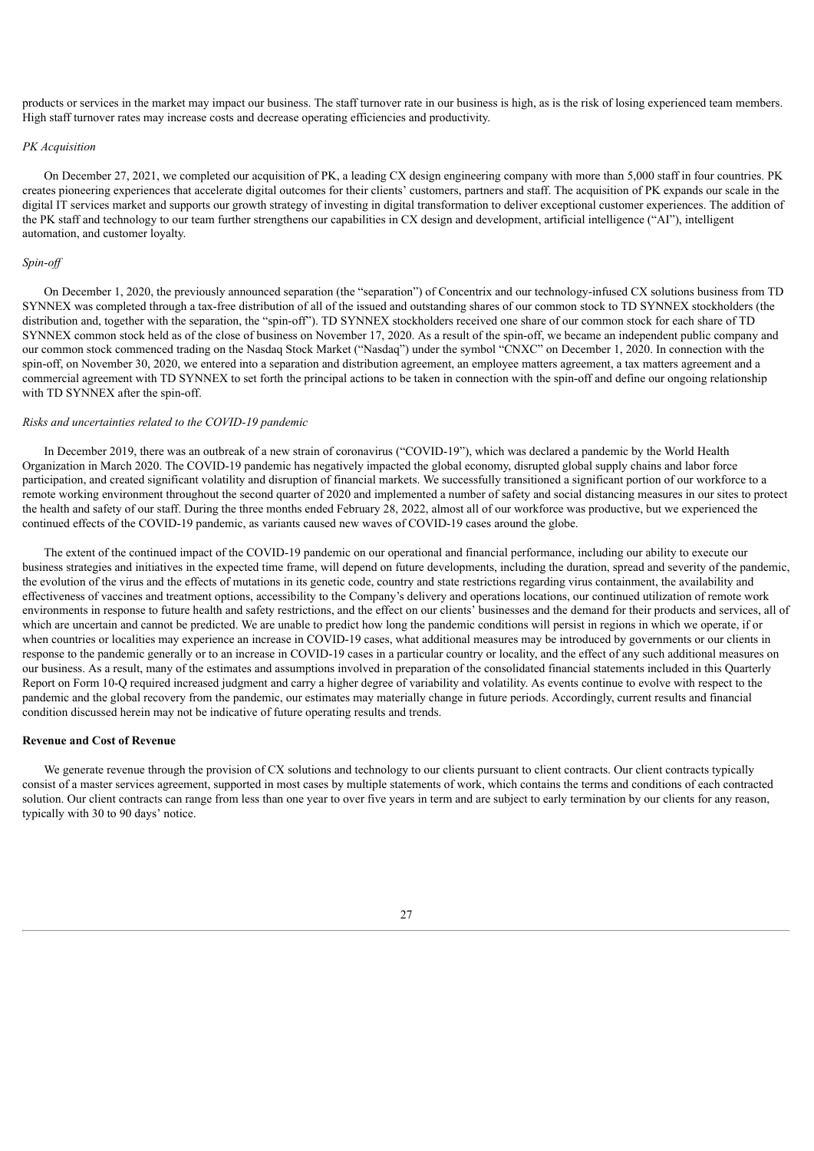products or services in the market may impact our business. The staff turnover rate in our business is high, as is the risk of losing experienced team members. High staff turnover rates may increase costs and decrease operating efficiencies and productivity.

## *PK Acquisition*

On December 27, 2021, we completed our acquisition of PK, a leading CX design engineering company with more than 5,000 staff in four countries. PK creates pioneering experiences that accelerate digital outcomes for their clients' customers, partners and staff. The acquisition of PK expands our scale in the digital IT services market and supports our growth strategy of investing in digital transformation to deliver exceptional customer experiences. The addition of the PK staff and technology to our team further strengthens our capabilities in CX design and development, artificial intelligence ("AI"), intelligent automation, and customer loyalty.

#### *Spin-of*

On December 1, 2020, the previously announced separation (the "separation") of Concentrix and our technology-infused CX solutions business from TD SYNNEX was completed through a tax-free distribution of all of the issued and outstanding shares of our common stock to TD SYNNEX stockholders (the distribution and, together with the separation, the "spin-off"). TD SYNNEX stockholders received one share of our common stock for each share of TD SYNNEX common stock held as of the close of business on November 17, 2020. As a result of the spin-off, we became an independent public company and our common stock commenced trading on the Nasdaq Stock Market ("Nasdaq") under the symbol "CNXC" on December 1, 2020. In connection with the spin-off, on November 30, 2020, we entered into a separation and distribution agreement, an employee matters agreement, a tax matters agreement and a commercial agreement with TD SYNNEX to set forth the principal actions to be taken in connection with the spin-off and define our ongoing relationship with TD SYNNEX after the spin-off.

#### *Risks and uncertainties related to the COVID-19 pandemic*

In December 2019, there was an outbreak of a new strain of coronavirus ("COVID-19"), which was declared a pandemic by the World Health Organization in March 2020. The COVID-19 pandemic has negatively impacted the global economy, disrupted global supply chains and labor force participation, and created significant volatility and disruption of financial markets. We successfully transitioned a significant portion of our workforce to a remote working environment throughout the second quarter of 2020 and implemented a number of safety and social distancing measures in our sites to protect the health and safety of our staff. During the three months ended February 28, 2022, almost all of our workforce was productive, but we experienced the continued effects of the COVID-19 pandemic, as variants caused new waves of COVID-19 cases around the globe.

The extent of the continued impact of the COVID-19 pandemic on our operational and financial performance, including our ability to execute our business strategies and initiatives in the expected time frame, will depend on future developments, including the duration, spread and severity of the pandemic, the evolution of the virus and the effects of mutations in its genetic code, country and state restrictions regarding virus containment, the availability and effectiveness of vaccines and treatment options, accessibility to the Company's delivery and operations locations, our continued utilization of remote work environments in response to future health and safety restrictions, and the effect on our clients' businesses and the demand for their products and services, all of which are uncertain and cannot be predicted. We are unable to predict how long the pandemic conditions will persist in regions in which we operate, if or when countries or localities may experience an increase in COVID-19 cases, what additional measures may be introduced by governments or our clients in response to the pandemic generally or to an increase in COVID-19 cases in a particular country or locality, and the effect of any such additional measures on our business. As a result, many of the estimates and assumptions involved in preparation of the consolidated financial statements included in this Quarterly Report on Form 10-Q required increased judgment and carry a higher degree of variability and volatility. As events continue to evolve with respect to the pandemic and the global recovery from the pandemic, our estimates may materially change in future periods. Accordingly, current results and financial condition discussed herein may not be indicative of future operating results and trends.

#### **Revenue and Cost of Revenue**

We generate revenue through the provision of CX solutions and technology to our clients pursuant to client contracts. Our client contracts typically consist of a master services agreement, supported in most cases by multiple statements of work, which contains the terms and conditions of each contracted solution. Our client contracts can range from less than one year to over five years in term and are subject to early termination by our clients for any reason, typically with 30 to 90 days' notice.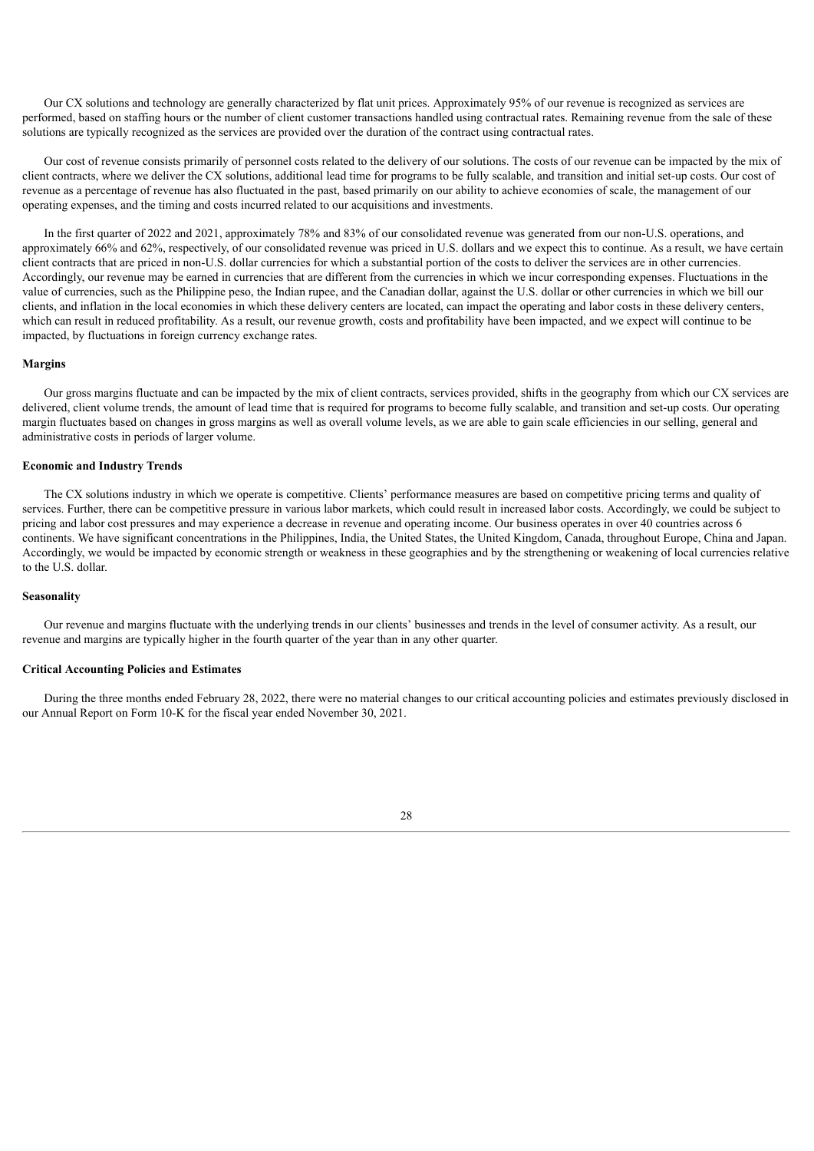Our CX solutions and technology are generally characterized by flat unit prices. Approximately 95% of our revenue is recognized as services are performed, based on staffing hours or the number of client customer transactions handled using contractual rates. Remaining revenue from the sale of these solutions are typically recognized as the services are provided over the duration of the contract using contractual rates.

Our cost of revenue consists primarily of personnel costs related to the delivery of our solutions. The costs of our revenue can be impacted by the mix of client contracts, where we deliver the CX solutions, additional lead time for programs to be fully scalable, and transition and initial set-up costs. Our cost of revenue as a percentage of revenue has also fluctuated in the past, based primarily on our ability to achieve economies of scale, the management of our operating expenses, and the timing and costs incurred related to our acquisitions and investments.

In the first quarter of 2022 and 2021, approximately 78% and 83% of our consolidated revenue was generated from our non-U.S. operations, and approximately 66% and 62%, respectively, of our consolidated revenue was priced in U.S. dollars and we expect this to continue. As a result, we have certain client contracts that are priced in non-U.S. dollar currencies for which a substantial portion of the costs to deliver the services are in other currencies. Accordingly, our revenue may be earned in currencies that are different from the currencies in which we incur corresponding expenses. Fluctuations in the value of currencies, such as the Philippine peso, the Indian rupee, and the Canadian dollar, against the U.S. dollar or other currencies in which we bill our clients, and inflation in the local economies in which these delivery centers are located, can impact the operating and labor costs in these delivery centers, which can result in reduced profitability. As a result, our revenue growth, costs and profitability have been impacted, and we expect will continue to be impacted, by fluctuations in foreign currency exchange rates.

#### **Margins**

Our gross margins fluctuate and can be impacted by the mix of client contracts, services provided, shifts in the geography from which our CX services are delivered, client volume trends, the amount of lead time that is required for programs to become fully scalable, and transition and set-up costs. Our operating margin fluctuates based on changes in gross margins as well as overall volume levels, as we are able to gain scale efficiencies in our selling, general and administrative costs in periods of larger volume.

#### **Economic and Industry Trends**

The CX solutions industry in which we operate is competitive. Clients' performance measures are based on competitive pricing terms and quality of services. Further, there can be competitive pressure in various labor markets, which could result in increased labor costs. Accordingly, we could be subject to pricing and labor cost pressures and may experience a decrease in revenue and operating income. Our business operates in over 40 countries across 6 continents. We have significant concentrations in the Philippines, India, the United States, the United Kingdom, Canada, throughout Europe, China and Japan. Accordingly, we would be impacted by economic strength or weakness in these geographies and by the strengthening or weakening of local currencies relative to the U.S. dollar.

#### **Seasonality**

Our revenue and margins fluctuate with the underlying trends in our clients' businesses and trends in the level of consumer activity. As a result, our revenue and margins are typically higher in the fourth quarter of the year than in any other quarter.

#### **Critical Accounting Policies and Estimates**

During the three months ended February 28, 2022, there were no material changes to our critical accounting policies and estimates previously disclosed in our Annual Report on Form 10-K for the fiscal year ended November 30, 2021.

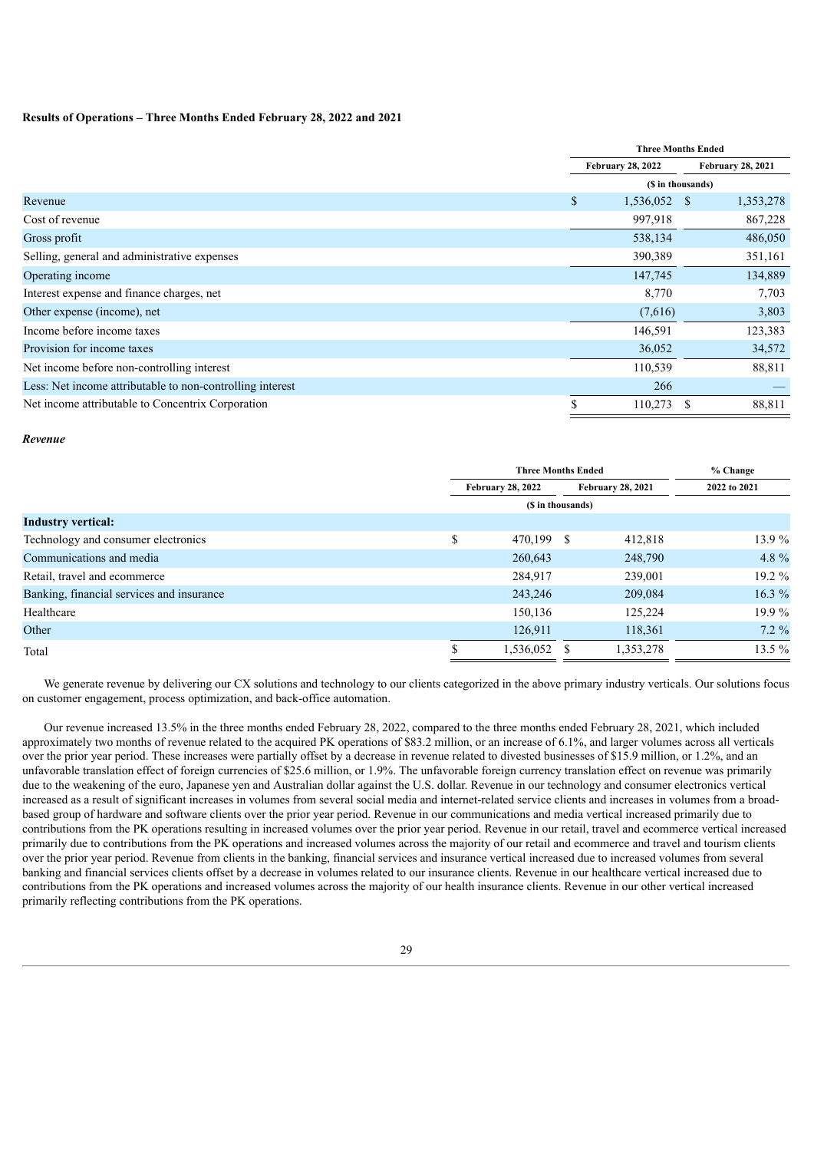#### **Results of Operations – Three Months Ended February 28, 2022 and 2021**

|                                                           |               | <b>Three Months Ended</b> |  |                          |
|-----------------------------------------------------------|---------------|---------------------------|--|--------------------------|
|                                                           |               | <b>February 28, 2022</b>  |  | <b>February 28, 2021</b> |
|                                                           |               | (\$ in thousands)         |  |                          |
| Revenue                                                   | \$            | 1,536,052 \$              |  | 1,353,278                |
| Cost of revenue                                           |               | 997,918                   |  | 867,228                  |
| Gross profit                                              |               | 538,134                   |  | 486,050                  |
| Selling, general and administrative expenses              |               | 390,389                   |  | 351,161                  |
| Operating income                                          |               | 147,745                   |  | 134,889                  |
| Interest expense and finance charges, net                 |               | 8,770                     |  | 7,703                    |
| Other expense (income), net                               |               | (7,616)                   |  | 3,803                    |
| Income before income taxes                                |               | 146,591                   |  | 123,383                  |
| Provision for income taxes                                |               | 36,052                    |  | 34,572                   |
| Net income before non-controlling interest                |               | 110,539                   |  | 88,811                   |
| Less: Net income attributable to non-controlling interest |               | 266                       |  |                          |
| Net income attributable to Concentrix Corporation         | $\mathbf{\$}$ | 110,273                   |  | 88,811                   |

#### *Revenue*

|                                           | <b>Three Months Ended</b> |                          |  |                          | % Change     |
|-------------------------------------------|---------------------------|--------------------------|--|--------------------------|--------------|
|                                           |                           | <b>February 28, 2022</b> |  | <b>February 28, 2021</b> | 2022 to 2021 |
|                                           |                           | (\$ in thousands)        |  |                          |              |
| <b>Industry vertical:</b>                 |                           |                          |  |                          |              |
| Technology and consumer electronics       | \$                        | 470,199 \$               |  | 412,818                  | 13.9 %       |
| Communications and media                  |                           | 260,643                  |  | 248,790                  | 4.8 $%$      |
| Retail, travel and ecommerce              |                           | 284,917                  |  | 239,001                  | $19.2 \%$    |
| Banking, financial services and insurance |                           | 243,246                  |  | 209,084                  | $16.3\%$     |
| Healthcare                                |                           | 150,136                  |  | 125,224                  | $19.9\%$     |
| Other                                     |                           | 126,911                  |  | 118,361                  | $7.2\%$      |
| Total                                     |                           | 1,536,052 \$             |  | 1,353,278                | $13.5\%$     |

We generate revenue by delivering our CX solutions and technology to our clients categorized in the above primary industry verticals. Our solutions focus on customer engagement, process optimization, and back-office automation.

Our revenue increased 13.5% in the three months ended February 28, 2022, compared to the three months ended February 28, 2021, which included approximately two months of revenue related to the acquired PK operations of \$83.2 million, or an increase of 6.1%, and larger volumes across all verticals over the prior year period. These increases were partially offset by a decrease in revenue related to divested businesses of \$15.9 million, or 1.2%, and an unfavorable translation effect of foreign currencies of \$25.6 million, or 1.9%. The unfavorable foreign currency translation effect on revenue was primarily due to the weakening of the euro, Japanese yen and Australian dollar against the U.S. dollar. Revenue in our technology and consumer electronics vertical increased as a result of significant increases in volumes from several social media and internet-related service clients and increases in volumes from a broadbased group of hardware and software clients over the prior year period. Revenue in our communications and media vertical increased primarily due to contributions from the PK operations resulting in increased volumes over the prior year period. Revenue in our retail, travel and ecommerce vertical increased primarily due to contributions from the PK operations and increased volumes across the majority of our retail and ecommerce and travel and tourism clients over the prior year period. Revenue from clients in the banking, financial services and insurance vertical increased due to increased volumes from several banking and financial services clients offset by a decrease in volumes related to our insurance clients. Revenue in our healthcare vertical increased due to contributions from the PK operations and increased volumes across the majority of our health insurance clients. Revenue in our other vertical increased primarily reflecting contributions from the PK operations.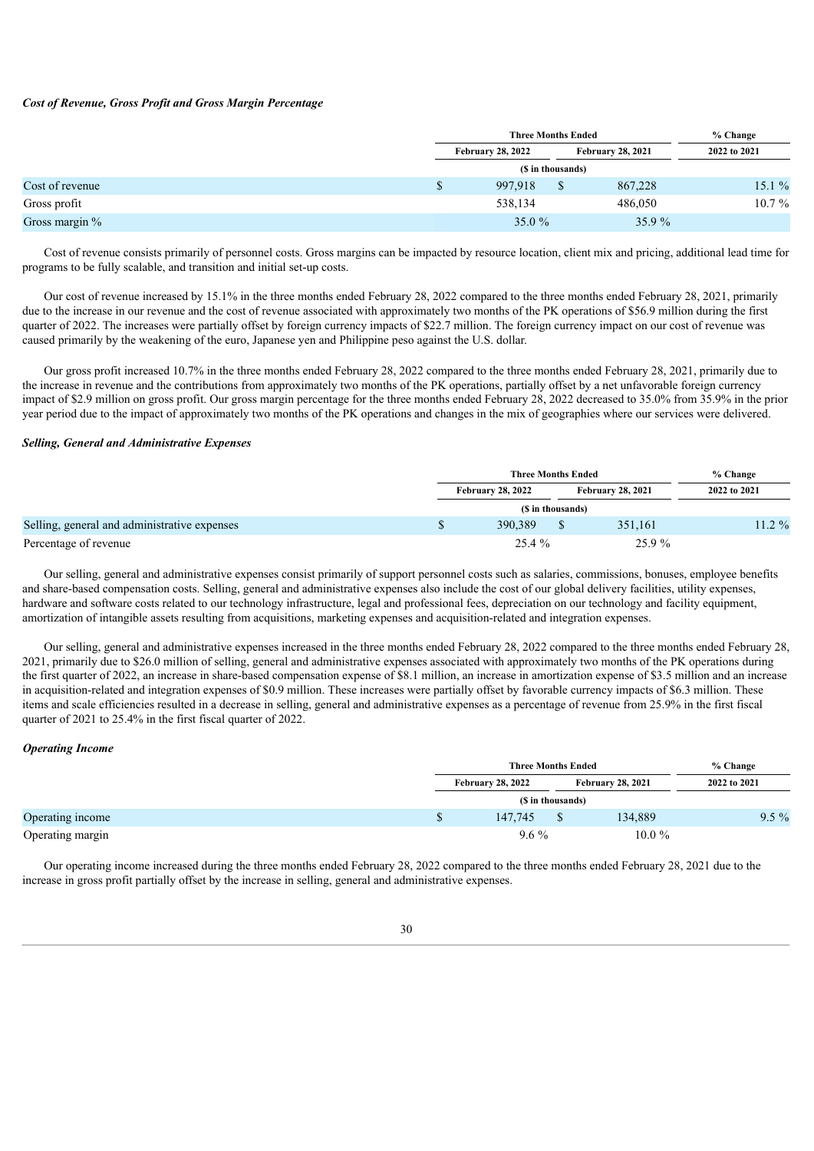# *Cost of Revenue, Gross Profit and Gross Margin Percentage*

|                 |               | <b>Three Months Ended</b> |    |                          | % Change     |  |  |
|-----------------|---------------|---------------------------|----|--------------------------|--------------|--|--|
|                 |               | <b>February 28, 2022</b>  |    | <b>February 28, 2021</b> | 2022 to 2021 |  |  |
|                 |               | (\$ in thousands)         |    |                          |              |  |  |
| Cost of revenue | <sup>\$</sup> | 997.918                   | \$ | 867,228                  | 15.1%        |  |  |
| Gross profit    |               | 538,134                   |    | 486,050                  | $10.7\%$     |  |  |
| Gross margin %  |               | 35.0 $%$                  |    | 35.9%                    |              |  |  |

Cost of revenue consists primarily of personnel costs. Gross margins can be impacted by resource location, client mix and pricing, additional lead time for programs to be fully scalable, and transition and initial set-up costs.

Our cost of revenue increased by 15.1% in the three months ended February 28, 2022 compared to the three months ended February 28, 2021, primarily due to the increase in our revenue and the cost of revenue associated with approximately two months of the PK operations of \$56.9 million during the first quarter of 2022. The increases were partially offset by foreign currency impacts of \$22.7 million. The foreign currency impact on our cost of revenue was caused primarily by the weakening of the euro, Japanese yen and Philippine peso against the U.S. dollar.

Our gross profit increased 10.7% in the three months ended February 28, 2022 compared to the three months ended February 28, 2021, primarily due to the increase in revenue and the contributions from approximately two months of the PK operations, partially offset by a net unfavorable foreign currency impact of \$2.9 million on gross profit. Our gross margin percentage for the three months ended February 28, 2022 decreased to 35.0% from 35.9% in the prior year period due to the impact of approximately two months of the PK operations and changes in the mix of geographies where our services were delivered.

#### *Selling, General and Administrative Expenses*

|                                              |                   | <b>Three Months Ended</b> |  |                          | % Change     |  |  |
|----------------------------------------------|-------------------|---------------------------|--|--------------------------|--------------|--|--|
|                                              |                   | <b>February 28, 2022</b>  |  | <b>February 28, 2021</b> | 2022 to 2021 |  |  |
|                                              | (\$ in thousands) |                           |  |                          |              |  |  |
| Selling, general and administrative expenses |                   | 390.389                   |  | 351,161                  | $11.2 \%$    |  |  |
| Percentage of revenue                        |                   | 25.4%                     |  | 25.9 %                   |              |  |  |

Our selling, general and administrative expenses consist primarily of support personnel costs such as salaries, commissions, bonuses, employee benefits and share-based compensation costs. Selling, general and administrative expenses also include the cost of our global delivery facilities, utility expenses, hardware and software costs related to our technology infrastructure, legal and professional fees, depreciation on our technology and facility equipment, amortization of intangible assets resulting from acquisitions, marketing expenses and acquisition-related and integration expenses.

Our selling, general and administrative expenses increased in the three months ended February 28, 2022 compared to the three months ended February 28, 2021, primarily due to \$26.0 million of selling, general and administrative expenses associated with approximately two months of the PK operations during the first quarter of 2022, an increase in share-based compensation expense of \$8.1 million, an increase in amortization expense of \$3.5 million and an increase in acquisition-related and integration expenses of \$0.9 million. These increases were partially offset by favorable currency impacts of \$6.3 million. These items and scale efficiencies resulted in a decrease in selling, general and administrative expenses as a percentage of revenue from 25.9% in the first fiscal quarter of 2021 to 25.4% in the first fiscal quarter of 2022.

## *Operating Income*

|                  | <b>Three Months Ended</b> |  |                          | % Change     |  |  |
|------------------|---------------------------|--|--------------------------|--------------|--|--|
|                  | <b>February 28, 2022</b>  |  | <b>February 28, 2021</b> | 2022 to 2021 |  |  |
|                  | (\$ in thousands)         |  |                          |              |  |  |
| Operating income | 147.745                   |  | 134.889                  | $9.5\%$      |  |  |
| Operating margin | $9.6\%$                   |  | $10.0 \%$                |              |  |  |

Our operating income increased during the three months ended February 28, 2022 compared to the three months ended February 28, 2021 due to the increase in gross profit partially offset by the increase in selling, general and administrative expenses.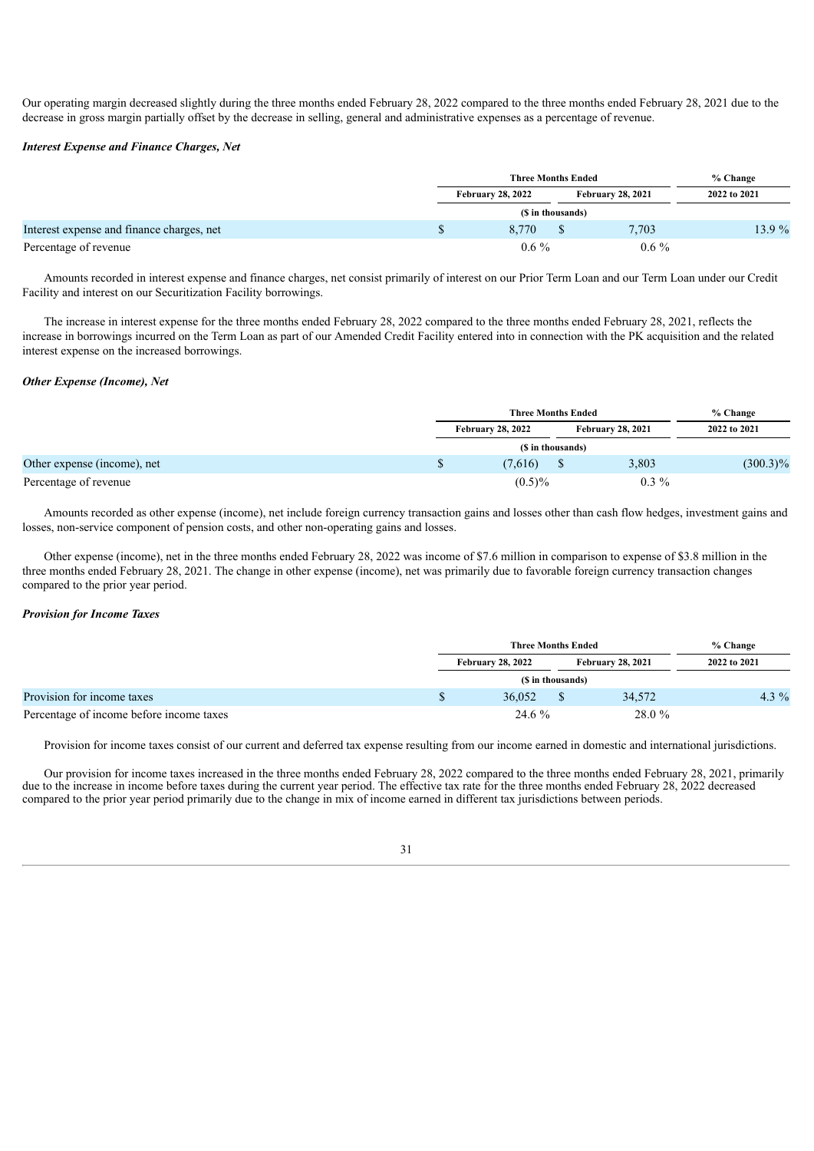Our operating margin decreased slightly during the three months ended February 28, 2022 compared to the three months ended February 28, 2021 due to the decrease in gross margin partially offset by the decrease in selling, general and administrative expenses as a percentage of revenue.

## *Interest Expense and Finance Charges, Net*

|                                           | <b>Three Months Ended</b> |  |                          | % Change     |  |  |  |
|-------------------------------------------|---------------------------|--|--------------------------|--------------|--|--|--|
|                                           | <b>February 28, 2022</b>  |  | <b>February 28, 2021</b> | 2022 to 2021 |  |  |  |
|                                           | (\$ in thousands)         |  |                          |              |  |  |  |
| Interest expense and finance charges, net | 8.770                     |  | 7,703                    | $13.9\%$     |  |  |  |
| Percentage of revenue                     | $0.6\%$                   |  | $0.6\%$                  |              |  |  |  |

Amounts recorded in interest expense and finance charges, net consist primarily of interest on our Prior Term Loan and our Term Loan under our Credit Facility and interest on our Securitization Facility borrowings.

The increase in interest expense for the three months ended February 28, 2022 compared to the three months ended February 28, 2021, reflects the increase in borrowings incurred on the Term Loan as part of our Amended Credit Facility entered into in connection with the PK acquisition and the related interest expense on the increased borrowings.

# *Other Expense (Income), Net*

|                             | <b>Three Months Ended</b>                            |  |         | % Change     |  |  |  |
|-----------------------------|------------------------------------------------------|--|---------|--------------|--|--|--|
|                             | <b>February 28, 2021</b><br><b>February 28, 2022</b> |  |         | 2022 to 2021 |  |  |  |
|                             | (\$ in thousands)                                    |  |         |              |  |  |  |
| Other expense (income), net | (7.616)                                              |  | 3,803   | $(300.3)\%$  |  |  |  |
| Percentage of revenue       | $(0.5)\%$                                            |  | $0.3\%$ |              |  |  |  |

Amounts recorded as other expense (income), net include foreign currency transaction gains and losses other than cash flow hedges, investment gains and losses, non-service component of pension costs, and other non-operating gains and losses.

Other expense (income), net in the three months ended February 28, 2022 was income of \$7.6 million in comparison to expense of \$3.8 million in the three months ended February 28, 2021. The change in other expense (income), net was primarily due to favorable foreign currency transaction changes compared to the prior year period.

#### *Provision for Income Taxes*

|                                          |  | <b>Three Months Ended</b> |  |                          | % Change     |
|------------------------------------------|--|---------------------------|--|--------------------------|--------------|
|                                          |  | <b>February 28, 2022</b>  |  | <b>February 28, 2021</b> | 2022 to 2021 |
|                                          |  |                           |  |                          |              |
| Provision for income taxes               |  | 36,052                    |  | 34.572                   | 4.3 $\%$     |
| Percentage of income before income taxes |  | $24.6\%$                  |  | 28.0 %                   |              |

Provision for income taxes consist of our current and deferred tax expense resulting from our income earned in domestic and international jurisdictions.

Our provision for income taxes increased in the three months ended February 28, 2022 compared to the three months ended February 28, 2021, primarily due to the increase in income before taxes during the current year period. The effective tax rate for the three months ended February 28, 2022 decreased compared to the prior year period primarily due to the change in mix of income earned in different tax jurisdictions between periods.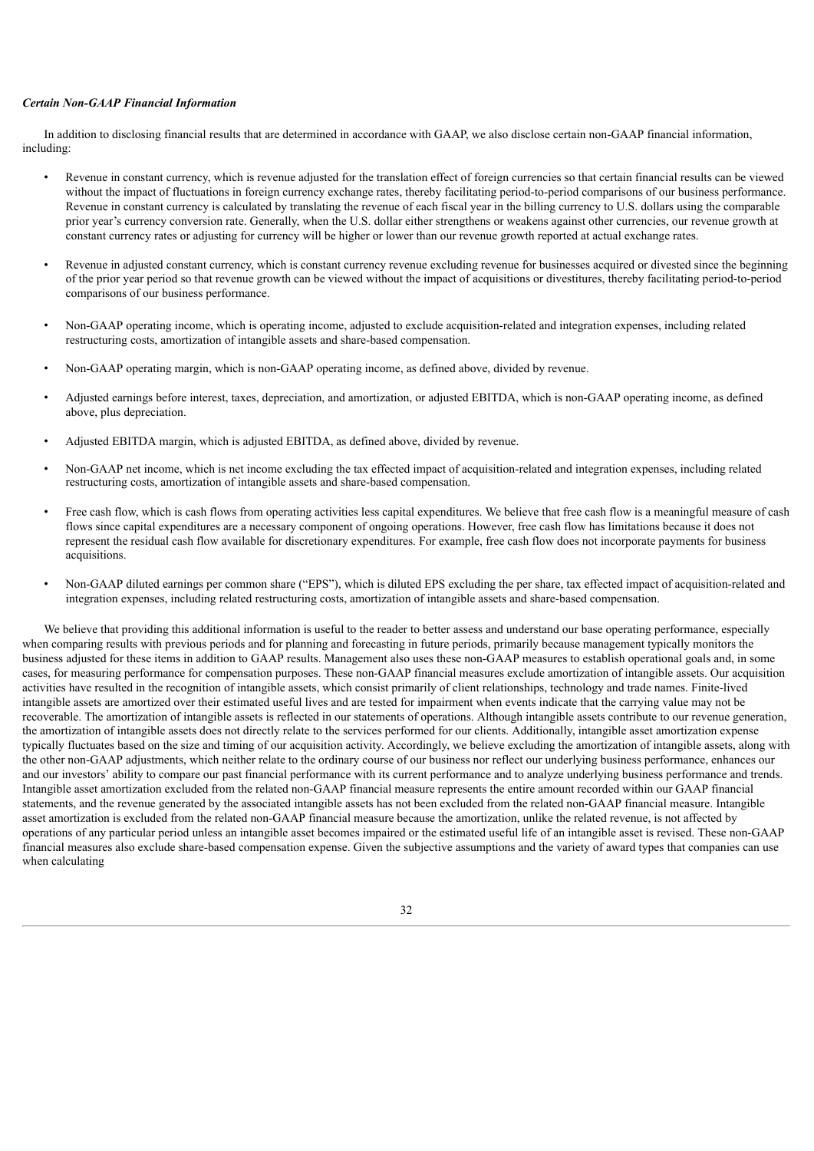# *Certain Non-GAAP Financial Information*

In addition to disclosing financial results that are determined in accordance with GAAP, we also disclose certain non-GAAP financial information, including:

- Revenue in constant currency, which is revenue adjusted for the translation effect of foreign currencies so that certain financial results can be viewed without the impact of fluctuations in foreign currency exchange rates, thereby facilitating period-to-period comparisons of our business performance. Revenue in constant currency is calculated by translating the revenue of each fiscal year in the billing currency to U.S. dollars using the comparable prior year's currency conversion rate. Generally, when the U.S. dollar either strengthens or weakens against other currencies, our revenue growth at constant currency rates or adjusting for currency will be higher or lower than our revenue growth reported at actual exchange rates.
- Revenue in adjusted constant currency, which is constant currency revenue excluding revenue for businesses acquired or divested since the beginning of the prior year period so that revenue growth can be viewed without the impact of acquisitions or divestitures, thereby facilitating period-to-period comparisons of our business performance.
- Non-GAAP operating income, which is operating income, adjusted to exclude acquisition-related and integration expenses, including related restructuring costs, amortization of intangible assets and share-based compensation.
- Non-GAAP operating margin, which is non-GAAP operating income, as defined above, divided by revenue.
- Adjusted earnings before interest, taxes, depreciation, and amortization, or adjusted EBITDA, which is non-GAAP operating income, as defined above, plus depreciation.
- Adjusted EBITDA margin, which is adjusted EBITDA, as defined above, divided by revenue.
- Non-GAAP net income, which is net income excluding the tax effected impact of acquisition-related and integration expenses, including related restructuring costs, amortization of intangible assets and share-based compensation.
- Free cash flow, which is cash flows from operating activities less capital expenditures. We believe that free cash flow is a meaningful measure of cash flows since capital expenditures are a necessary component of ongoing operations. However, free cash flow has limitations because it does not represent the residual cash flow available for discretionary expenditures. For example, free cash flow does not incorporate payments for business acquisitions.
- Non-GAAP diluted earnings per common share ("EPS"), which is diluted EPS excluding the per share, tax effected impact of acquisition-related and integration expenses, including related restructuring costs, amortization of intangible assets and share-based compensation.

We believe that providing this additional information is useful to the reader to better assess and understand our base operating performance, especially when comparing results with previous periods and for planning and forecasting in future periods, primarily because management typically monitors the business adjusted for these items in addition to GAAP results. Management also uses these non-GAAP measures to establish operational goals and, in some cases, for measuring performance for compensation purposes. These non-GAAP financial measures exclude amortization of intangible assets. Our acquisition activities have resulted in the recognition of intangible assets, which consist primarily of client relationships, technology and trade names. Finite-lived intangible assets are amortized over their estimated useful lives and are tested for impairment when events indicate that the carrying value may not be recoverable. The amortization of intangible assets is reflected in our statements of operations. Although intangible assets contribute to our revenue generation, the amortization of intangible assets does not directly relate to the services performed for our clients. Additionally, intangible asset amortization expense typically fluctuates based on the size and timing of our acquisition activity. Accordingly, we believe excluding the amortization of intangible assets, along with the other non-GAAP adjustments, which neither relate to the ordinary course of our business nor reflect our underlying business performance, enhances our and our investors' ability to compare our past financial performance with its current performance and to analyze underlying business performance and trends. Intangible asset amortization excluded from the related non-GAAP financial measure represents the entire amount recorded within our GAAP financial statements, and the revenue generated by the associated intangible assets has not been excluded from the related non-GAAP financial measure. Intangible asset amortization is excluded from the related non-GAAP financial measure because the amortization, unlike the related revenue, is not affected by operations of any particular period unless an intangible asset becomes impaired or the estimated useful life of an intangible asset is revised. These non-GAAP financial measures also exclude share-based compensation expense. Given the subjective assumptions and the variety of award types that companies can use when calculating

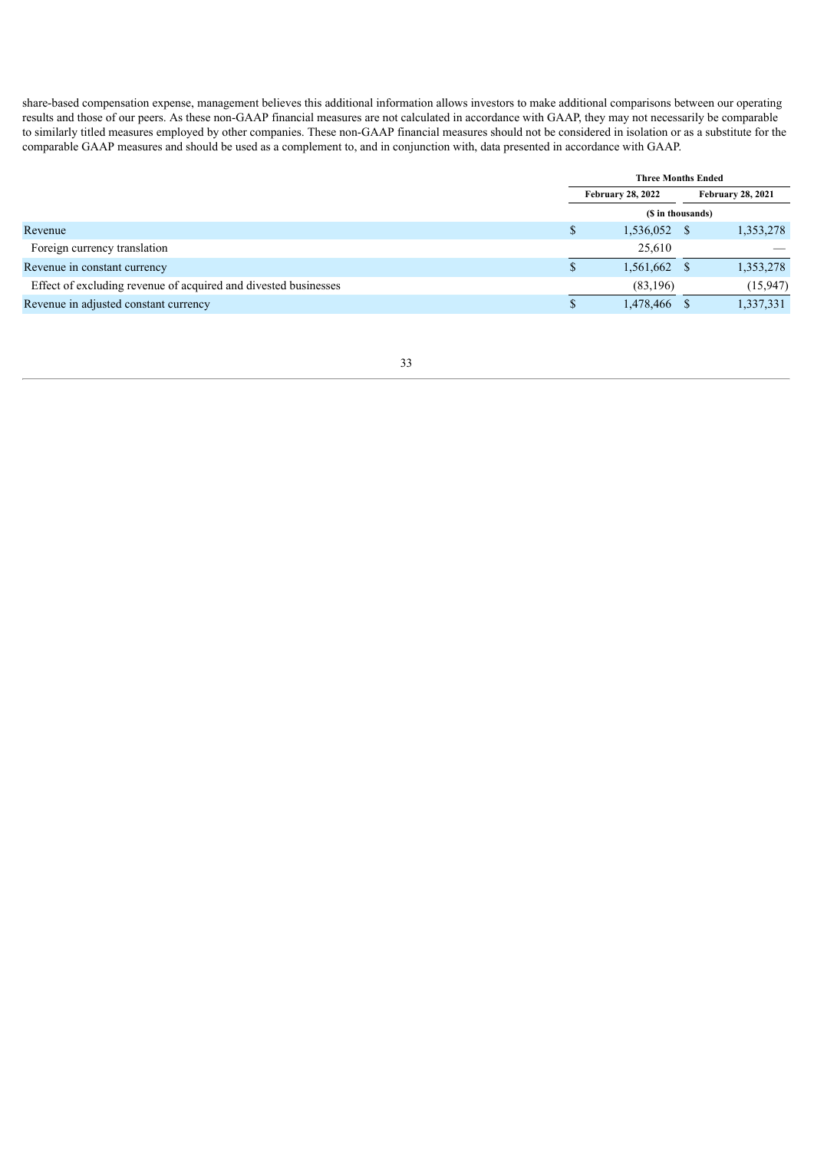share-based compensation expense, management believes this additional information allows investors to make additional comparisons between our operating results and those of our peers. As these non-GAAP financial measures are not calculated in accordance with GAAP, they may not necessarily be comparable to similarly titled measures employed by other companies. These non-GAAP financial measures should not be considered in isolation or as a substitute for the comparable GAAP measures and should be used as a complement to, and in conjunction with, data presented in accordance with GAAP.

|                                                                 | <b>Three Months Ended</b> |                   |  |                          |
|-----------------------------------------------------------------|---------------------------|-------------------|--|--------------------------|
|                                                                 | <b>February 28, 2022</b>  |                   |  | <b>February 28, 2021</b> |
|                                                                 |                           | (\$ in thousands) |  |                          |
| Revenue                                                         | \$                        | 1,536,052 \$      |  | 1,353,278                |
| Foreign currency translation                                    |                           | 25,610            |  |                          |
| Revenue in constant currency                                    |                           | $1,561,662$ \$    |  | 1,353,278                |
| Effect of excluding revenue of acquired and divested businesses |                           | (83, 196)         |  | (15, 947)                |
| Revenue in adjusted constant currency                           |                           | 1,478,466 \$      |  | 1,337,331                |

## 33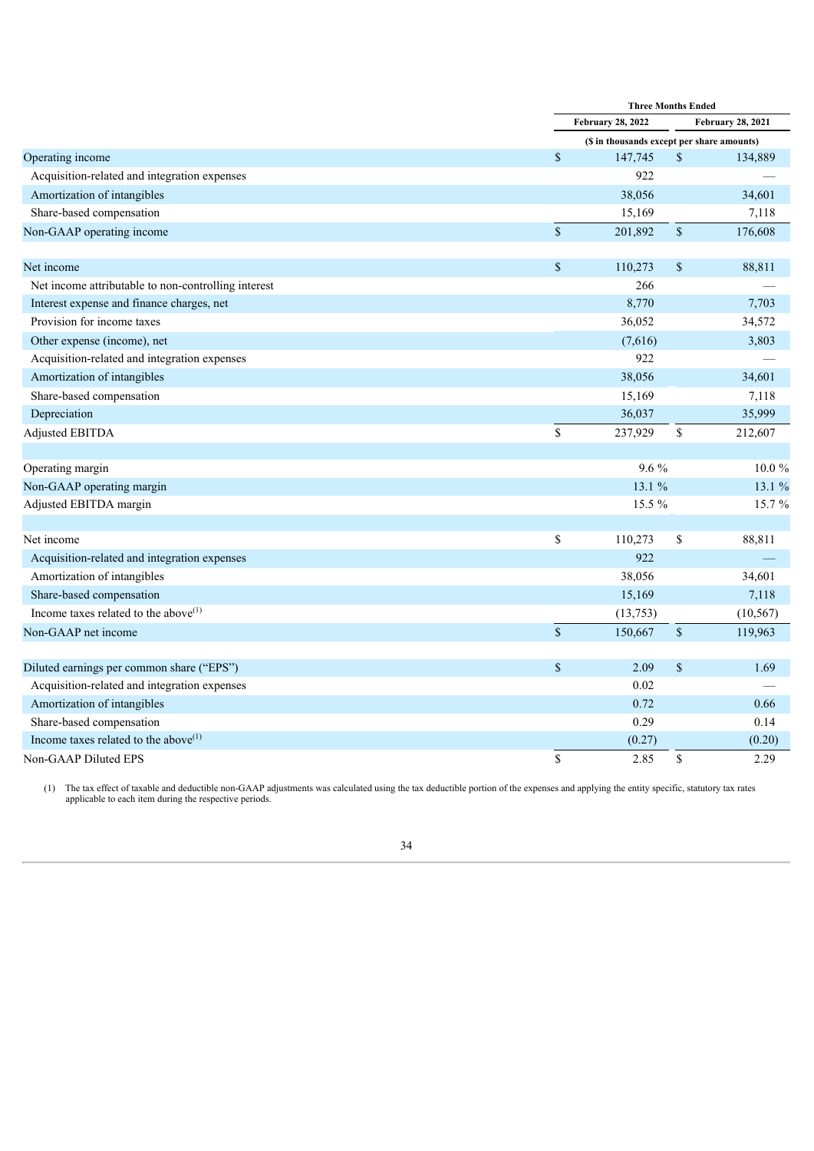|                                                     |              | <b>Three Months Ended</b>                  |                           |                          |  |
|-----------------------------------------------------|--------------|--------------------------------------------|---------------------------|--------------------------|--|
|                                                     |              | <b>February 28, 2022</b>                   |                           | <b>February 28, 2021</b> |  |
|                                                     |              | (\$ in thousands except per share amounts) |                           |                          |  |
| Operating income                                    | $\mathbf S$  | 147,745                                    | \$                        | 134,889                  |  |
| Acquisition-related and integration expenses        |              | 922                                        |                           |                          |  |
| Amortization of intangibles                         |              | 38,056                                     |                           | 34,601                   |  |
| Share-based compensation                            |              | 15,169                                     |                           | 7,118                    |  |
| Non-GAAP operating income                           | $\mathbb{S}$ | 201,892                                    | $\mathbb{S}$              | 176,608                  |  |
| Net income                                          | \$           | 110,273                                    | $\boldsymbol{\mathsf{S}}$ | 88,811                   |  |
| Net income attributable to non-controlling interest |              | 266                                        |                           |                          |  |
| Interest expense and finance charges, net           |              | 8,770                                      |                           | 7,703                    |  |
| Provision for income taxes                          |              | 36,052                                     |                           | 34,572                   |  |
| Other expense (income), net                         |              | (7,616)                                    |                           | 3,803                    |  |
| Acquisition-related and integration expenses        |              | 922                                        |                           |                          |  |
| Amortization of intangibles                         |              | 38,056                                     |                           | 34,601                   |  |
| Share-based compensation                            |              | 15,169                                     |                           | 7,118                    |  |
| Depreciation                                        |              | 36,037                                     |                           | 35,999                   |  |
| <b>Adjusted EBITDA</b>                              | \$           | 237,929                                    | \$                        | 212,607                  |  |
|                                                     |              |                                            |                           |                          |  |
| Operating margin                                    |              | $9.6\%$                                    |                           | 10.0%                    |  |
| Non-GAAP operating margin                           |              | 13.1%                                      |                           | 13.1 %                   |  |
| Adjusted EBITDA margin                              |              | 15.5 %                                     |                           | 15.7 %                   |  |
| Net income                                          | \$           | 110,273                                    | \$                        | 88,811                   |  |
| Acquisition-related and integration expenses        |              | 922                                        |                           |                          |  |
| Amortization of intangibles                         |              | 38,056                                     |                           | 34,601                   |  |
| Share-based compensation                            |              | 15,169                                     |                           | 7,118                    |  |
| Income taxes related to the above <sup>(1)</sup>    |              | (13, 753)                                  |                           | (10, 567)                |  |
| Non-GAAP net income                                 | \$           | 150,667                                    | \$                        | 119,963                  |  |
| Diluted earnings per common share ("EPS")           | \$           | 2.09                                       | \$                        | 1.69                     |  |
| Acquisition-related and integration expenses        |              | 0.02                                       |                           |                          |  |
| Amortization of intangibles                         |              | 0.72                                       |                           | 0.66                     |  |
| Share-based compensation                            |              | 0.29                                       |                           | 0.14                     |  |
| Income taxes related to the above $(1)$             |              | (0.27)                                     |                           | (0.20)                   |  |
| Non-GAAP Diluted EPS                                | \$           | 2.85                                       | \$                        | 2.29                     |  |

(1) The tax effect of taxable and deductible non-GAAP adjustments was calculated using the tax deductible portion of the expenses and applying the entity specific, statutory tax rates applicable to each item during the res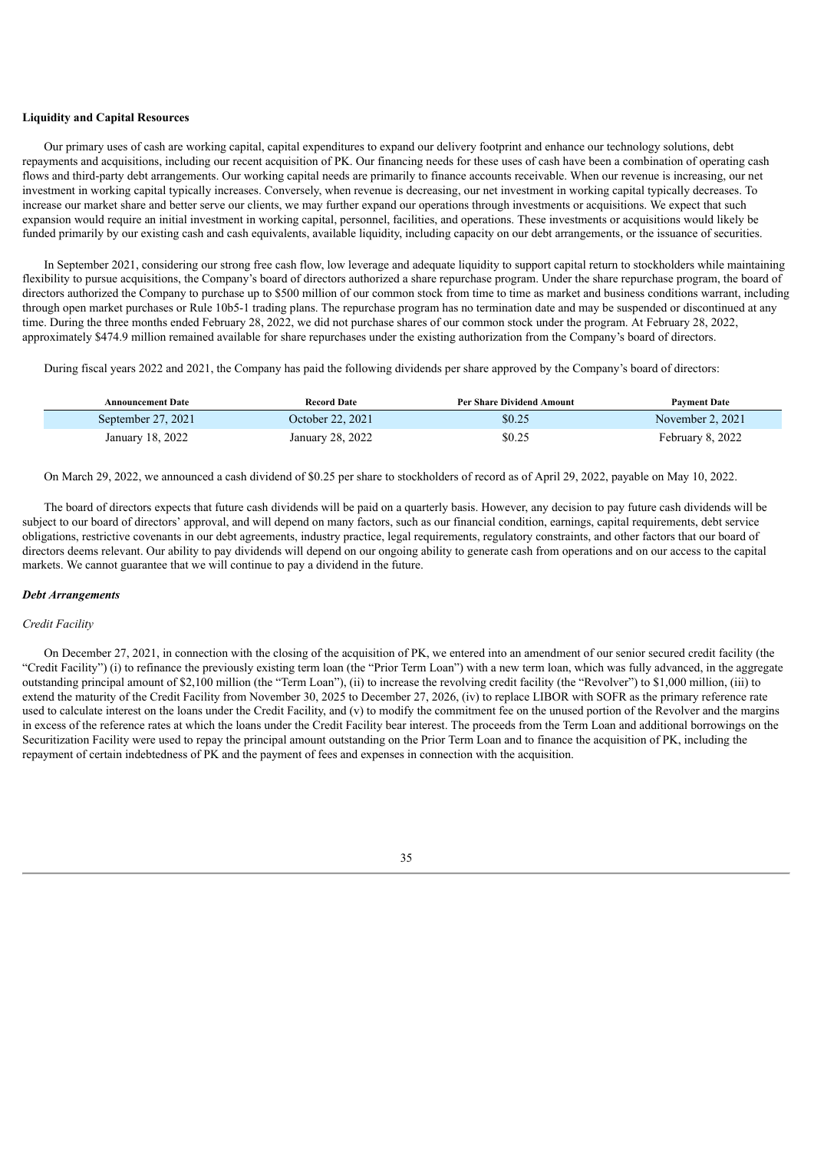#### **Liquidity and Capital Resources**

Our primary uses of cash are working capital, capital expenditures to expand our delivery footprint and enhance our technology solutions, debt repayments and acquisitions, including our recent acquisition of PK. Our financing needs for these uses of cash have been a combination of operating cash flows and third-party debt arrangements. Our working capital needs are primarily to finance accounts receivable. When our revenue is increasing, our net investment in working capital typically increases. Conversely, when revenue is decreasing, our net investment in working capital typically decreases. To increase our market share and better serve our clients, we may further expand our operations through investments or acquisitions. We expect that such expansion would require an initial investment in working capital, personnel, facilities, and operations. These investments or acquisitions would likely be funded primarily by our existing cash and cash equivalents, available liquidity, including capacity on our debt arrangements, or the issuance of securities.

In September 2021, considering our strong free cash flow, low leverage and adequate liquidity to support capital return to stockholders while maintaining flexibility to pursue acquisitions, the Company's board of directors authorized a share repurchase program. Under the share repurchase program, the board of directors authorized the Company to purchase up to \$500 million of our common stock from time to time as market and business conditions warrant, including through open market purchases or Rule 10b5-1 trading plans. The repurchase program has no termination date and may be suspended or discontinued at any time. During the three months ended February 28, 2022, we did not purchase shares of our common stock under the program. At February 28, 2022, approximately \$474.9 million remained available for share repurchases under the existing authorization from the Company's board of directors.

During fiscal years 2022 and 2021, the Company has paid the following dividends per share approved by the Company's board of directors:

| Announcement Date    | <b>Record Date</b> | <b>Per Share Dividend Amount</b> | <b>Payment Date</b> |
|----------------------|--------------------|----------------------------------|---------------------|
| September $27, 2021$ | October 22, 2021   | \$0.25                           | November 2, 2021    |
| January 18, 2022     | January 28, 2022   | \$0.25                           | February 8, 2022    |

On March 29, 2022, we announced a cash dividend of \$0.25 per share to stockholders of record as of April 29, 2022, payable on May 10, 2022.

The board of directors expects that future cash dividends will be paid on a quarterly basis. However, any decision to pay future cash dividends will be subject to our board of directors' approval, and will depend on many factors, such as our financial condition, earnings, capital requirements, debt service obligations, restrictive covenants in our debt agreements, industry practice, legal requirements, regulatory constraints, and other factors that our board of directors deems relevant. Our ability to pay dividends will depend on our ongoing ability to generate cash from operations and on our access to the capital markets. We cannot guarantee that we will continue to pay a dividend in the future.

#### *Debt Arrangements*

#### *Credit Facility*

On December 27, 2021, in connection with the closing of the acquisition of PK, we entered into an amendment of our senior secured credit facility (the "Credit Facility") (i) to refinance the previously existing term loan (the "Prior Term Loan") with a new term loan, which was fully advanced, in the aggregate outstanding principal amount of \$2,100 million (the "Term Loan"), (ii) to increase the revolving credit facility (the "Revolver") to \$1,000 million, (iii) to extend the maturity of the Credit Facility from November 30, 2025 to December 27, 2026, (iv) to replace LIBOR with SOFR as the primary reference rate used to calculate interest on the loans under the Credit Facility, and (v) to modify the commitment fee on the unused portion of the Revolver and the margins in excess of the reference rates at which the loans under the Credit Facility bear interest. The proceeds from the Term Loan and additional borrowings on the Securitization Facility were used to repay the principal amount outstanding on the Prior Term Loan and to finance the acquisition of PK, including the repayment of certain indebtedness of PK and the payment of fees and expenses in connection with the acquisition.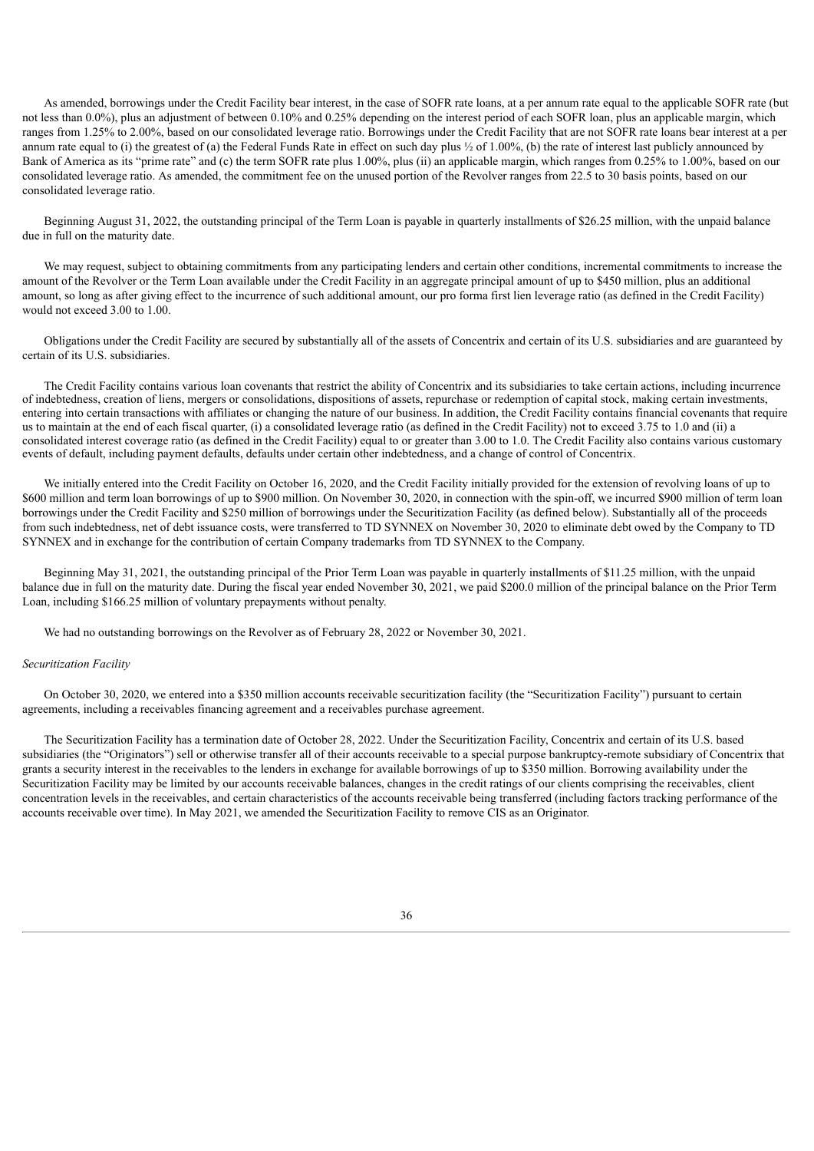As amended, borrowings under the Credit Facility bear interest, in the case of SOFR rate loans, at a per annum rate equal to the applicable SOFR rate (but not less than 0.0%), plus an adjustment of between 0.10% and 0.25% depending on the interest period of each SOFR loan, plus an applicable margin, which ranges from 1.25% to 2.00%, based on our consolidated leverage ratio. Borrowings under the Credit Facility that are not SOFR rate loans bear interest at a per annum rate equal to (i) the greatest of (a) the Federal Funds Rate in effect on such day plus  $\frac{1}{2}$  of 1.00%, (b) the rate of interest last publicly announced by Bank of America as its "prime rate" and (c) the term SOFR rate plus 1.00%, plus (ii) an applicable margin, which ranges from 0.25% to 1.00%, based on our consolidated leverage ratio. As amended, the commitment fee on the unused portion of the Revolver ranges from 22.5 to 30 basis points, based on our consolidated leverage ratio.

Beginning August 31, 2022, the outstanding principal of the Term Loan is payable in quarterly installments of \$26.25 million, with the unpaid balance due in full on the maturity date.

We may request, subject to obtaining commitments from any participating lenders and certain other conditions, incremental commitments to increase the amount of the Revolver or the Term Loan available under the Credit Facility in an aggregate principal amount of up to \$450 million, plus an additional amount, so long as after giving effect to the incurrence of such additional amount, our pro forma first lien leverage ratio (as defined in the Credit Facility) would not exceed 3.00 to 1.00.

Obligations under the Credit Facility are secured by substantially all of the assets of Concentrix and certain of its U.S. subsidiaries and are guaranteed by certain of its U.S. subsidiaries.

The Credit Facility contains various loan covenants that restrict the ability of Concentrix and its subsidiaries to take certain actions, including incurrence of indebtedness, creation of liens, mergers or consolidations, dispositions of assets, repurchase or redemption of capital stock, making certain investments, entering into certain transactions with affiliates or changing the nature of our business. In addition, the Credit Facility contains financial covenants that require us to maintain at the end of each fiscal quarter, (i) a consolidated leverage ratio (as defined in the Credit Facility) not to exceed 3.75 to 1.0 and (ii) a consolidated interest coverage ratio (as defined in the Credit Facility) equal to or greater than 3.00 to 1.0. The Credit Facility also contains various customary events of default, including payment defaults, defaults under certain other indebtedness, and a change of control of Concentrix.

We initially entered into the Credit Facility on October 16, 2020, and the Credit Facility initially provided for the extension of revolving loans of up to \$600 million and term loan borrowings of up to \$900 million. On November 30, 2020, in connection with the spin-off, we incurred \$900 million of term loan borrowings under the Credit Facility and \$250 million of borrowings under the Securitization Facility (as defined below). Substantially all of the proceeds from such indebtedness, net of debt issuance costs, were transferred to TD SYNNEX on November 30, 2020 to eliminate debt owed by the Company to TD SYNNEX and in exchange for the contribution of certain Company trademarks from TD SYNNEX to the Company.

Beginning May 31, 2021, the outstanding principal of the Prior Term Loan was payable in quarterly installments of \$11.25 million, with the unpaid balance due in full on the maturity date. During the fiscal year ended November 30, 2021, we paid \$200.0 million of the principal balance on the Prior Term Loan, including \$166.25 million of voluntary prepayments without penalty.

We had no outstanding borrowings on the Revolver as of February 28, 2022 or November 30, 2021.

#### *Securitization Facility*

On October 30, 2020, we entered into a \$350 million accounts receivable securitization facility (the "Securitization Facility") pursuant to certain agreements, including a receivables financing agreement and a receivables purchase agreement.

The Securitization Facility has a termination date of October 28, 2022. Under the Securitization Facility, Concentrix and certain of its U.S. based subsidiaries (the "Originators") sell or otherwise transfer all of their accounts receivable to a special purpose bankruptcy-remote subsidiary of Concentrix that grants a security interest in the receivables to the lenders in exchange for available borrowings of up to \$350 million. Borrowing availability under the Securitization Facility may be limited by our accounts receivable balances, changes in the credit ratings of our clients comprising the receivables, client concentration levels in the receivables, and certain characteristics of the accounts receivable being transferred (including factors tracking performance of the accounts receivable over time). In May 2021, we amended the Securitization Facility to remove CIS as an Originator.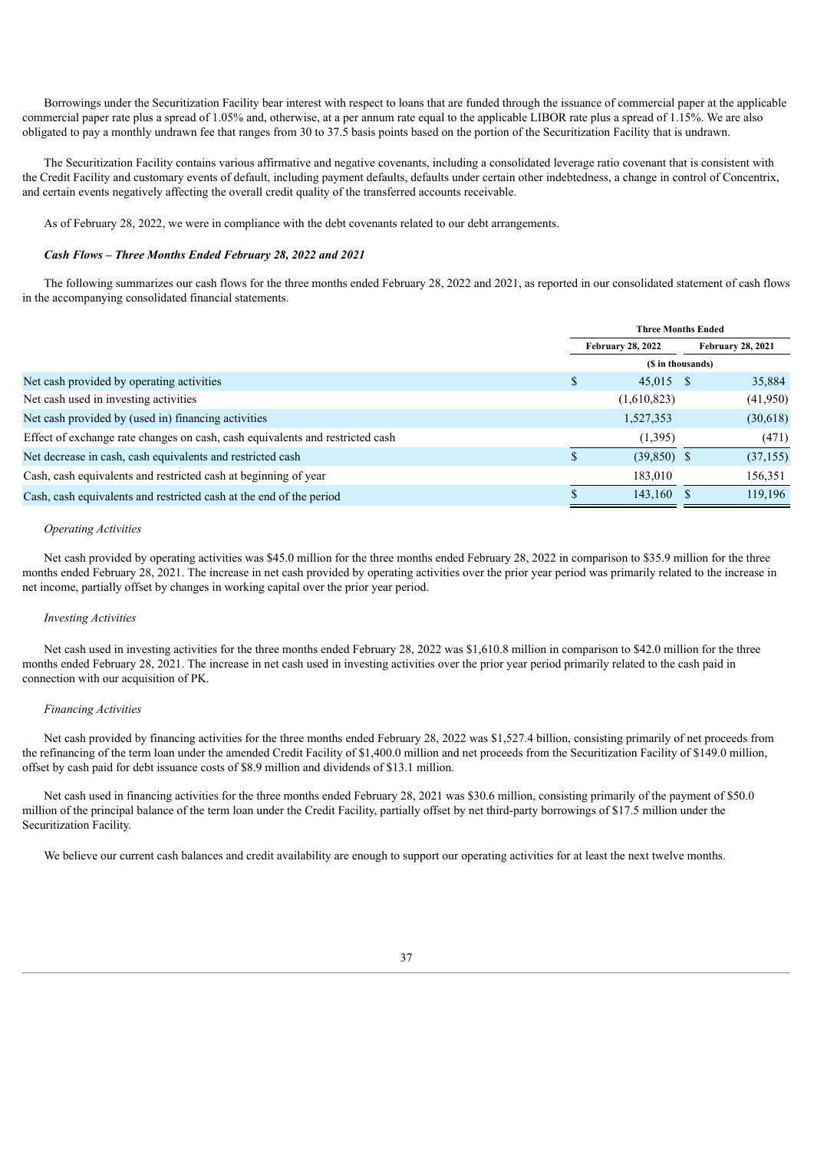Borrowings under the Securitization Facility bear interest with respect to loans that are funded through the issuance of commercial paper at the applicable commercial paper rate plus a spread of 1.05% and, otherwise, at a per annum rate equal to the applicable LIBOR rate plus a spread of 1.15%. We are also obligated to pay a monthly undrawn fee that ranges from 30 to 37.5 basis points based on the portion of the Securitization Facility that is undrawn.

The Securitization Facility contains various affirmative and negative covenants, including a consolidated leverage ratio covenant that is consistent with the Credit Facility and customary events of default, including payment defaults, defaults under certain other indebtedness, a change in control of Concentrix, and certain events negatively affecting the overall credit quality of the transferred accounts receivable.

As of February 28, 2022, we were in compliance with the debt covenants related to our debt arrangements.

# *Cash Flows – Three Months Ended February 28, 2022 and 2021*

The following summarizes our cash flows for the three months ended February 28, 2022 and 2021, as reported in our consolidated statement of cash flows in the accompanying consolidated financial statements.

|                                                                               | <b>Three Months Ended</b> |                          |  |                          |  |
|-------------------------------------------------------------------------------|---------------------------|--------------------------|--|--------------------------|--|
|                                                                               |                           | <b>February 28, 2022</b> |  | <b>February 28, 2021</b> |  |
|                                                                               |                           | (\$ in thousands)        |  |                          |  |
| Net cash provided by operating activities                                     | \$                        | $45,015$ \$              |  | 35,884                   |  |
| Net cash used in investing activities                                         |                           | (1,610,823)              |  | (41,950)                 |  |
| Net cash provided by (used in) financing activities                           |                           | 1,527,353                |  | (30,618)                 |  |
| Effect of exchange rate changes on cash, cash equivalents and restricted cash |                           | (1,395)                  |  | (471)                    |  |
| Net decrease in cash, cash equivalents and restricted cash                    |                           | $(39,850)$ \$            |  | (37, 155)                |  |
| Cash, cash equivalents and restricted cash at beginning of year               |                           | 183,010                  |  | 156,351                  |  |
| Cash, cash equivalents and restricted cash at the end of the period           |                           | $143,160$ \$             |  | 119,196                  |  |

# *Operating Activities*

Net cash provided by operating activities was \$45.0 million for the three months ended February 28, 2022 in comparison to \$35.9 million for the three months ended February 28, 2021. The increase in net cash provided by operating activities over the prior year period was primarily related to the increase in net income, partially offset by changes in working capital over the prior year period.

## *Investing Activities*

Net cash used in investing activities for the three months ended February 28, 2022 was \$1,610.8 million in comparison to \$42.0 million for the three months ended February 28, 2021. The increase in net cash used in investing activities over the prior year period primarily related to the cash paid in connection with our acquisition of PK.

## *Financing Activities*

Net cash provided by financing activities for the three months ended February 28, 2022 was \$1,527.4 billion, consisting primarily of net proceeds from the refinancing of the term loan under the amended Credit Facility of \$1,400.0 million and net proceeds from the Securitization Facility of \$149.0 million, offset by cash paid for debt issuance costs of \$8.9 million and dividends of \$13.1 million.

Net cash used in financing activities for the three months ended February 28, 2021 was \$30.6 million, consisting primarily of the payment of \$50.0 million of the principal balance of the term loan under the Credit Facility, partially offset by net third-party borrowings of \$17.5 million under the Securitization Facility.

We believe our current cash balances and credit availability are enough to support our operating activities for at least the next twelve months.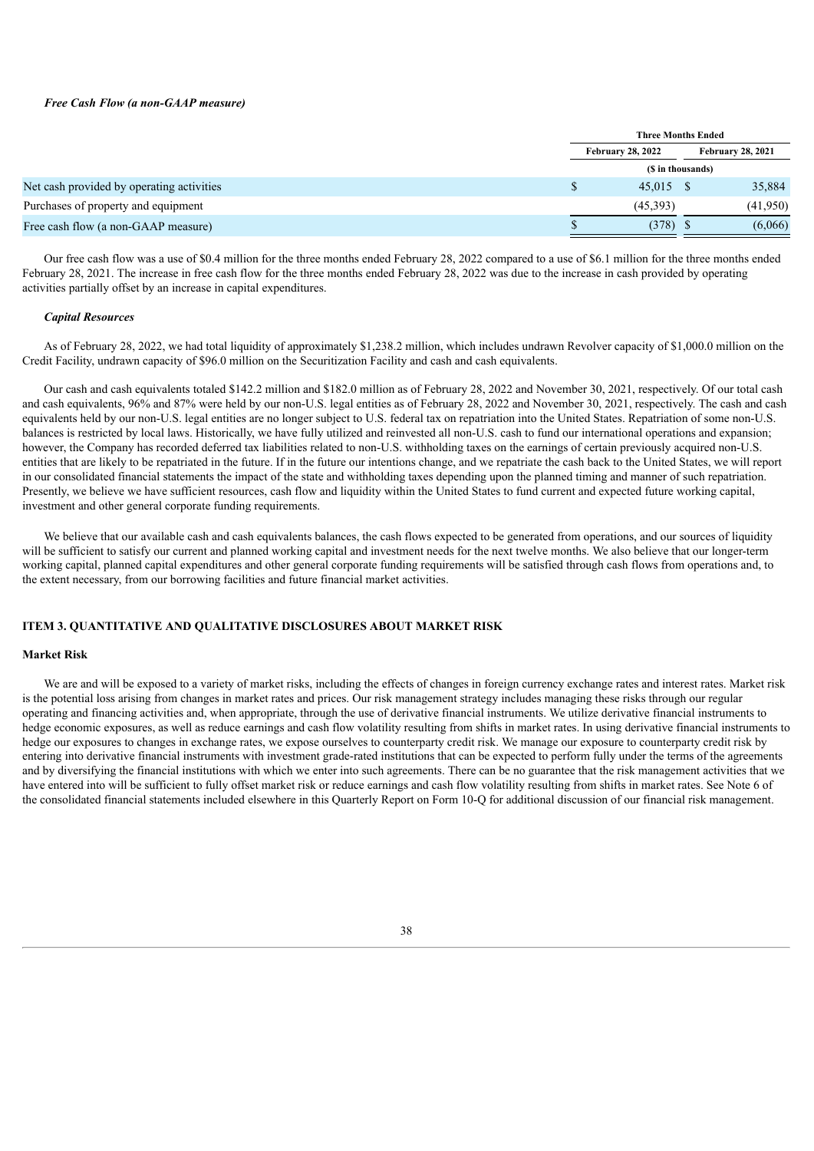#### *Free Cash Flow (a non-GAAP measure)*

|                                           |                   | <b>Three Months Ended</b> |  |                          |  |
|-------------------------------------------|-------------------|---------------------------|--|--------------------------|--|
|                                           |                   | <b>February 28, 2022</b>  |  | <b>February 28, 2021</b> |  |
|                                           | (\$ in thousands) |                           |  |                          |  |
| Net cash provided by operating activities |                   | 45,015 \$                 |  | 35,884                   |  |
| Purchases of property and equipment       |                   | (45,393)                  |  | (41,950)                 |  |
| Free cash flow (a non-GAAP measure)       |                   | $(378)$ \$                |  | (6,066)                  |  |

Our free cash flow was a use of \$0.4 million for the three months ended February 28, 2022 compared to a use of \$6.1 million for the three months ended February 28, 2021. The increase in free cash flow for the three months ended February 28, 2022 was due to the increase in cash provided by operating activities partially offset by an increase in capital expenditures.

#### *Capital Resources*

As of February 28, 2022, we had total liquidity of approximately \$1,238.2 million, which includes undrawn Revolver capacity of \$1,000.0 million on the Credit Facility, undrawn capacity of \$96.0 million on the Securitization Facility and cash and cash equivalents.

Our cash and cash equivalents totaled \$142.2 million and \$182.0 million as of February 28, 2022 and November 30, 2021, respectively. Of our total cash and cash equivalents, 96% and 87% were held by our non-U.S. legal entities as of February 28, 2022 and November 30, 2021, respectively. The cash and cash equivalents held by our non-U.S. legal entities are no longer subject to U.S. federal tax on repatriation into the United States. Repatriation of some non-U.S. balances is restricted by local laws. Historically, we have fully utilized and reinvested all non-U.S. cash to fund our international operations and expansion; however, the Company has recorded deferred tax liabilities related to non-U.S. withholding taxes on the earnings of certain previously acquired non-U.S. entities that are likely to be repatriated in the future. If in the future our intentions change, and we repatriate the cash back to the United States, we will report in our consolidated financial statements the impact of the state and withholding taxes depending upon the planned timing and manner of such repatriation. Presently, we believe we have sufficient resources, cash flow and liquidity within the United States to fund current and expected future working capital, investment and other general corporate funding requirements.

We believe that our available cash and cash equivalents balances, the cash flows expected to be generated from operations, and our sources of liquidity will be sufficient to satisfy our current and planned working capital and investment needs for the next twelve months. We also believe that our longer-term working capital, planned capital expenditures and other general corporate funding requirements will be satisfied through cash flows from operations and, to the extent necessary, from our borrowing facilities and future financial market activities.

# <span id="page-39-0"></span>**ITEM 3. QUANTITATIVE AND QUALITATIVE DISCLOSURES ABOUT MARKET RISK**

#### **Market Risk**

We are and will be exposed to a variety of market risks, including the effects of changes in foreign currency exchange rates and interest rates. Market risk is the potential loss arising from changes in market rates and prices. Our risk management strategy includes managing these risks through our regular operating and financing activities and, when appropriate, through the use of derivative financial instruments. We utilize derivative financial instruments to hedge economic exposures, as well as reduce earnings and cash flow volatility resulting from shifts in market rates. In using derivative financial instruments to hedge our exposures to changes in exchange rates, we expose ourselves to counterparty credit risk. We manage our exposure to counterparty credit risk by entering into derivative financial instruments with investment grade-rated institutions that can be expected to perform fully under the terms of the agreements and by diversifying the financial institutions with which we enter into such agreements. There can be no guarantee that the risk management activities that we have entered into will be sufficient to fully offset market risk or reduce earnings and cash flow volatility resulting from shifts in market rates. See Note 6 of the consolidated financial statements included elsewhere in this Quarterly Report on Form 10-Q for additional discussion of our financial risk management.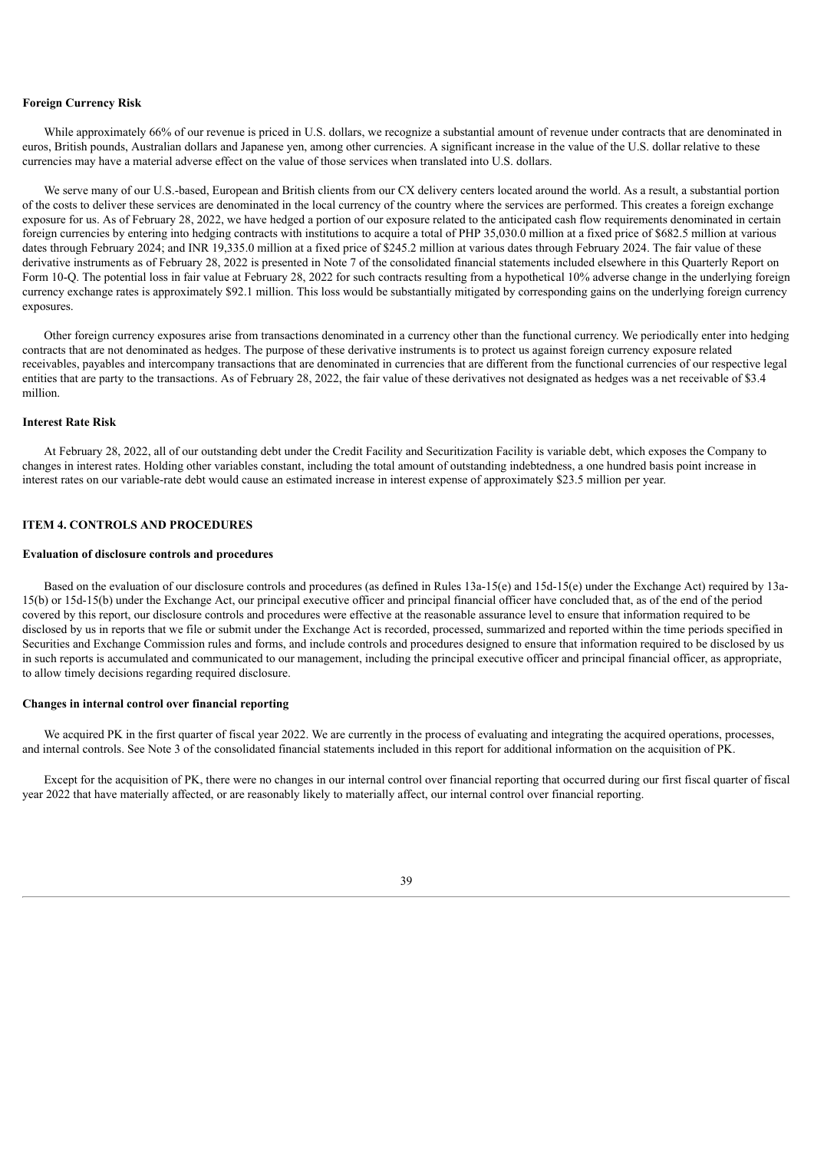## **Foreign Currency Risk**

While approximately 66% of our revenue is priced in U.S. dollars, we recognize a substantial amount of revenue under contracts that are denominated in euros, British pounds, Australian dollars and Japanese yen, among other currencies. A significant increase in the value of the U.S. dollar relative to these currencies may have a material adverse effect on the value of those services when translated into U.S. dollars.

We serve many of our U.S.-based, European and British clients from our CX delivery centers located around the world. As a result, a substantial portion of the costs to deliver these services are denominated in the local currency of the country where the services are performed. This creates a foreign exchange exposure for us. As of February 28, 2022, we have hedged a portion of our exposure related to the anticipated cash flow requirements denominated in certain foreign currencies by entering into hedging contracts with institutions to acquire a total of PHP 35,030.0 million at a fixed price of \$682.5 million at various dates through February 2024; and INR 19,335.0 million at a fixed price of \$245.2 million at various dates through February 2024. The fair value of these derivative instruments as of February 28, 2022 is presented in Note 7 of the consolidated financial statements included elsewhere in this Quarterly Report on Form 10-Q. The potential loss in fair value at February 28, 2022 for such contracts resulting from a hypothetical 10% adverse change in the underlying foreign currency exchange rates is approximately \$92.1 million. This loss would be substantially mitigated by corresponding gains on the underlying foreign currency exposures.

Other foreign currency exposures arise from transactions denominated in a currency other than the functional currency. We periodically enter into hedging contracts that are not denominated as hedges. The purpose of these derivative instruments is to protect us against foreign currency exposure related receivables, payables and intercompany transactions that are denominated in currencies that are different from the functional currencies of our respective legal entities that are party to the transactions. As of February 28, 2022, the fair value of these derivatives not designated as hedges was a net receivable of \$3.4 million.

## **Interest Rate Risk**

At February 28, 2022, all of our outstanding debt under the Credit Facility and Securitization Facility is variable debt, which exposes the Company to changes in interest rates. Holding other variables constant, including the total amount of outstanding indebtedness, a one hundred basis point increase in interest rates on our variable-rate debt would cause an estimated increase in interest expense of approximately \$23.5 million per year.

## <span id="page-40-0"></span>**ITEM 4. CONTROLS AND PROCEDURES**

#### **Evaluation of disclosure controls and procedures**

Based on the evaluation of our disclosure controls and procedures (as defined in Rules 13a-15(e) and 15d-15(e) under the Exchange Act) required by 13a-15(b) or 15d-15(b) under the Exchange Act, our principal executive officer and principal financial officer have concluded that, as of the end of the period covered by this report, our disclosure controls and procedures were effective at the reasonable assurance level to ensure that information required to be disclosed by us in reports that we file or submit under the Exchange Act is recorded, processed, summarized and reported within the time periods specified in Securities and Exchange Commission rules and forms, and include controls and procedures designed to ensure that information required to be disclosed by us in such reports is accumulated and communicated to our management, including the principal executive officer and principal financial officer, as appropriate, to allow timely decisions regarding required disclosure.

#### **Changes in internal control over financial reporting**

We acquired PK in the first quarter of fiscal year 2022. We are currently in the process of evaluating and integrating the acquired operations, processes, and internal controls. See Note 3 of the consolidated financial statements included in this report for additional information on the acquisition of PK.

<span id="page-40-1"></span>Except for the acquisition of PK, there were no changes in our internal control over financial reporting that occurred during our first fiscal quarter of fiscal year 2022 that have materially affected, or are reasonably likely to materially affect, our internal control over financial reporting.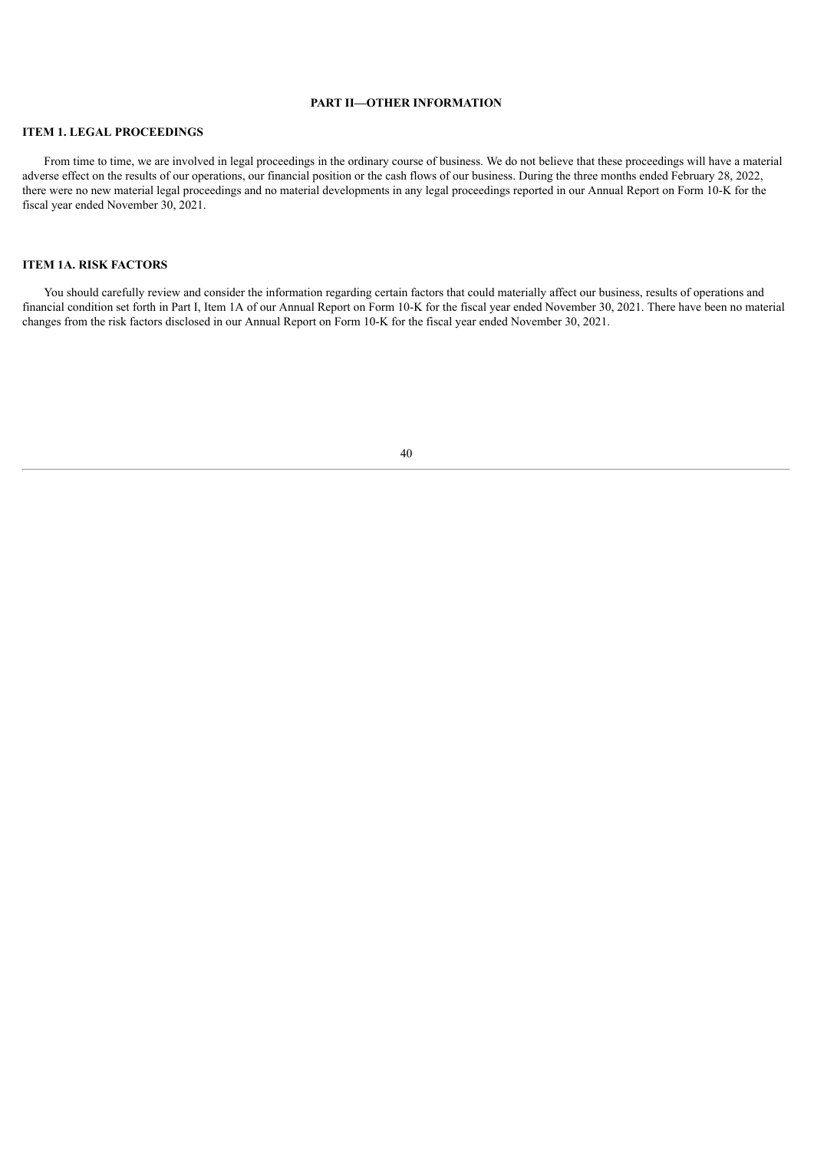## **PART II—OTHER INFORMATION**

# <span id="page-41-0"></span>**ITEM 1. LEGAL PROCEEDINGS**

From time to time, we are involved in legal proceedings in the ordinary course of business. We do not believe that these proceedings will have a material adverse effect on the results of our operations, our financial position or the cash flows of our business. During the three months ended February 28, 2022, there were no new material legal proceedings and no material developments in any legal proceedings reported in our Annual Report on Form 10-K for the fiscal year ended November 30, 2021.

# <span id="page-41-1"></span>**ITEM 1A. RISK FACTORS**

<span id="page-41-2"></span>You should carefully review and consider the information regarding certain factors that could materially affect our business, results of operations and financial condition set forth in Part I, Item 1A of our Annual Report on Form 10-K for the fiscal year ended November 30, 2021. There have been no material changes from the risk factors disclosed in our Annual Report on Form 10-K for the fiscal year ended November 30, 2021.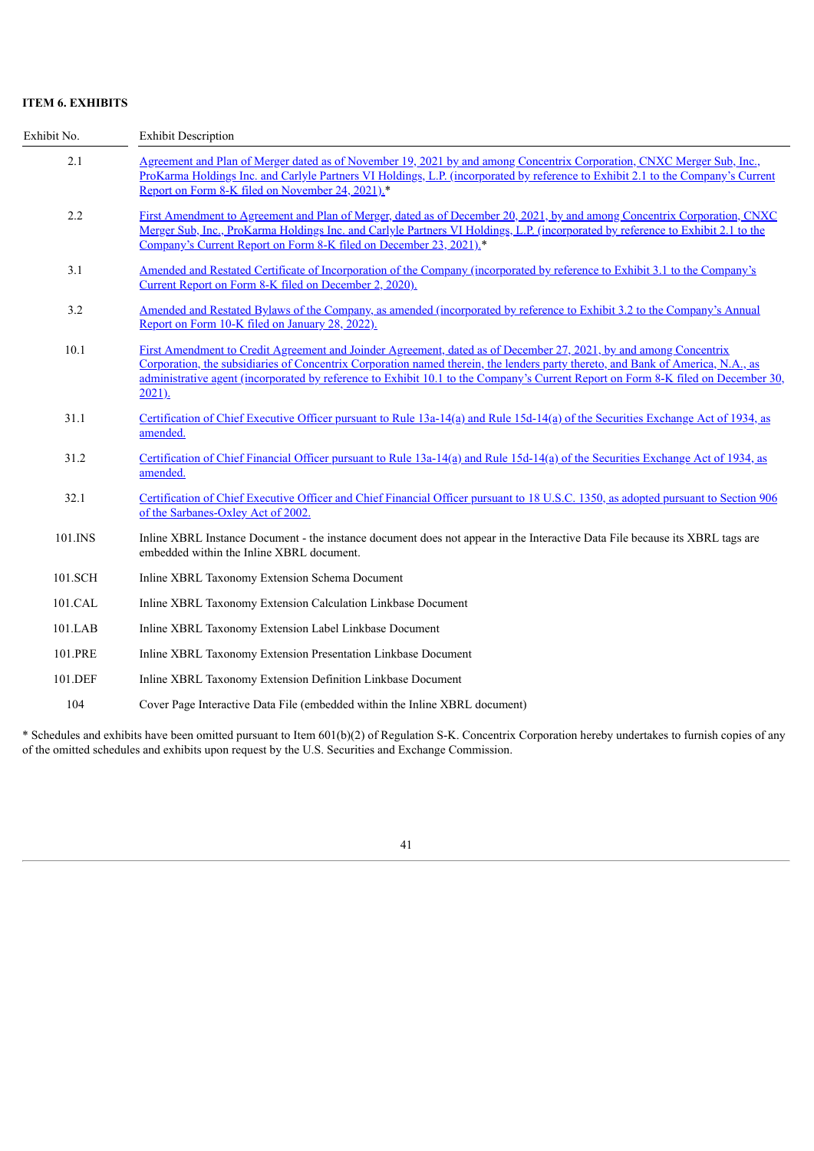# **ITEM 6. EXHIBITS**

| Exhibit No. | <b>Exhibit Description</b>                                                                                                                                                                                                                                                                                                                                                                             |
|-------------|--------------------------------------------------------------------------------------------------------------------------------------------------------------------------------------------------------------------------------------------------------------------------------------------------------------------------------------------------------------------------------------------------------|
| 2.1         | Agreement and Plan of Merger dated as of November 19, 2021 by and among Concentrix Corporation, CNXC Merger Sub, Inc.,<br>ProKarma Holdings Inc. and Carlyle Partners VI Holdings, L.P. (incorporated by reference to Exhibit 2.1 to the Company's Current<br>Report on Form 8-K filed on November 24, 2021). <sup>*</sup>                                                                             |
| 2.2         | First Amendment to Agreement and Plan of Merger, dated as of December 20, 2021, by and among Concentrix Corporation, CNXC<br>Merger Sub, Inc., ProKarma Holdings Inc. and Carlyle Partners VI Holdings, L.P. (incorporated by reference to Exhibit 2.1 to the<br>Company's Current Report on Form 8-K filed on December 23, 2021). <sup>*</sup>                                                        |
| 3.1         | Amended and Restated Certificate of Incorporation of the Company (incorporated by reference to Exhibit 3.1 to the Company's<br>Current Report on Form 8-K filed on December 2, 2020).                                                                                                                                                                                                                  |
| 3.2         | Amended and Restated Bylaws of the Company, as amended (incorporated by reference to Exhibit 3.2 to the Company's Annual<br>Report on Form 10-K filed on January 28, 2022).                                                                                                                                                                                                                            |
| 10.1        | First Amendment to Credit Agreement and Joinder Agreement, dated as of December 27, 2021, by and among Concentrix<br>Corporation, the subsidiaries of Concentrix Corporation named therein, the lenders party thereto, and Bank of America, N.A., as<br>administrative agent (incorporated by reference to Exhibit 10.1 to the Company's Current Report on Form 8-K filed on December 30,<br>$2021$ ). |
| 31.1        | Certification of Chief Executive Officer pursuant to Rule 13a-14(a) and Rule 15d-14(a) of the Securities Exchange Act of 1934, as<br>amended.                                                                                                                                                                                                                                                          |
| 31.2        | Certification of Chief Financial Officer pursuant to Rule 13a-14(a) and Rule 15d-14(a) of the Securities Exchange Act of 1934, as<br>amended.                                                                                                                                                                                                                                                          |
| 32.1        | Certification of Chief Executive Officer and Chief Financial Officer pursuant to 18 U.S.C. 1350, as adopted pursuant to Section 906<br>of the Sarbanes-Oxley Act of 2002.                                                                                                                                                                                                                              |
| 101.INS     | Inline XBRL Instance Document - the instance document does not appear in the Interactive Data File because its XBRL tags are<br>embedded within the Inline XBRL document.                                                                                                                                                                                                                              |
| 101.SCH     | Inline XBRL Taxonomy Extension Schema Document                                                                                                                                                                                                                                                                                                                                                         |
| 101.CAL     | Inline XBRL Taxonomy Extension Calculation Linkbase Document                                                                                                                                                                                                                                                                                                                                           |
| 101.LAB     | Inline XBRL Taxonomy Extension Label Linkbase Document                                                                                                                                                                                                                                                                                                                                                 |
| 101.PRE     | Inline XBRL Taxonomy Extension Presentation Linkbase Document                                                                                                                                                                                                                                                                                                                                          |
| 101.DEF     | Inline XBRL Taxonomy Extension Definition Linkbase Document                                                                                                                                                                                                                                                                                                                                            |
| 104         | Cover Page Interactive Data File (embedded within the Inline XBRL document)                                                                                                                                                                                                                                                                                                                            |

<span id="page-42-0"></span>\* Schedules and exhibits have been omitted pursuant to Item 601(b)(2) of Regulation S-K. Concentrix Corporation hereby undertakes to furnish copies of any of the omitted schedules and exhibits upon request by the U.S. Securities and Exchange Commission.

41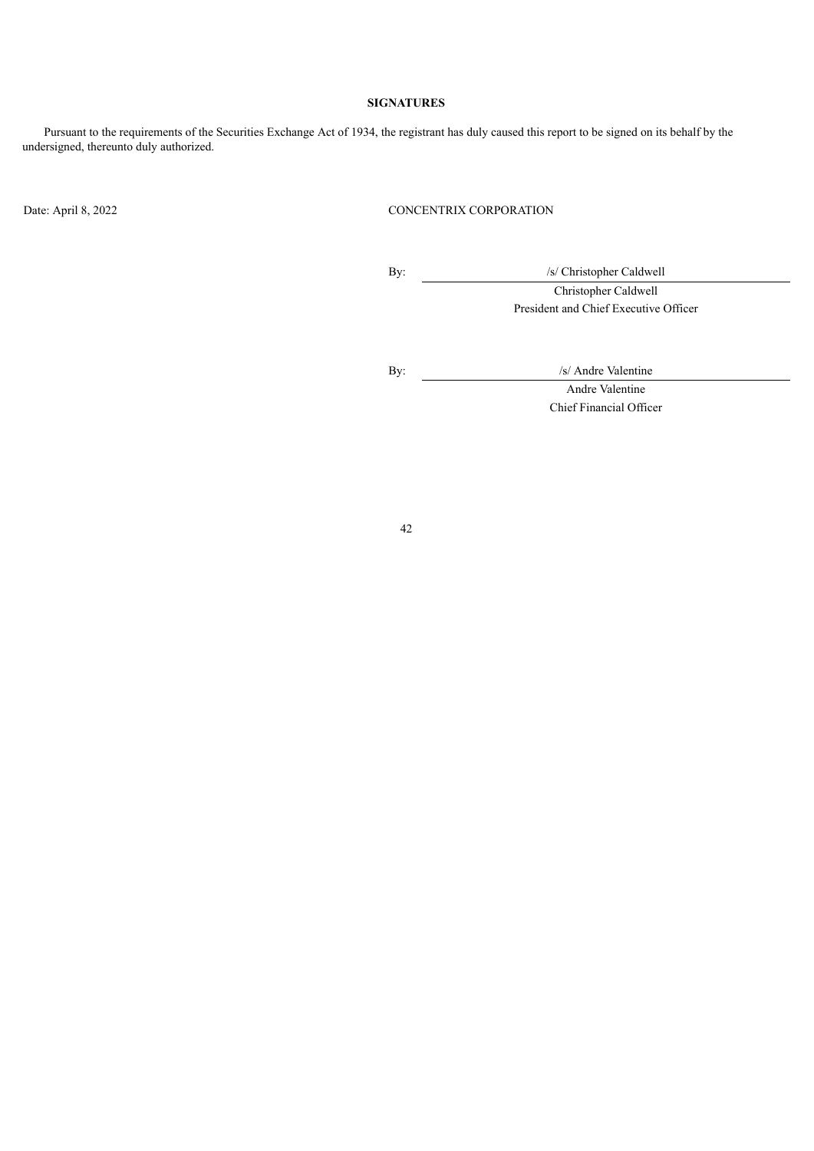# **SIGNATURES**

Pursuant to the requirements of the Securities Exchange Act of 1934, the registrant has duly caused this report to be signed on its behalf by the undersigned, thereunto duly authorized.

# Date: April 8, 2022 CONCENTRIX CORPORATION

By: /s/ Christopher Caldwell Christopher Caldwell President and Chief Executive Officer

By: /s/ Andre Valentine

Andre Valentine Chief Financial Officer

42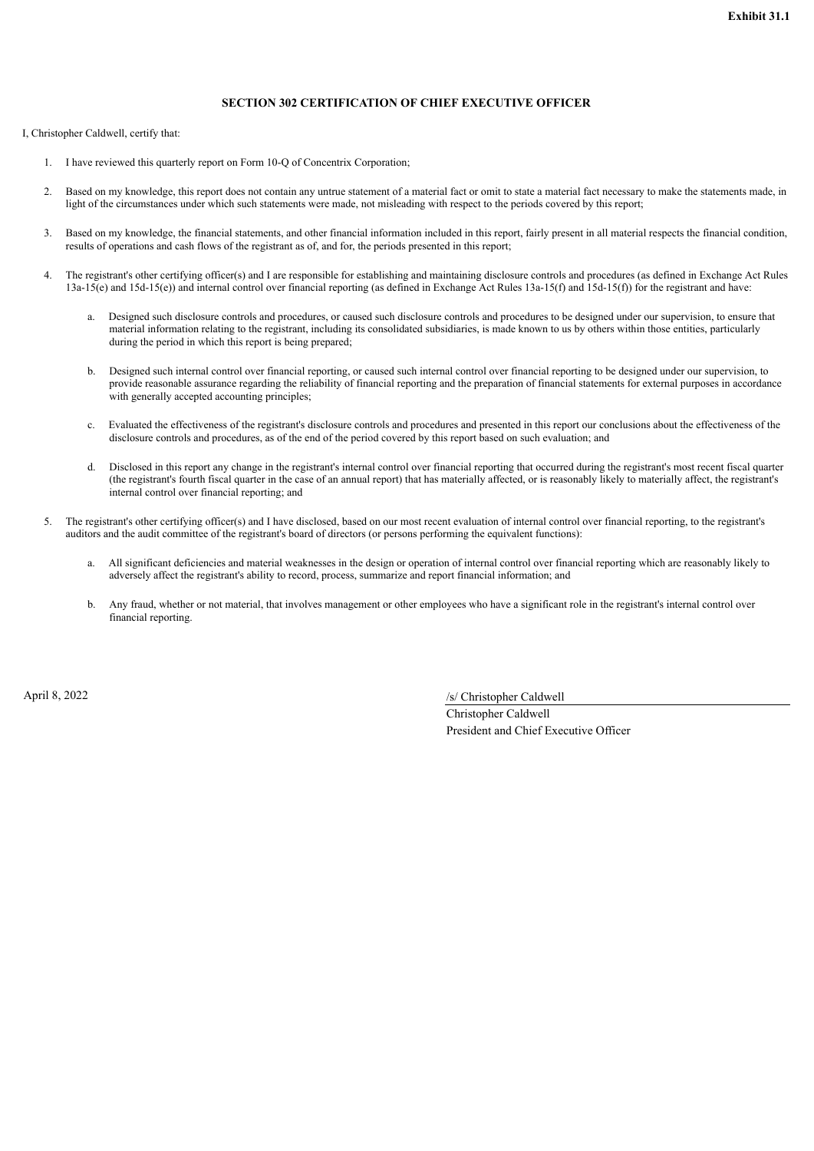# **SECTION 302 CERTIFICATION OF CHIEF EXECUTIVE OFFICER**

<span id="page-44-0"></span>I, Christopher Caldwell, certify that:

- 1. I have reviewed this quarterly report on Form 10-Q of Concentrix Corporation;
- 2. Based on my knowledge, this report does not contain any untrue statement of a material fact or omit to state a material fact necessary to make the statements made, in light of the circumstances under which such statements were made, not misleading with respect to the periods covered by this report;
- 3. Based on my knowledge, the financial statements, and other financial information included in this report, fairly present in all material respects the financial condition, results of operations and cash flows of the registrant as of, and for, the periods presented in this report;
- 4. The registrant's other certifying officer(s) and I are responsible for establishing and maintaining disclosure controls and procedures (as defined in Exchange Act Rules 13a-15(e) and 15d-15(e)) and internal control over financial reporting (as defined in Exchange Act Rules 13a-15(f) and 15d-15(f)) for the registrant and have:
	- a. Designed such disclosure controls and procedures, or caused such disclosure controls and procedures to be designed under our supervision, to ensure that material information relating to the registrant, including its consolidated subsidiaries, is made known to us by others within those entities, particularly during the period in which this report is being prepared;
	- b. Designed such internal control over financial reporting, or caused such internal control over financial reporting to be designed under our supervision, to provide reasonable assurance regarding the reliability of financial reporting and the preparation of financial statements for external purposes in accordance with generally accepted accounting principles;
	- c. Evaluated the effectiveness of the registrant's disclosure controls and procedures and presented in this report our conclusions about the effectiveness of the disclosure controls and procedures, as of the end of the period covered by this report based on such evaluation; and
	- d. Disclosed in this report any change in the registrant's internal control over financial reporting that occurred during the registrant's most recent fiscal quarter (the registrant's fourth fiscal quarter in the case of an annual report) that has materially affected, or is reasonably likely to materially affect, the registrant's internal control over financial reporting; and
- 5. The registrant's other certifying officer(s) and I have disclosed, based on our most recent evaluation of internal control over financial reporting, to the registrant's auditors and the audit committee of the registrant's board of directors (or persons performing the equivalent functions):
	- a. All significant deficiencies and material weaknesses in the design or operation of internal control over financial reporting which are reasonably likely to adversely affect the registrant's ability to record, process, summarize and report financial information; and
	- b. Any fraud, whether or not material, that involves management or other employees who have a significant role in the registrant's internal control over financial reporting.

April 8, 2022 /s/ Christopher Caldwell

Christopher Caldwell President and Chief Executive Officer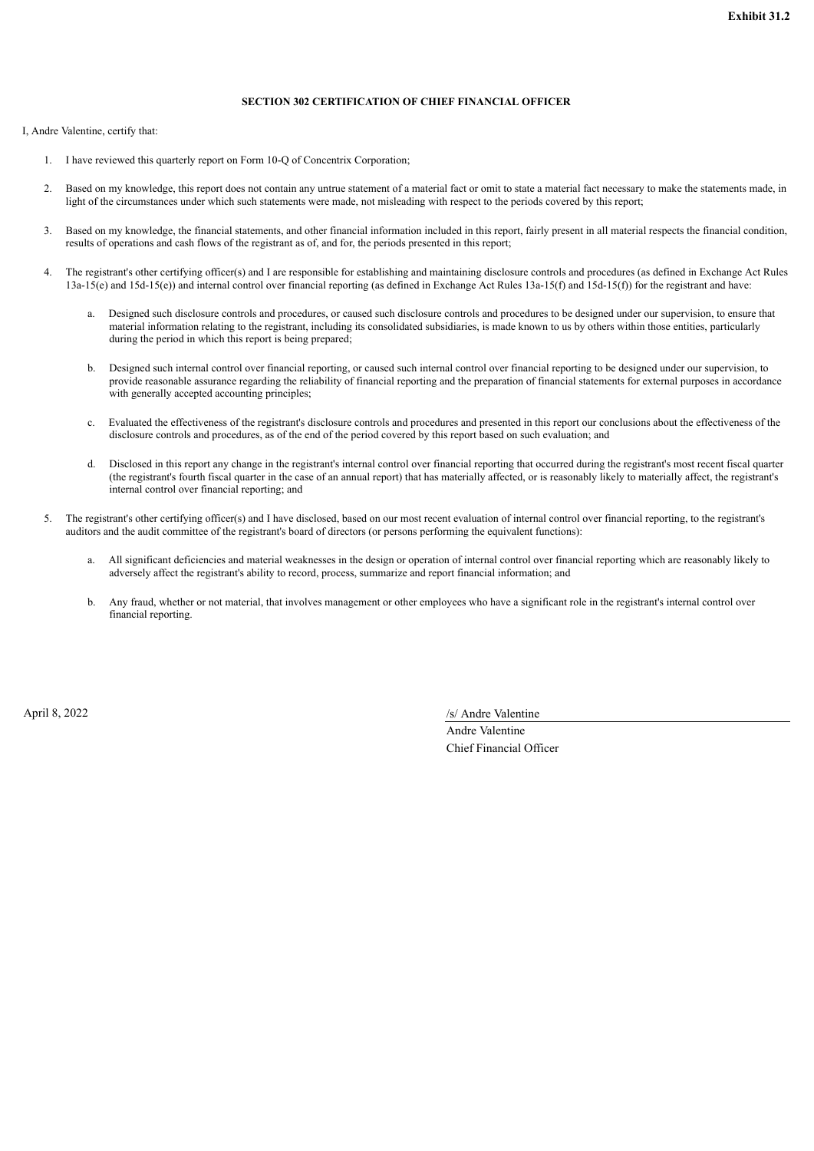# **SECTION 302 CERTIFICATION OF CHIEF FINANCIAL OFFICER**

<span id="page-45-0"></span>I, Andre Valentine, certify that:

- 1. I have reviewed this quarterly report on Form 10-Q of Concentrix Corporation;
- 2. Based on my knowledge, this report does not contain any untrue statement of a material fact or omit to state a material fact necessary to make the statements made, in light of the circumstances under which such statements were made, not misleading with respect to the periods covered by this report;
- 3. Based on my knowledge, the financial statements, and other financial information included in this report, fairly present in all material respects the financial condition, results of operations and cash flows of the registrant as of, and for, the periods presented in this report;
- 4. The registrant's other certifying officer(s) and I are responsible for establishing and maintaining disclosure controls and procedures (as defined in Exchange Act Rules 13a-15(e) and 15d-15(e)) and internal control over financial reporting (as defined in Exchange Act Rules 13a-15(f) and 15d-15(f)) for the registrant and have:
	- a. Designed such disclosure controls and procedures, or caused such disclosure controls and procedures to be designed under our supervision, to ensure that material information relating to the registrant, including its consolidated subsidiaries, is made known to us by others within those entities, particularly during the period in which this report is being prepared;
	- b. Designed such internal control over financial reporting, or caused such internal control over financial reporting to be designed under our supervision, to provide reasonable assurance regarding the reliability of financial reporting and the preparation of financial statements for external purposes in accordance with generally accepted accounting principles;
	- c. Evaluated the effectiveness of the registrant's disclosure controls and procedures and presented in this report our conclusions about the effectiveness of the disclosure controls and procedures, as of the end of the period covered by this report based on such evaluation; and
	- d. Disclosed in this report any change in the registrant's internal control over financial reporting that occurred during the registrant's most recent fiscal quarter (the registrant's fourth fiscal quarter in the case of an annual report) that has materially affected, or is reasonably likely to materially affect, the registrant's internal control over financial reporting; and
- 5. The registrant's other certifying officer(s) and I have disclosed, based on our most recent evaluation of internal control over financial reporting, to the registrant's auditors and the audit committee of the registrant's board of directors (or persons performing the equivalent functions):
	- a. All significant deficiencies and material weaknesses in the design or operation of internal control over financial reporting which are reasonably likely to adversely affect the registrant's ability to record, process, summarize and report financial information; and
	- b. Any fraud, whether or not material, that involves management or other employees who have a significant role in the registrant's internal control over financial reporting.

April 8, 2022 /s/ Andre Valentine

Andre Valentine Chief Financial Officer